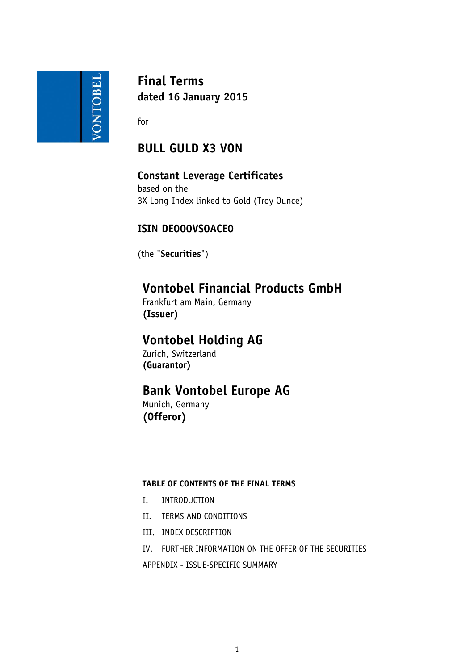

**Final Terms dated 16 January 2015**

for

# **BULL GULD X3 VON**

## **Constant Leverage Certificates**

based on the 3X Long Index linked to Gold (Troy Ounce)

## **ISIN DE000VS0ACE0**

(the "**Securities**")

# **Vontobel Financial Products GmbH**

Frankfurt am Main, Germany **(Issuer)**

# **Vontobel Holding AG**

Zurich, Switzerland **(Guarantor)**

# **Bank Vontobel Europe AG**

Munich, Germany **(Offeror)**

## **TABLE OF CONTENTS OF THE FINAL TERMS**

- I. INTRODUCTION
- II. TERMS AND CONDITIONS
- III. INDEX DESCRIPTION
- IV. FURTHER INFORMATION ON THE OFFER OF THE SECURITIES

APPENDIX - ISSUE-SPECIFIC SUMMARY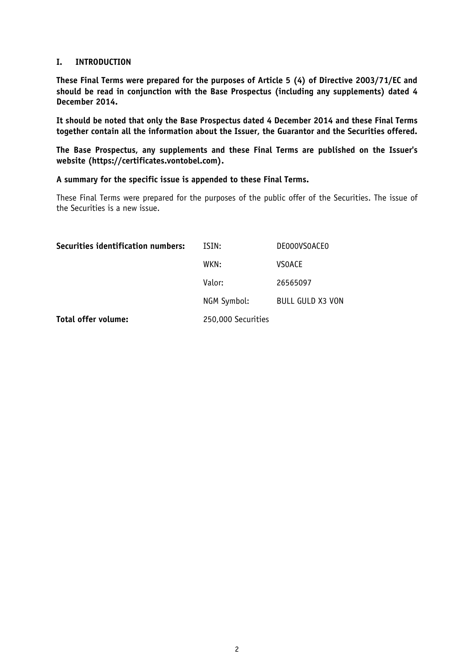## **I. INTRODUCTION**

**These Final Terms were prepared for the purposes of Article 5 (4) of Directive 2003/71/EC and should be read in conjunction with the Base Prospectus (including any supplements) dated 4 December 2014.** 

**It should be noted that only the Base Prospectus dated 4 December 2014 and these Final Terms together contain all the information about the Issuer, the Guarantor and the Securities offered.**

**The Base Prospectus, any supplements and these Final Terms are published on the Issuer's website (https://certificates.vontobel.com).**

**A summary for the specific issue is appended to these Final Terms.**

These Final Terms were prepared for the purposes of the public offer of the Securities. The issue of the Securities is a new issue.

| Securities identification numbers: | ISIN:              | <b>DEOOOVSOACEO</b>     |
|------------------------------------|--------------------|-------------------------|
|                                    | WKN:               | <b>VSOACE</b>           |
|                                    | Valor:             | 26565097                |
|                                    | NGM Symbol:        | <b>BULL GULD X3 VON</b> |
| Total offer volume:                | 250,000 Securities |                         |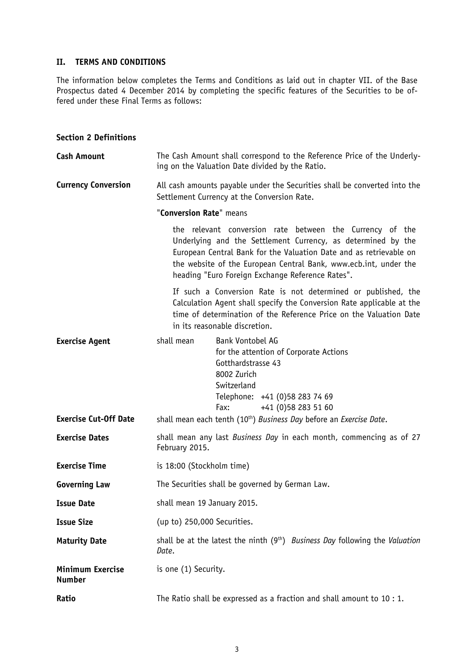## **II. TERMS AND CONDITIONS**

The information below completes the Terms and Conditions as laid out in chapter VII. of the Base Prospectus dated 4 December 2014 by completing the specific features of the Securities to be offered under these Final Terms as follows:

### **Section 2 Definitions**

| <b>Cash Amount</b>                |                             | The Cash Amount shall correspond to the Reference Price of the Underly-<br>ing on the Valuation Date divided by the Ratio.                                                                                                                                                                                             |
|-----------------------------------|-----------------------------|------------------------------------------------------------------------------------------------------------------------------------------------------------------------------------------------------------------------------------------------------------------------------------------------------------------------|
| <b>Currency Conversion</b>        |                             | All cash amounts payable under the Securities shall be converted into the<br>Settlement Currency at the Conversion Rate.                                                                                                                                                                                               |
|                                   | "Conversion Rate" means     |                                                                                                                                                                                                                                                                                                                        |
|                                   |                             | the relevant conversion rate between the Currency of the<br>Underlying and the Settlement Currency, as determined by the<br>European Central Bank for the Valuation Date and as retrievable on<br>the website of the European Central Bank, www.ecb.int, under the<br>heading "Euro Foreign Exchange Reference Rates". |
|                                   |                             | If such a Conversion Rate is not determined or published, the<br>Calculation Agent shall specify the Conversion Rate applicable at the<br>time of determination of the Reference Price on the Valuation Date<br>in its reasonable discretion.                                                                          |
| <b>Exercise Agent</b>             | shall mean                  | Bank Vontobel AG<br>for the attention of Corporate Actions<br>Gotthardstrasse 43<br>8002 Zurich<br>Switzerland<br>Telephone: +41 (0)58 283 74 69<br>+41 (0) 58 283 51 60<br>Fax:                                                                                                                                       |
| <b>Exercise Cut-Off Date</b>      |                             | shall mean each tenth (10 <sup>th</sup> ) Business Day before an Exercise Date.                                                                                                                                                                                                                                        |
| <b>Exercise Dates</b>             | February 2015.              | shall mean any last Business Day in each month, commencing as of 27                                                                                                                                                                                                                                                    |
| <b>Exercise Time</b>              | is 18:00 (Stockholm time)   |                                                                                                                                                                                                                                                                                                                        |
| <b>Governing Law</b>              |                             | The Securities shall be governed by German Law.                                                                                                                                                                                                                                                                        |
| <b>Issue Date</b>                 | shall mean 19 January 2015. |                                                                                                                                                                                                                                                                                                                        |
| <b>Issue Size</b>                 | (up to) 250,000 Securities. |                                                                                                                                                                                                                                                                                                                        |
| <b>Maturity Date</b>              | Date.                       | shall be at the latest the ninth (9 <sup>th</sup> ) <i>Business Day</i> following the <i>Valuation</i>                                                                                                                                                                                                                 |
| Minimum Exercise<br><b>Number</b> | is one (1) Security.        |                                                                                                                                                                                                                                                                                                                        |
| Ratio                             |                             | The Ratio shall be expressed as a fraction and shall amount to $10:1$ .                                                                                                                                                                                                                                                |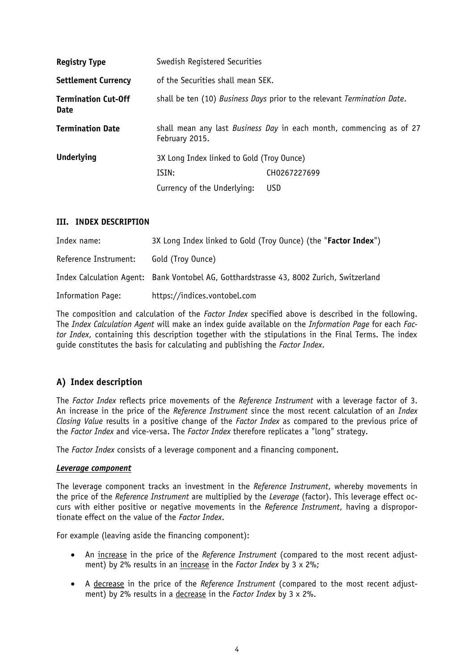| <b>Registry Type</b>                      | Swedish Registered Securities             |                                                                         |
|-------------------------------------------|-------------------------------------------|-------------------------------------------------------------------------|
| <b>Settlement Currency</b>                | of the Securities shall mean SEK.         |                                                                         |
| <b>Termination Cut-Off</b><br><b>Date</b> |                                           | shall be ten (10) Business Days prior to the relevant Termination Date. |
| <b>Termination Date</b>                   | February 2015.                            | shall mean any last Business Day in each month, commencing as of 27     |
| <b>Underlying</b>                         | 3X Long Index linked to Gold (Troy Ounce) |                                                                         |
|                                           | ISIN:                                     | CH0267227699                                                            |
|                                           | Currency of the Underlying:               | <b>USD</b>                                                              |

### **III. INDEX DESCRIPTION**

| Index name:           | 3X Long Index linked to Gold (Troy Ounce) (the "Factor Index")                          |
|-----------------------|-----------------------------------------------------------------------------------------|
| Reference Instrument: | Gold (Troy Ounce)                                                                       |
|                       | Index Calculation Agent: Bank Vontobel AG, Gotthardstrasse 43, 8002 Zurich, Switzerland |
| Information Page:     | https://indices.vontobel.com                                                            |

The composition and calculation of the *Factor Index* specified above is described in the following. The *Index Calculation Agent* will make an index guide available on the *Information Page* for each *Factor Index*, containing this description together with the stipulations in the Final Terms. The index guide constitutes the basis for calculating and publishing the *Factor Index*.

## **A) Index description**

The *Factor Index* reflects price movements of the *Reference Instrument* with a leverage factor of 3. An increase in the price of the *Reference Instrument* since the most recent calculation of an *Index Closing Value* results in a positive change of the *Factor Index* as compared to the previous price of the *Factor Index* and vice-versa. The *Factor Index* therefore replicates a "long" strategy.

The *Factor Index* consists of a leverage component and a financing component.

#### *Leverage component*

The leverage component tracks an investment in the *Reference Instrument*, whereby movements in the price of the *Reference Instrument* are multiplied by the *Leverage* (factor). This leverage effect occurs with either positive or negative movements in the *Reference Instrument*, having a disproportionate effect on the value of the *Factor Index*.

For example (leaving aside the financing component):

- An increase in the price of the *Reference Instrument* (compared to the most recent adjustment) by 2% results in an increase in the *Factor Index* by 3 x 2%;
- A decrease in the price of the *Reference Instrument* (compared to the most recent adjustment) by 2% results in a decrease in the *Factor Index* by 3 x 2%.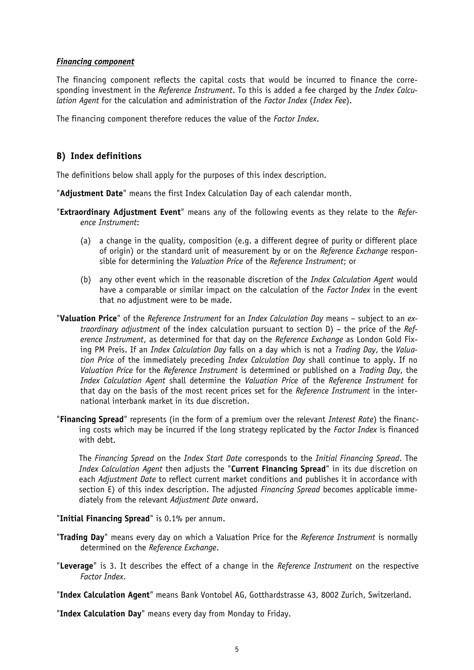#### *Financing component*

The financing component reflects the capital costs that would be incurred to finance the corresponding investment in the *Reference Instrument*. To this is added a fee charged by the *Index Calculation Agent* for the calculation and administration of the *Factor Index* (*Index Fee*).

The financing component therefore reduces the value of the *Factor Index*.

## **B) Index definitions**

The definitions below shall apply for the purposes of this index description.

"**Adjustment Date**" means the first Index Calculation Day of each calendar month.

- "**Extraordinary Adjustment Event**" means any of the following events as they relate to the *Reference Instrument*:
	- (a) a change in the quality, composition (e.g. a different degree of purity or different place of origin) or the standard unit of measurement by or on the *Reference Exchange* responsible for determining the *Valuation Price* of the *Reference Instrument*; or
	- (b) any other event which in the reasonable discretion of the *Index Calculation Agent* would have a comparable or similar impact on the calculation of the *Factor Index* in the event that no adjustment were to be made.
- "**Valuation Price**" of the *Reference Instrument* for an *Index Calculation Day* means subject to an *extraordinary adjustment* of the index calculation pursuant to section D) – the price of the *Reference Instrument*, as determined for that day on the *Reference Exchange* as London Gold Fixing PM Preis. If an *Index Calculation Day* falls on a day which is not a *Trading Day*, the *Valuation Price* of the immediately preceding *Index Calculation Day* shall continue to apply. If no *Valuation Price* for the *Reference Instrument* is determined or published on a *Trading Day*, the *Index Calculation Agent* shall determine the *Valuation Price* of the *Reference Instrument* for that day on the basis of the most recent prices set for the *Reference Instrument* in the international interbank market in its due discretion.
- "**Financing Spread**" represents (in the form of a premium over the relevant *Interest Rate*) the financing costs which may be incurred if the long strategy replicated by the *Factor Index* is financed with debt.

The *Financing Spread* on the *Index Start Date* corresponds to the *Initial Financing Spread*. The *Index Calculation Agent* then adjusts the "**Current Financing Spread**" in its due discretion on each *Adjustment Date* to reflect current market conditions and publishes it in accordance with section E) of this index description. The adjusted *Financing Spread* becomes applicable immediately from the relevant *Adjustment Date* onward.

"**Initial Financing Spread**" is 0.1% per annum.

- "**Trading Day**" means every day on which a Valuation Price for the *Reference Instrument* is normally determined on the *Reference Exchange*.
- "**Leverage**" is 3. It describes the effect of a change in the *Reference Instrument* on the respective *Factor Index*.

"**Index Calculation Agent**" means Bank Vontobel AG, Gotthardstrasse 43, 8002 Zurich, Switzerland.

"**Index Calculation Day**" means every day from Monday to Friday.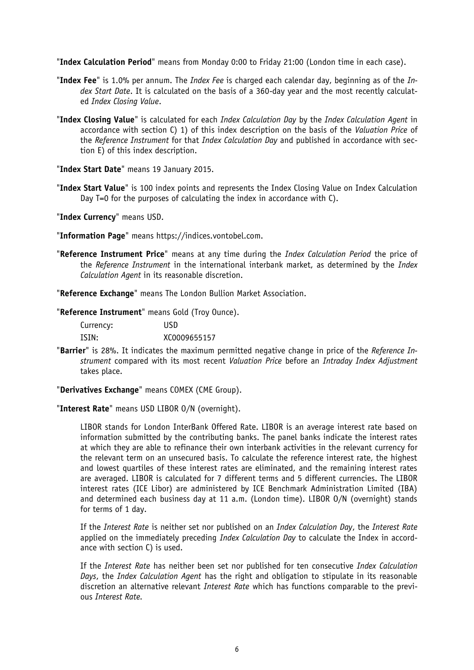"**Index Calculation Period**" means from Monday 0:00 to Friday 21:00 (London time in each case).

- "**Index Fee**" is 1.0% per annum. The *Index Fee* is charged each calendar day, beginning as of the *Index Start Date*. It is calculated on the basis of a 360-day year and the most recently calculated *Index Closing Value*.
- "**Index Closing Value**" is calculated for each *Index Calculation Day* by the *Index Calculation Agent* in accordance with section C) 1) of this index description on the basis of the *Valuation Price* of the *Reference Instrument* for that *Index Calculation Day* and published in accordance with section E) of this index description.

"**Index Start Date**" means 19 January 2015.

"**Index Start Value**" is 100 index points and represents the Index Closing Value on Index Calculation Day T=0 for the purposes of calculating the index in accordance with C).

"**Index Currency**" means USD.

"**Information Page**" means https://indices.vontobel.com.

"**Reference Instrument Price**" means at any time during the *Index Calculation Period* the price of the *Reference Instrument* in the international interbank market, as determined by the *Index Calculation Agent* in its reasonable discretion.

"**Reference Exchange**" means The London Bullion Market Association.

"**Reference Instrument**" means Gold (Troy Ounce).

Currency: USD ISIN: XC0009655157

"**Barrier**" is 28%. It indicates the maximum permitted negative change in price of the *Reference Instrument* compared with its most recent *Valuation Price* before an *Intraday Index Adjustment* takes place.

"**Derivatives Exchange**" means COMEX (CME Group).

"**Interest Rate**" means USD LIBOR O/N (overnight).

LIBOR stands for London InterBank Offered Rate. LIBOR is an average interest rate based on information submitted by the contributing banks. The panel banks indicate the interest rates at which they are able to refinance their own interbank activities in the relevant currency for the relevant term on an unsecured basis. To calculate the reference interest rate, the highest and lowest quartiles of these interest rates are eliminated, and the remaining interest rates are averaged. LIBOR is calculated for 7 different terms and 5 different currencies. The LIBOR interest rates (ICE Libor) are administered by ICE Benchmark Administration Limited (IBA) and determined each business day at 11 a.m. (London time). LIBOR O/N (overnight) stands for terms of 1 day.

If the *Interest Rate* is neither set nor published on an *Index Calculation Day*, the *Interest Rate* applied on the immediately preceding *Index Calculation Day* to calculate the Index in accordance with section C) is used.

If the *Interest Rate* has neither been set nor published for ten consecutive *Index Calculation Days*, the *Index Calculation Agent* has the right and obligation to stipulate in its reasonable discretion an alternative relevant *Interest Rate* which has functions comparable to the previous *Interest Rate.*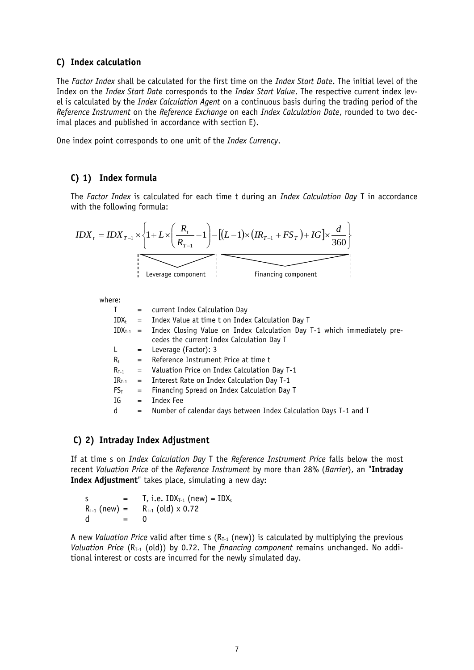## **C) Index calculation**

The *Factor Index* shall be calculated for the first time on the *Index Start Date*. The initial level of the Index on the *Index Start Date* corresponds to the *Index Start Value*. The respective current index level is calculated by the *Index Calculation Agent* on a continuous basis during the trading period of the *Reference Instrument* on the *Reference Exchange* on each *Index Calculation Date*, rounded to two decimal places and published in accordance with section E).

One index point corresponds to one unit of the *Index Currency*.

## **C) 1) Index formula**

The *Factor Index* is calculated for each time t during an *Index Calculation Day* T in accordance with the following formula:

$$
IDX_{t} = IDX_{T-1} \times \left\{ 1 + L \times \left( \frac{R_{t}}{R_{T-1}} - 1 \right) - \left[ (L-1) \times (IR_{T-1} + FS_{T}) + IG \right] \times \frac{d}{360} \right\}
$$
  
Leverage component

where:

| T .        |     | = current Index Calculation Day                                                                                                    |
|------------|-----|------------------------------------------------------------------------------------------------------------------------------------|
| IDX+       | $=$ | Index Value at time t on Index Calculation Day T                                                                                   |
|            |     | $IDX_{T-1}$ = Index Closing Value on Index Calculation Day T-1 which immediately pre-<br>cedes the current Index Calculation Day T |
| L,         |     | $=$ Leverage (Factor): 3                                                                                                           |
| $R_t$      |     | = Reference Instrument Price at time t                                                                                             |
| $R_{T-1}$  |     | $=$ Valuation Price on Index Calculation Day T-1                                                                                   |
| $IR_{T-1}$ |     | = Interest Rate on Index Calculation Day T-1                                                                                       |
| $FS_T$     | $=$ | Financing Spread on Index Calculation Day T                                                                                        |
| IG         | $=$ | Index Fee                                                                                                                          |
| d          | $=$ | Number of calendar days between Index Calculation Days T-1 and T                                                                   |

#### **C) 2) Intraday Index Adjustment**

If at time s on *Index Calculation Day* T the *Reference Instrument Price* falls below the most recent *Valuation Price* of the *Reference Instrument* by more than 28% (*Barrier*), an "**Intraday Index Adjustment**" takes place, simulating a new day:

s  $=$  T, i.e.  $IDX_{T-1}$  (new)  $= IDX_s$  $R_{T-1}$  (new) =  $R_{T-1}$  (old) x 0.72 d = 0

A new *Valuation Price* valid after time s  $(R<sub>T-1</sub>$  (new)) is calculated by multiplying the previous *Valuation Price* (R<sub>T-1</sub> (old)) by 0.72. The *financing component* remains unchanged. No additional interest or costs are incurred for the newly simulated day.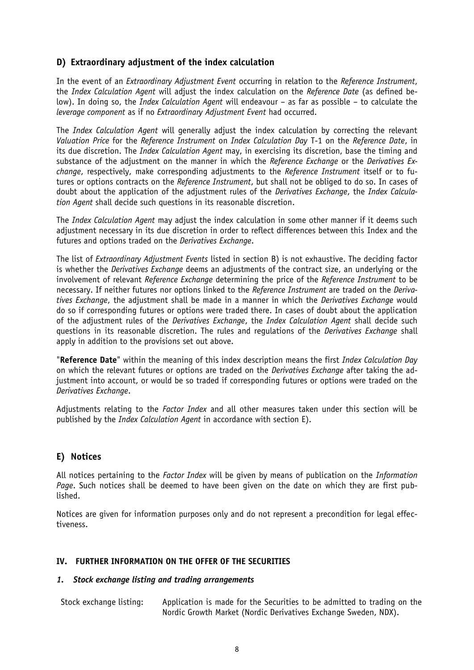## **D) Extraordinary adjustment of the index calculation**

In the event of an *Extraordinary Adjustment Event* occurring in relation to the *Reference Instrument*, the *Index Calculation Agent* will adjust the index calculation on the *Reference Date* (as defined below). In doing so, the *Index Calculation Agent* will endeavour – as far as possible – to calculate the *leverage component* as if no *Extraordinary Adjustment Event* had occurred.

The *Index Calculation Agent* will generally adjust the index calculation by correcting the relevant *Valuation Price* for the *Reference Instrument* on *Index Calculation Day* T-1 on the *Reference Date*, in its due discretion. The *Index Calculation Agent* may, in exercising its discretion, base the timing and substance of the adjustment on the manner in which the *Reference Exchange* or the *Derivatives Exchange*, respectively, make corresponding adjustments to the *Reference Instrument* itself or to futures or options contracts on the *Reference Instrument*, but shall not be obliged to do so. In cases of doubt about the application of the adjustment rules of the *Derivatives Exchange*, the *Index Calculation Agent* shall decide such questions in its reasonable discretion.

The *Index Calculation Agent* may adjust the index calculation in some other manner if it deems such adjustment necessary in its due discretion in order to reflect differences between this Index and the futures and options traded on the *Derivatives Exchange*.

The list of *Extraordinary Adjustment Events* listed in section B) is not exhaustive. The deciding factor is whether the *Derivatives Exchange* deems an adjustments of the contract size, an underlying or the involvement of relevant *Reference Exchange* determining the price of the *Reference Instrument* to be necessary. If neither futures nor options linked to the *Reference Instrument* are traded on the *Derivatives Exchange*, the adjustment shall be made in a manner in which the *Derivatives Exchange* would do so if corresponding futures or options were traded there. In cases of doubt about the application of the adjustment rules of the *Derivatives Exchange*, the *Index Calculation Agent* shall decide such questions in its reasonable discretion. The rules and regulations of the *Derivatives Exchange* shall apply in addition to the provisions set out above.

"**Reference Date**" within the meaning of this index description means the first *Index Calculation Day* on which the relevant futures or options are traded on the *Derivatives Exchange* after taking the adjustment into account, or would be so traded if corresponding futures or options were traded on the *Derivatives Exchange*.

Adjustments relating to the *Factor Index* and all other measures taken under this section will be published by the *Index Calculation Agent* in accordance with section E).

## **E) Notices**

All notices pertaining to the *Factor Index* will be given by means of publication on the *Information Page*. Such notices shall be deemed to have been given on the date on which they are first published.

Notices are given for information purposes only and do not represent a precondition for legal effectiveness.

## **IV. FURTHER INFORMATION ON THE OFFER OF THE SECURITIES**

#### *1. Stock exchange listing and trading arrangements*

Stock exchange listing: Application is made for the Securities to be admitted to trading on the Nordic Growth Market (Nordic Derivatives Exchange Sweden, NDX).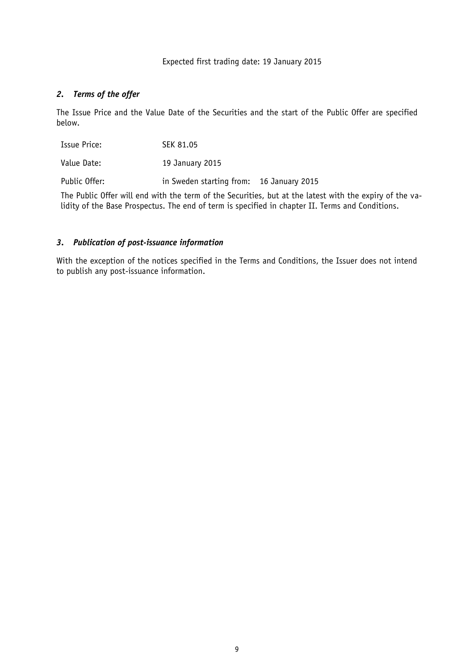#### Expected first trading date: 19 January 2015

## *2. Terms of the offer*

The Issue Price and the Value Date of the Securities and the start of the Public Offer are specified below.

| <b>Issue Price:</b> | SEK 81.05                                |  |
|---------------------|------------------------------------------|--|
| Value Date:         | 19 January 2015                          |  |
| Public Offer:       | in Sweden starting from: 16 January 2015 |  |

The Public Offer will end with the term of the Securities, but at the latest with the expiry of the validity of the Base Prospectus. The end of term is specified in chapter II. Terms and Conditions.

## *3. Publication of post-issuance information*

With the exception of the notices specified in the Terms and Conditions, the Issuer does not intend to publish any post-issuance information.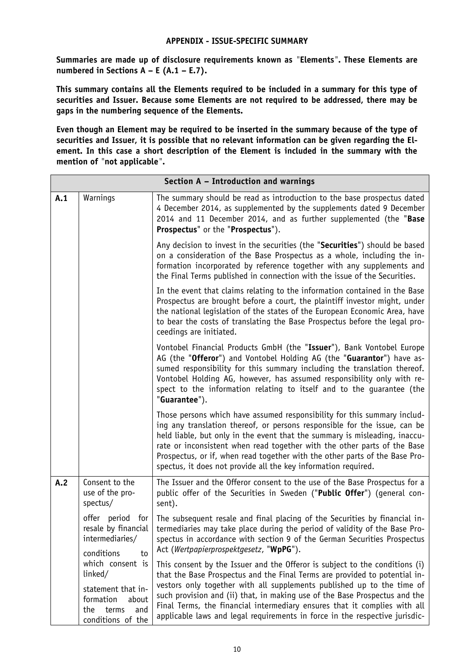### **APPENDIX - ISSUE-SPECIFIC SUMMARY**

**Summaries are made up of disclosure requirements known as** *"***Elements***"***. These Elements are numbered in Sections A – E (A.1 – E.7).**

**This summary contains all the Elements required to be included in a summary for this type of securities and Issuer. Because some Elements are not required to be addressed, there may be gaps in the numbering sequence of the Elements.**

**Even though an Element may be required to be inserted in the summary because of the type of securities and Issuer, it is possible that no relevant information can be given regarding the Element. In this case a short description of the Element is included in the summary with the mention of** *"***not applicable***"***.**

|     |                                                                                                                     | Section A - Introduction and warnings                                                                                                                                                                                                                                                                                                                                                                                                                                         |
|-----|---------------------------------------------------------------------------------------------------------------------|-------------------------------------------------------------------------------------------------------------------------------------------------------------------------------------------------------------------------------------------------------------------------------------------------------------------------------------------------------------------------------------------------------------------------------------------------------------------------------|
| A.1 | Warnings                                                                                                            | The summary should be read as introduction to the base prospectus dated<br>4 December 2014, as supplemented by the supplements dated 9 December<br>2014 and 11 December 2014, and as further supplemented (the "Base<br>Prospectus" or the "Prospectus").                                                                                                                                                                                                                     |
|     |                                                                                                                     | Any decision to invest in the securities (the "Securities") should be based<br>on a consideration of the Base Prospectus as a whole, including the in-<br>formation incorporated by reference together with any supplements and<br>the Final Terms published in connection with the issue of the Securities.                                                                                                                                                                  |
|     |                                                                                                                     | In the event that claims relating to the information contained in the Base<br>Prospectus are brought before a court, the plaintiff investor might, under<br>the national legislation of the states of the European Economic Area, have<br>to bear the costs of translating the Base Prospectus before the legal pro-<br>ceedings are initiated.                                                                                                                               |
|     |                                                                                                                     | Vontobel Financial Products GmbH (the "Issuer"), Bank Vontobel Europe<br>AG (the "Offeror") and Vontobel Holding AG (the "Guarantor") have as-<br>sumed responsibility for this summary including the translation thereof.<br>Vontobel Holding AG, however, has assumed responsibility only with re-<br>spect to the information relating to itself and to the guarantee (the<br>"Guarantee").                                                                                |
|     |                                                                                                                     | Those persons which have assumed responsibility for this summary includ-<br>ing any translation thereof, or persons responsible for the issue, can be<br>held liable, but only in the event that the summary is misleading, inaccu-<br>rate or inconsistent when read together with the other parts of the Base<br>Prospectus, or if, when read together with the other parts of the Base Pro-<br>spectus, it does not provide all the key information required.              |
| A.2 | Consent to the<br>use of the pro-<br>spectus/                                                                       | The Issuer and the Offeror consent to the use of the Base Prospectus for a<br>public offer of the Securities in Sweden ("Public Offer") (general con-<br>sent).                                                                                                                                                                                                                                                                                                               |
|     | offer period for<br>resale by financial<br>intermediaries/<br>conditions<br>to                                      | The subsequent resale and final placing of the Securities by financial in-<br>termediaries may take place during the period of validity of the Base Pro-<br>spectus in accordance with section 9 of the German Securities Prospectus<br>Act (Wertpapierprospektgesetz, "WpPG").                                                                                                                                                                                               |
|     | which consent is<br>linked/<br>statement that in-<br>formation<br>about<br>terms<br>the<br>and<br>conditions of the | This consent by the Issuer and the Offeror is subject to the conditions (i)<br>that the Base Prospectus and the Final Terms are provided to potential in-<br>vestors only together with all supplements published up to the time of<br>such provision and (ii) that, in making use of the Base Prospectus and the<br>Final Terms, the financial intermediary ensures that it complies with all<br>applicable laws and legal requirements in force in the respective jurisdic- |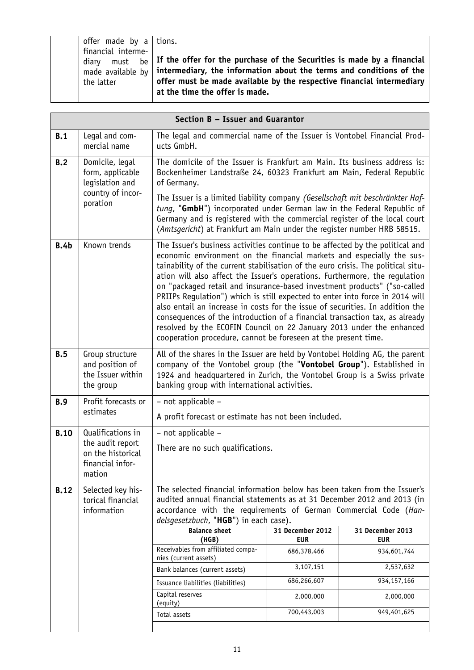|             |                                                                                          | Section B - Issuer and Guarantor                                                                                                                                                                                                                                                                                                                                                                                                                                                                                                                                                                                                                                                                                                                                                                |                                |                                |
|-------------|------------------------------------------------------------------------------------------|-------------------------------------------------------------------------------------------------------------------------------------------------------------------------------------------------------------------------------------------------------------------------------------------------------------------------------------------------------------------------------------------------------------------------------------------------------------------------------------------------------------------------------------------------------------------------------------------------------------------------------------------------------------------------------------------------------------------------------------------------------------------------------------------------|--------------------------------|--------------------------------|
| B.1         | Legal and com-<br>mercial name                                                           | The legal and commercial name of the Issuer is Vontobel Financial Prod-<br>ucts GmbH.                                                                                                                                                                                                                                                                                                                                                                                                                                                                                                                                                                                                                                                                                                           |                                |                                |
| B.2         | Domicile, legal<br>form, applicable<br>legislation and                                   | The domicile of the Issuer is Frankfurt am Main. Its business address is:<br>Bockenheimer Landstraße 24, 60323 Frankfurt am Main, Federal Republic<br>of Germany.                                                                                                                                                                                                                                                                                                                                                                                                                                                                                                                                                                                                                               |                                |                                |
|             | country of incor-<br>poration                                                            | The Issuer is a limited liability company (Gesellschaft mit beschränkter Haf-<br>tung, "GmbH") incorporated under German law in the Federal Republic of<br>Germany and is registered with the commercial register of the local court<br>(Amtsgericht) at Frankfurt am Main under the register number HRB 58515.                                                                                                                                                                                                                                                                                                                                                                                                                                                                                 |                                |                                |
| B.4b        | Known trends                                                                             | The Issuer's business activities continue to be affected by the political and<br>economic environment on the financial markets and especially the sus-<br>tainability of the current stabilisation of the euro crisis. The political situ-<br>ation will also affect the Issuer's operations. Furthermore, the regulation<br>on "packaged retail and insurance-based investment products" ("so-called<br>PRIIPs Regulation") which is still expected to enter into force in 2014 will<br>also entail an increase in costs for the issue of securities. In addition the<br>consequences of the introduction of a financial transaction tax, as already<br>resolved by the ECOFIN Council on 22 January 2013 under the enhanced<br>cooperation procedure, cannot be foreseen at the present time. |                                |                                |
| B.5         | Group structure<br>and position of<br>the Issuer within<br>the group                     | All of the shares in the Issuer are held by Vontobel Holding AG, the parent<br>company of the Vontobel group (the "Vontobel Group"). Established in<br>1924 and headquartered in Zurich, the Vontobel Group is a Swiss private<br>banking group with international activities.                                                                                                                                                                                                                                                                                                                                                                                                                                                                                                                  |                                |                                |
| B.9         | Profit forecasts or<br>estimates                                                         | - not applicable -<br>A profit forecast or estimate has not been included.                                                                                                                                                                                                                                                                                                                                                                                                                                                                                                                                                                                                                                                                                                                      |                                |                                |
| <b>B.10</b> | Qualifications in<br>the audit report<br>on the historical<br>financial infor-<br>mation | - not applicable -<br>There are no such qualifications.                                                                                                                                                                                                                                                                                                                                                                                                                                                                                                                                                                                                                                                                                                                                         |                                |                                |
| <b>B.12</b> | Selected key his-<br>torical financial<br>information                                    | The selected financial information below has been taken from the Issuer's<br>audited annual financial statements as at 31 December 2012 and 2013 (in<br>accordance with the requirements of German Commercial Code (Han-<br>delsgesetzbuch, "HGB") in each case).                                                                                                                                                                                                                                                                                                                                                                                                                                                                                                                               |                                |                                |
|             |                                                                                          | <b>Balance sheet</b><br>(HGB)                                                                                                                                                                                                                                                                                                                                                                                                                                                                                                                                                                                                                                                                                                                                                                   | 31 December 2012<br><b>EUR</b> | 31 December 2013<br><b>EUR</b> |
|             |                                                                                          | Receivables from affiliated compa-<br>nies (current assets)                                                                                                                                                                                                                                                                                                                                                                                                                                                                                                                                                                                                                                                                                                                                     | 686,378,466                    | 934,601,744                    |
|             |                                                                                          | Bank balances (current assets)                                                                                                                                                                                                                                                                                                                                                                                                                                                                                                                                                                                                                                                                                                                                                                  | 3,107,151                      | 2,537,632                      |
|             |                                                                                          | Issuance liabilities (liabilities)                                                                                                                                                                                                                                                                                                                                                                                                                                                                                                                                                                                                                                                                                                                                                              | 686,266,607                    | 934, 157, 166                  |
|             |                                                                                          | Capital reserves<br>(equity)                                                                                                                                                                                                                                                                                                                                                                                                                                                                                                                                                                                                                                                                                                                                                                    | 2,000,000                      | 2,000,000                      |
|             |                                                                                          | Total assets                                                                                                                                                                                                                                                                                                                                                                                                                                                                                                                                                                                                                                                                                                                                                                                    | 700,443,003                    | 949,401,625                    |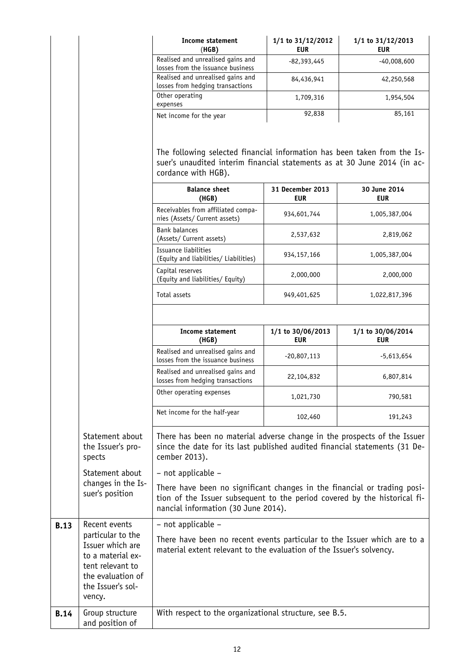|      |                                                                                                                                    | Income statement<br>(HGB)                                                                                                                                                                    | 1/1 to 31/12/2012<br><b>EUR</b> | 1/1 to 31/12/2013<br><b>EUR</b> |
|------|------------------------------------------------------------------------------------------------------------------------------------|----------------------------------------------------------------------------------------------------------------------------------------------------------------------------------------------|---------------------------------|---------------------------------|
|      |                                                                                                                                    | Realised and unrealised gains and<br>losses from the issuance business                                                                                                                       | $-82,393,445$                   | $-40,008,600$                   |
|      |                                                                                                                                    | Realised and unrealised gains and<br>losses from hedging transactions                                                                                                                        | 84,436,941                      | 42,250,568                      |
|      |                                                                                                                                    | Other operating<br>expenses                                                                                                                                                                  | 1,709,316                       | 1,954,504                       |
|      |                                                                                                                                    | Net income for the year                                                                                                                                                                      | 92,838                          | 85,161                          |
|      |                                                                                                                                    | The following selected financial information has been taken from the Is-<br>suer's unaudited interim financial statements as at 30 June 2014 (in ac-<br>cordance with HGB).                  |                                 |                                 |
|      |                                                                                                                                    | <b>Balance sheet</b><br>(HGB)                                                                                                                                                                | 31 December 2013<br><b>EUR</b>  | 30 June 2014<br><b>EUR</b>      |
|      |                                                                                                                                    | Receivables from affiliated compa-<br>nies (Assets/ Current assets)                                                                                                                          | 934,601,744                     | 1,005,387,004                   |
|      |                                                                                                                                    | <b>Bank balances</b><br>(Assets/ Current assets)                                                                                                                                             | 2,537,632                       | 2,819,062                       |
|      |                                                                                                                                    | Issuance liabilities<br>(Equity and liabilities/ Liabilities)                                                                                                                                | 934, 157, 166                   | 1,005,387,004                   |
|      |                                                                                                                                    | Capital reserves<br>(Equity and liabilities/ Equity)                                                                                                                                         | 2,000,000                       | 2,000,000                       |
|      |                                                                                                                                    | Total assets                                                                                                                                                                                 | 949,401,625                     | 1,022,817,396                   |
|      |                                                                                                                                    |                                                                                                                                                                                              |                                 |                                 |
|      |                                                                                                                                    | <b>Income statement</b><br>(HGB)                                                                                                                                                             | 1/1 to 30/06/2013<br><b>EUR</b> | 1/1 to 30/06/2014<br><b>EUR</b> |
|      |                                                                                                                                    | Realised and unrealised gains and<br>losses from the issuance business                                                                                                                       | -20,807,113                     | -5,613,654                      |
|      |                                                                                                                                    | Realised and unrealised gains and<br>losses from hedging transactions                                                                                                                        | 22,104,832                      | 6,807,814                       |
|      |                                                                                                                                    | Other operating expenses                                                                                                                                                                     | 1,021,730                       | 790,581                         |
|      |                                                                                                                                    | Net income for the half-year                                                                                                                                                                 | 102,460                         | 191,243                         |
|      | Statement about<br>the Issuer's pro-<br>spects                                                                                     | There has been no material adverse change in the prospects of the Issuer<br>since the date for its last published audited financial statements (31 De-<br>cember 2013).                      |                                 |                                 |
|      | Statement about<br>changes in the Is-                                                                                              | - not applicable -                                                                                                                                                                           |                                 |                                 |
|      | suer's position                                                                                                                    | There have been no significant changes in the financial or trading posi-<br>tion of the Issuer subsequent to the period covered by the historical fi-<br>nancial information (30 June 2014). |                                 |                                 |
| B.13 | Recent events                                                                                                                      | - not applicable -                                                                                                                                                                           |                                 |                                 |
|      | particular to the<br>Issuer which are<br>to a material ex-<br>tent relevant to<br>the evaluation of<br>the Issuer's sol-<br>vency. | There have been no recent events particular to the Issuer which are to a<br>material extent relevant to the evaluation of the Issuer's solvency.                                             |                                 |                                 |
| B.14 | Group structure<br>and position of                                                                                                 | With respect to the organizational structure, see B.5.                                                                                                                                       |                                 |                                 |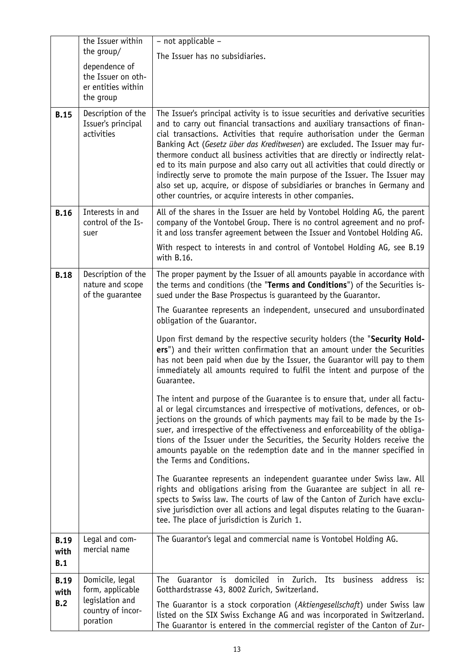|                            | the Issuer within                                                      | - not applicable -                                                                                                                                                                                                                                                                                                                                                                                                                                                                                                                                                                                                                                                                                                           |
|----------------------------|------------------------------------------------------------------------|------------------------------------------------------------------------------------------------------------------------------------------------------------------------------------------------------------------------------------------------------------------------------------------------------------------------------------------------------------------------------------------------------------------------------------------------------------------------------------------------------------------------------------------------------------------------------------------------------------------------------------------------------------------------------------------------------------------------------|
|                            | the group/                                                             | The Issuer has no subsidiaries.                                                                                                                                                                                                                                                                                                                                                                                                                                                                                                                                                                                                                                                                                              |
|                            | dependence of<br>the Issuer on oth-<br>er entities within<br>the group |                                                                                                                                                                                                                                                                                                                                                                                                                                                                                                                                                                                                                                                                                                                              |
| <b>B.15</b>                | Description of the<br>Issuer's principal<br>activities                 | The Issuer's principal activity is to issue securities and derivative securities<br>and to carry out financial transactions and auxiliary transactions of finan-<br>cial transactions. Activities that require authorisation under the German<br>Banking Act (Gesetz über das Kreditwesen) are excluded. The Issuer may fur-<br>thermore conduct all business activities that are directly or indirectly relat-<br>ed to its main purpose and also carry out all activities that could directly or<br>indirectly serve to promote the main purpose of the Issuer. The Issuer may<br>also set up, acquire, or dispose of subsidiaries or branches in Germany and<br>other countries, or acquire interests in other companies. |
| <b>B.16</b>                | Interests in and<br>control of the Is-<br>suer                         | All of the shares in the Issuer are held by Vontobel Holding AG, the parent<br>company of the Vontobel Group. There is no control agreement and no prof-<br>it and loss transfer agreement between the Issuer and Vontobel Holding AG.                                                                                                                                                                                                                                                                                                                                                                                                                                                                                       |
|                            |                                                                        | With respect to interests in and control of Vontobel Holding AG, see B.19<br>with B.16.                                                                                                                                                                                                                                                                                                                                                                                                                                                                                                                                                                                                                                      |
| <b>B.18</b>                | Description of the<br>nature and scope<br>of the guarantee             | The proper payment by the Issuer of all amounts payable in accordance with<br>the terms and conditions (the "Terms and Conditions") of the Securities is-<br>sued under the Base Prospectus is guaranteed by the Guarantor.                                                                                                                                                                                                                                                                                                                                                                                                                                                                                                  |
|                            |                                                                        | The Guarantee represents an independent, unsecured and unsubordinated<br>obligation of the Guarantor.                                                                                                                                                                                                                                                                                                                                                                                                                                                                                                                                                                                                                        |
|                            |                                                                        | Upon first demand by the respective security holders (the "Security Hold-<br>ers") and their written confirmation that an amount under the Securities<br>has not been paid when due by the Issuer, the Guarantor will pay to them<br>immediately all amounts required to fulfil the intent and purpose of the<br>Guarantee.                                                                                                                                                                                                                                                                                                                                                                                                  |
|                            |                                                                        | The intent and purpose of the Guarantee is to ensure that, under all factu-<br>al or legal circumstances and irrespective of motivations, defences, or ob-<br>jections on the grounds of which payments may fail to be made by the Is-<br>suer, and irrespective of the effectiveness and enforceability of the obliga-<br>tions of the Issuer under the Securities, the Security Holders receive the<br>amounts payable on the redemption date and in the manner specified in<br>the Terms and Conditions.                                                                                                                                                                                                                  |
|                            |                                                                        | The Guarantee represents an independent guarantee under Swiss law. All<br>rights and obligations arising from the Guarantee are subject in all re-<br>spects to Swiss law. The courts of law of the Canton of Zurich have exclu-<br>sive jurisdiction over all actions and legal disputes relating to the Guaran-<br>tee. The place of jurisdiction is Zurich 1.                                                                                                                                                                                                                                                                                                                                                             |
| <b>B.19</b><br>with<br>B.1 | Legal and com-<br>mercial name                                         | The Guarantor's legal and commercial name is Vontobel Holding AG.                                                                                                                                                                                                                                                                                                                                                                                                                                                                                                                                                                                                                                                            |
| <b>B.19</b><br>with        | Domicile, legal<br>form, applicable                                    | Guarantor is domiciled<br>in Zurich.<br>business<br>address is:<br>The<br>Its<br>Gotthardstrasse 43, 8002 Zurich, Switzerland.                                                                                                                                                                                                                                                                                                                                                                                                                                                                                                                                                                                               |
| B.2                        | legislation and<br>country of incor-<br>poration                       | The Guarantor is a stock corporation (Aktiengesellschaft) under Swiss law<br>listed on the SIX Swiss Exchange AG and was incorporated in Switzerland.<br>The Guarantor is entered in the commercial register of the Canton of Zur-                                                                                                                                                                                                                                                                                                                                                                                                                                                                                           |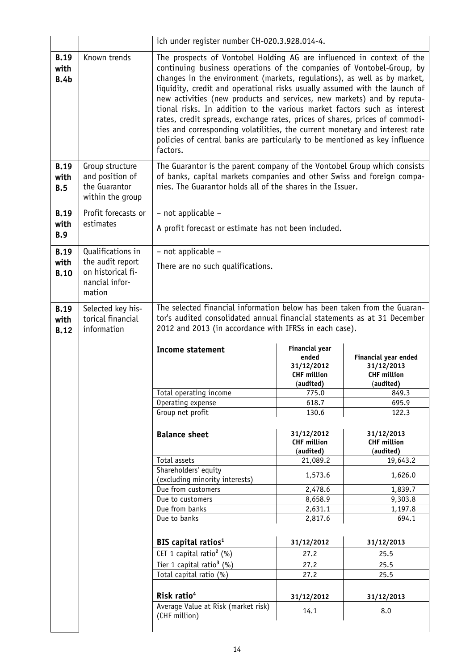|                                    |                                                                         | ich under register number CH-020.3.928.014-4.                                                                                                                                                                                                                                                                                                                                                                                                                                                                                                                                                                                                                                                                           |                                               |                                               |
|------------------------------------|-------------------------------------------------------------------------|-------------------------------------------------------------------------------------------------------------------------------------------------------------------------------------------------------------------------------------------------------------------------------------------------------------------------------------------------------------------------------------------------------------------------------------------------------------------------------------------------------------------------------------------------------------------------------------------------------------------------------------------------------------------------------------------------------------------------|-----------------------------------------------|-----------------------------------------------|
| <b>B.19</b><br>with<br>B.4b        | Known trends                                                            | The prospects of Vontobel Holding AG are influenced in context of the<br>continuing business operations of the companies of Vontobel-Group, by<br>changes in the environment (markets, regulations), as well as by market,<br>liquidity, credit and operational risks usually assumed with the launch of<br>new activities (new products and services, new markets) and by reputa-<br>tional risks. In addition to the various market factors such as interest<br>rates, credit spreads, exchange rates, prices of shares, prices of commodi-<br>ties and corresponding volatilities, the current monetary and interest rate<br>policies of central banks are particularly to be mentioned as key influence<br>factors. |                                               |                                               |
| <b>B.19</b><br>with<br>B.5         | Group structure<br>and position of<br>the Guarantor<br>within the group | The Guarantor is the parent company of the Vontobel Group which consists<br>of banks, capital markets companies and other Swiss and foreign compa-<br>nies. The Guarantor holds all of the shares in the Issuer.                                                                                                                                                                                                                                                                                                                                                                                                                                                                                                        |                                               |                                               |
| <b>B.19</b>                        | Profit forecasts or                                                     | - not applicable -                                                                                                                                                                                                                                                                                                                                                                                                                                                                                                                                                                                                                                                                                                      |                                               |                                               |
| with                               | estimates                                                               | A profit forecast or estimate has not been included.                                                                                                                                                                                                                                                                                                                                                                                                                                                                                                                                                                                                                                                                    |                                               |                                               |
| <b>B.9</b>                         |                                                                         |                                                                                                                                                                                                                                                                                                                                                                                                                                                                                                                                                                                                                                                                                                                         |                                               |                                               |
| <b>B.19</b>                        | Qualifications in                                                       | - not applicable -                                                                                                                                                                                                                                                                                                                                                                                                                                                                                                                                                                                                                                                                                                      |                                               |                                               |
| with<br><b>B.10</b>                | the audit report<br>on historical fi-<br>nancial infor-<br>mation       | There are no such qualifications.                                                                                                                                                                                                                                                                                                                                                                                                                                                                                                                                                                                                                                                                                       |                                               |                                               |
| <b>B.19</b><br>with<br><b>B.12</b> | Selected key his-<br>torical financial<br>information                   | The selected financial information below has been taken from the Guaran-<br>tor's audited consolidated annual financial statements as at 31 December<br>2012 and 2013 (in accordance with IFRSs in each case).                                                                                                                                                                                                                                                                                                                                                                                                                                                                                                          |                                               |                                               |
|                                    |                                                                         | <b>Income statement</b>                                                                                                                                                                                                                                                                                                                                                                                                                                                                                                                                                                                                                                                                                                 | <b>Financial year</b><br>ended<br>31/12/2012  | Financial year ended<br>31/12/2013            |
|                                    |                                                                         |                                                                                                                                                                                                                                                                                                                                                                                                                                                                                                                                                                                                                                                                                                                         | <b>CHF million</b>                            | <b>CHF million</b>                            |
|                                    |                                                                         | Total operating income                                                                                                                                                                                                                                                                                                                                                                                                                                                                                                                                                                                                                                                                                                  | (audited)<br>775.0                            | (audited)                                     |
|                                    |                                                                         | Operating expense                                                                                                                                                                                                                                                                                                                                                                                                                                                                                                                                                                                                                                                                                                       | 618.7                                         | 849.3<br>695.9                                |
|                                    |                                                                         | Group net profit                                                                                                                                                                                                                                                                                                                                                                                                                                                                                                                                                                                                                                                                                                        | 130.6                                         | 122.3                                         |
|                                    |                                                                         | <b>Balance sheet</b>                                                                                                                                                                                                                                                                                                                                                                                                                                                                                                                                                                                                                                                                                                    | 31/12/2012<br><b>CHF million</b><br>(audited) | 31/12/2013<br><b>CHF million</b><br>(audited) |
|                                    |                                                                         | Total assets                                                                                                                                                                                                                                                                                                                                                                                                                                                                                                                                                                                                                                                                                                            | 21,089.2                                      | 19,643.2                                      |
|                                    |                                                                         | Shareholders' equity                                                                                                                                                                                                                                                                                                                                                                                                                                                                                                                                                                                                                                                                                                    |                                               |                                               |
|                                    |                                                                         | (excluding minority interests)                                                                                                                                                                                                                                                                                                                                                                                                                                                                                                                                                                                                                                                                                          | 1,573.6                                       | 1,626.0                                       |
|                                    |                                                                         | Due from customers                                                                                                                                                                                                                                                                                                                                                                                                                                                                                                                                                                                                                                                                                                      | 2,478.6                                       | 1,839.7                                       |
|                                    |                                                                         | Due to customers                                                                                                                                                                                                                                                                                                                                                                                                                                                                                                                                                                                                                                                                                                        | 8,658.9                                       | 9,303.8                                       |
|                                    |                                                                         | Due from banks                                                                                                                                                                                                                                                                                                                                                                                                                                                                                                                                                                                                                                                                                                          | 2,631.1                                       | 1,197.8                                       |
|                                    |                                                                         | Due to banks                                                                                                                                                                                                                                                                                                                                                                                                                                                                                                                                                                                                                                                                                                            | 2,817.6                                       | 694.1                                         |
|                                    |                                                                         | BIS capital ratios <sup>1</sup>                                                                                                                                                                                                                                                                                                                                                                                                                                                                                                                                                                                                                                                                                         | 31/12/2012                                    | 31/12/2013                                    |
|                                    |                                                                         | CET 1 capital ratio <sup>2</sup> (%)                                                                                                                                                                                                                                                                                                                                                                                                                                                                                                                                                                                                                                                                                    | 27.2                                          | 25.5                                          |
|                                    |                                                                         | Tier 1 capital ratio <sup>3</sup> $(%)$                                                                                                                                                                                                                                                                                                                                                                                                                                                                                                                                                                                                                                                                                 | 27.2                                          | 25.5                                          |
|                                    |                                                                         | Total capital ratio (%)                                                                                                                                                                                                                                                                                                                                                                                                                                                                                                                                                                                                                                                                                                 | 27.2                                          | 25.5                                          |
|                                    |                                                                         | Risk ratio <sup>4</sup>                                                                                                                                                                                                                                                                                                                                                                                                                                                                                                                                                                                                                                                                                                 | 31/12/2012                                    | 31/12/2013                                    |
|                                    |                                                                         | Average Value at Risk (market risk)<br>(CHF million)                                                                                                                                                                                                                                                                                                                                                                                                                                                                                                                                                                                                                                                                    | 14.1                                          | 8.0                                           |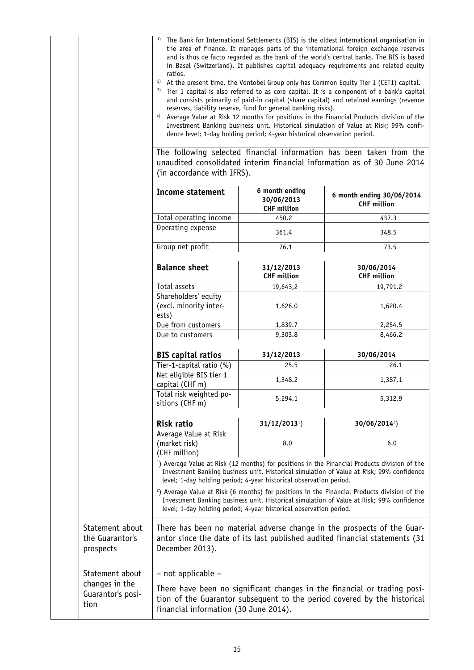- <sup>1)</sup> The Bank for International Settlements (BIS) is the oldest international organisation in the area of finance. It manages parts of the international foreign exchange reserves and is thus de facto regarded as the bank of the world's central banks. The BIS is based in Basel (Switzerland). It publishes capital adequacy requirements and related equity ratios.
- <sup>2)</sup> At the present time, the Vontobel Group only has Common Equity Tier 1 (CET1) capital.
- <sup>3)</sup> Tier 1 capital is also referred to as core capital. It is a component of a bank's capital and consists primarily of paid-in capital (share capital) and retained earnings (revenue reserves, liability reserve, fund for general banking risks).
- 4) Average Value at Risk 12 months for positions in the Financial Products division of the Investment Banking business unit. Historical simulation of Value at Risk; 99% confidence level; 1-day holding period; 4-year historical observation period.

The following selected financial information has been taken from the unaudited consolidated interim financial information as of 30 June 2014 (in accordance with IFRS).

|                                                                                                                                                                                                                                                                            | <b>Income statement</b>                                                                                                                                                                                                                                                   | 6 month ending<br>30/06/2013<br><b>CHF million</b> | 6 month ending 30/06/2014<br><b>CHF million</b> |  |
|----------------------------------------------------------------------------------------------------------------------------------------------------------------------------------------------------------------------------------------------------------------------------|---------------------------------------------------------------------------------------------------------------------------------------------------------------------------------------------------------------------------------------------------------------------------|----------------------------------------------------|-------------------------------------------------|--|
|                                                                                                                                                                                                                                                                            | Total operating income                                                                                                                                                                                                                                                    | 450.2                                              | 437.3                                           |  |
|                                                                                                                                                                                                                                                                            | Operating expense                                                                                                                                                                                                                                                         | 361.4                                              | 348.5                                           |  |
|                                                                                                                                                                                                                                                                            | Group net profit                                                                                                                                                                                                                                                          | 76.1                                               | 73.5                                            |  |
|                                                                                                                                                                                                                                                                            | <b>Balance sheet</b>                                                                                                                                                                                                                                                      | 31/12/2013<br><b>CHF million</b>                   | 30/06/2014<br><b>CHF million</b>                |  |
|                                                                                                                                                                                                                                                                            | Total assets                                                                                                                                                                                                                                                              | 19,643,2                                           | 19,791.2                                        |  |
|                                                                                                                                                                                                                                                                            | Shareholders' equity<br>(excl. minority inter-<br>ests)                                                                                                                                                                                                                   | 1,626.0                                            | 1,620.4                                         |  |
|                                                                                                                                                                                                                                                                            | Due from customers                                                                                                                                                                                                                                                        | 1,839.7                                            | 2,254.5                                         |  |
|                                                                                                                                                                                                                                                                            | Due to customers                                                                                                                                                                                                                                                          | 9,303.8                                            | 8,466.2                                         |  |
|                                                                                                                                                                                                                                                                            | <b>BIS capital ratios</b>                                                                                                                                                                                                                                                 | 31/12/2013                                         | 30/06/2014                                      |  |
|                                                                                                                                                                                                                                                                            | Tier-1-capital ratio (%)                                                                                                                                                                                                                                                  | 25.5                                               | 26.1                                            |  |
|                                                                                                                                                                                                                                                                            | Net eligible BIS tier 1<br>capital (CHF m)                                                                                                                                                                                                                                | 1,348.2                                            | 1,387.1                                         |  |
|                                                                                                                                                                                                                                                                            | Total risk weighted po-<br>sitions (CHF m)                                                                                                                                                                                                                                | 5,294.1                                            | 5,312.9                                         |  |
|                                                                                                                                                                                                                                                                            | Risk ratio                                                                                                                                                                                                                                                                | $31/12/20131$ )                                    | 30/06/2014 <sup>2</sup> )                       |  |
|                                                                                                                                                                                                                                                                            | Average Value at Risk<br>(market risk)<br>(CHF million)                                                                                                                                                                                                                   | 8.0                                                | 6.0                                             |  |
| <sup>1</sup> ) Average Value at Risk (12 months) for positions in the Financial Products division of the<br>Investment Banking business unit. Historical simulation of Value at Risk; 99% confidence<br>level; 1-day holding period; 4-year historical observation period. |                                                                                                                                                                                                                                                                           |                                                    |                                                 |  |
|                                                                                                                                                                                                                                                                            | <sup>2</sup> ) Average Value at Risk (6 months) for positions in the Financial Products division of the<br>Investment Banking business unit. Historical simulation of Value at Risk; 99% confidence<br>level; 1-day holding period; 4-year historical observation period. |                                                    |                                                 |  |
| Statement about<br>the Guarantor's<br>prospects                                                                                                                                                                                                                            | There has been no material adverse change in the prospects of the Guar-<br>antor since the date of its last published audited financial statements (31<br>December 2013).                                                                                                 |                                                    |                                                 |  |
| Statement about<br>changes in the                                                                                                                                                                                                                                          | - not applicable -                                                                                                                                                                                                                                                        |                                                    |                                                 |  |
| Guarantor's posi-<br>tion                                                                                                                                                                                                                                                  | There have been no significant changes in the financial or trading posi-<br>tion of the Guarantor subsequent to the period covered by the historical<br>financial information (30 June 2014).                                                                             |                                                    |                                                 |  |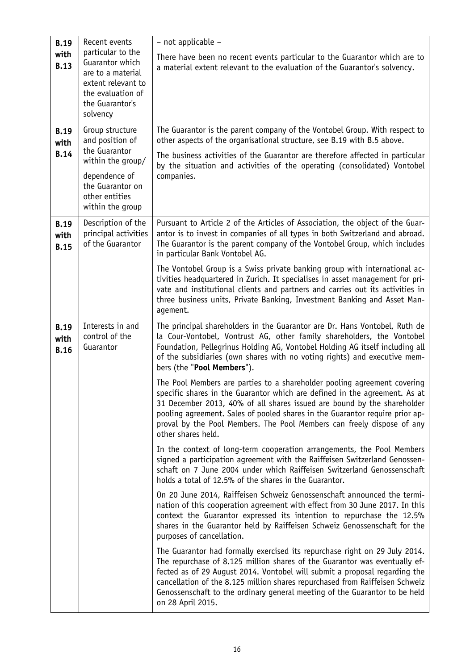| <b>B.19</b><br>with<br><b>B.13</b><br><b>B.19</b><br>with<br><b>B.14</b> | Recent events<br>particular to the<br>Guarantor which<br>are to a material<br>extent relevant to<br>the evaluation of<br>the Guarantor's<br>solvency<br>Group structure<br>and position of<br>the Guarantor<br>within the group/<br>dependence of<br>the Guarantor on<br>other entities | - not applicable -<br>There have been no recent events particular to the Guarantor which are to<br>a material extent relevant to the evaluation of the Guarantor's solvency.<br>The Guarantor is the parent company of the Vontobel Group. With respect to<br>other aspects of the organisational structure, see B.19 with B.5 above.<br>The business activities of the Guarantor are therefore affected in particular<br>by the situation and activities of the operating (consolidated) Vontobel<br>companies.                                                                                                                                                                                                                                                                                                                                                                                                                                                                                                                                                                                                                                                                                                                                                                                                                                                                                                                                                                                                                                                                                                                                                                                                                                                                                                                            |
|--------------------------------------------------------------------------|-----------------------------------------------------------------------------------------------------------------------------------------------------------------------------------------------------------------------------------------------------------------------------------------|---------------------------------------------------------------------------------------------------------------------------------------------------------------------------------------------------------------------------------------------------------------------------------------------------------------------------------------------------------------------------------------------------------------------------------------------------------------------------------------------------------------------------------------------------------------------------------------------------------------------------------------------------------------------------------------------------------------------------------------------------------------------------------------------------------------------------------------------------------------------------------------------------------------------------------------------------------------------------------------------------------------------------------------------------------------------------------------------------------------------------------------------------------------------------------------------------------------------------------------------------------------------------------------------------------------------------------------------------------------------------------------------------------------------------------------------------------------------------------------------------------------------------------------------------------------------------------------------------------------------------------------------------------------------------------------------------------------------------------------------------------------------------------------------------------------------------------------------|
| <b>B.19</b><br>with<br><b>B.15</b>                                       | within the group<br>Description of the<br>principal activities<br>of the Guarantor                                                                                                                                                                                                      | Pursuant to Article 2 of the Articles of Association, the object of the Guar-<br>antor is to invest in companies of all types in both Switzerland and abroad.<br>The Guarantor is the parent company of the Vontobel Group, which includes<br>in particular Bank Vontobel AG.<br>The Vontobel Group is a Swiss private banking group with international ac-<br>tivities headquartered in Zurich. It specialises in asset management for pri-<br>vate and institutional clients and partners and carries out its activities in<br>three business units, Private Banking, Investment Banking and Asset Man-<br>agement.                                                                                                                                                                                                                                                                                                                                                                                                                                                                                                                                                                                                                                                                                                                                                                                                                                                                                                                                                                                                                                                                                                                                                                                                                       |
| <b>B.19</b><br>with<br><b>B.16</b>                                       | Interests in and<br>control of the<br>Guarantor                                                                                                                                                                                                                                         | The principal shareholders in the Guarantor are Dr. Hans Vontobel, Ruth de<br>la Cour-Vontobel, Vontrust AG, other family shareholders, the Vontobel<br>Foundation, Pellegrinus Holding AG, Vontobel Holding AG itself including all<br>of the subsidiaries (own shares with no voting rights) and executive mem-<br>bers (the "Pool Members").<br>The Pool Members are parties to a shareholder pooling agreement covering<br>specific shares in the Guarantor which are defined in the agreement. As at<br>31 December 2013, 40% of all shares issued are bound by the shareholder<br>pooling agreement. Sales of pooled shares in the Guarantor require prior ap-<br>proval by the Pool Members. The Pool Members can freely dispose of any<br>other shares held.<br>In the context of long-term cooperation arrangements, the Pool Members<br>signed a participation agreement with the Raiffeisen Switzerland Genossen-<br>schaft on 7 June 2004 under which Raiffeisen Switzerland Genossenschaft<br>holds a total of 12.5% of the shares in the Guarantor.<br>On 20 June 2014, Raiffeisen Schweiz Genossenschaft announced the termi-<br>nation of this cooperation agreement with effect from 30 June 2017. In this<br>context the Guarantor expressed its intention to repurchase the 12.5%<br>shares in the Guarantor held by Raiffeisen Schweiz Genossenschaft for the<br>purposes of cancellation.<br>The Guarantor had formally exercised its repurchase right on 29 July 2014.<br>The repurchase of 8.125 million shares of the Guarantor was eventually ef-<br>fected as of 29 August 2014. Vontobel will submit a proposal regarding the<br>cancellation of the 8.125 million shares repurchased from Raiffeisen Schweiz<br>Genossenschaft to the ordinary general meeting of the Guarantor to be held<br>on 28 April 2015. |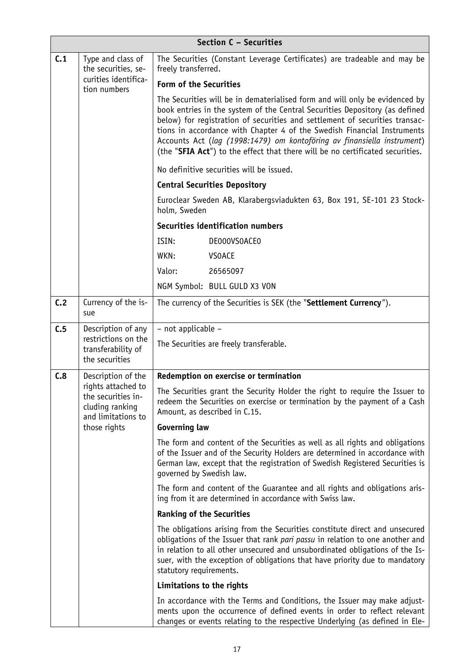| Section C - Securities                |                                                                                                                                                                                                                                                                                                                                                                                                                                                                                  |                                                                                                                                                                                                                                                                                                                                                        |
|---------------------------------------|----------------------------------------------------------------------------------------------------------------------------------------------------------------------------------------------------------------------------------------------------------------------------------------------------------------------------------------------------------------------------------------------------------------------------------------------------------------------------------|--------------------------------------------------------------------------------------------------------------------------------------------------------------------------------------------------------------------------------------------------------------------------------------------------------------------------------------------------------|
| C.1                                   | Type and class of<br>the securities, se-<br>curities identifica-<br>tion numbers                                                                                                                                                                                                                                                                                                                                                                                                 | The Securities (Constant Leverage Certificates) are tradeable and may be<br>freely transferred.                                                                                                                                                                                                                                                        |
|                                       |                                                                                                                                                                                                                                                                                                                                                                                                                                                                                  | <b>Form of the Securities</b>                                                                                                                                                                                                                                                                                                                          |
|                                       | The Securities will be in dematerialised form and will only be evidenced by<br>book entries in the system of the Central Securities Depository (as defined<br>below) for registration of securities and settlement of securities transac-<br>tions in accordance with Chapter 4 of the Swedish Financial Instruments<br>Accounts Act (lag (1998:1479) om kontoföring av finansiella instrument)<br>(the "SFIA Act") to the effect that there will be no certificated securities. |                                                                                                                                                                                                                                                                                                                                                        |
|                                       |                                                                                                                                                                                                                                                                                                                                                                                                                                                                                  | No definitive securities will be issued.                                                                                                                                                                                                                                                                                                               |
|                                       |                                                                                                                                                                                                                                                                                                                                                                                                                                                                                  | <b>Central Securities Depository</b>                                                                                                                                                                                                                                                                                                                   |
|                                       |                                                                                                                                                                                                                                                                                                                                                                                                                                                                                  | Euroclear Sweden AB, Klarabergsviadukten 63, Box 191, SE-101 23 Stock-<br>holm, Sweden                                                                                                                                                                                                                                                                 |
|                                       |                                                                                                                                                                                                                                                                                                                                                                                                                                                                                  | Securities identification numbers                                                                                                                                                                                                                                                                                                                      |
|                                       |                                                                                                                                                                                                                                                                                                                                                                                                                                                                                  | ISIN:<br>DE000VS0ACE0                                                                                                                                                                                                                                                                                                                                  |
|                                       |                                                                                                                                                                                                                                                                                                                                                                                                                                                                                  | WKN:<br><b>VSOACE</b>                                                                                                                                                                                                                                                                                                                                  |
|                                       |                                                                                                                                                                                                                                                                                                                                                                                                                                                                                  | Valor:<br>26565097                                                                                                                                                                                                                                                                                                                                     |
|                                       |                                                                                                                                                                                                                                                                                                                                                                                                                                                                                  | NGM Symbol: BULL GULD X3 VON                                                                                                                                                                                                                                                                                                                           |
| C.2                                   | Currency of the is-<br>sue                                                                                                                                                                                                                                                                                                                                                                                                                                                       | The currency of the Securities is SEK (the "Settlement Currency").                                                                                                                                                                                                                                                                                     |
| C.5                                   | Description of any                                                                                                                                                                                                                                                                                                                                                                                                                                                               | - not applicable -                                                                                                                                                                                                                                                                                                                                     |
|                                       | restrictions on the<br>transferability of<br>the securities                                                                                                                                                                                                                                                                                                                                                                                                                      | The Securities are freely transferable.                                                                                                                                                                                                                                                                                                                |
| C.8                                   | Description of the                                                                                                                                                                                                                                                                                                                                                                                                                                                               | Redemption on exercise or termination                                                                                                                                                                                                                                                                                                                  |
| rights attached to<br>cluding ranking | the securities in-<br>and limitations to                                                                                                                                                                                                                                                                                                                                                                                                                                         | The Securities grant the Security Holder the right to require the Issuer to<br>redeem the Securities on exercise or termination by the payment of a Cash<br>Amount, as described in C.15.                                                                                                                                                              |
|                                       | those rights                                                                                                                                                                                                                                                                                                                                                                                                                                                                     | <b>Governing law</b>                                                                                                                                                                                                                                                                                                                                   |
|                                       |                                                                                                                                                                                                                                                                                                                                                                                                                                                                                  | The form and content of the Securities as well as all rights and obligations<br>of the Issuer and of the Security Holders are determined in accordance with<br>German law, except that the registration of Swedish Registered Securities is<br>governed by Swedish law.                                                                                |
|                                       |                                                                                                                                                                                                                                                                                                                                                                                                                                                                                  | The form and content of the Guarantee and all rights and obligations aris-<br>ing from it are determined in accordance with Swiss law.                                                                                                                                                                                                                 |
|                                       |                                                                                                                                                                                                                                                                                                                                                                                                                                                                                  | <b>Ranking of the Securities</b>                                                                                                                                                                                                                                                                                                                       |
|                                       |                                                                                                                                                                                                                                                                                                                                                                                                                                                                                  | The obligations arising from the Securities constitute direct and unsecured<br>obligations of the Issuer that rank pari passu in relation to one another and<br>in relation to all other unsecured and unsubordinated obligations of the Is-<br>suer, with the exception of obligations that have priority due to mandatory<br>statutory requirements. |
|                                       |                                                                                                                                                                                                                                                                                                                                                                                                                                                                                  | Limitations to the rights                                                                                                                                                                                                                                                                                                                              |
|                                       |                                                                                                                                                                                                                                                                                                                                                                                                                                                                                  | In accordance with the Terms and Conditions, the Issuer may make adjust-<br>ments upon the occurrence of defined events in order to reflect relevant<br>changes or events relating to the respective Underlying (as defined in Ele-                                                                                                                    |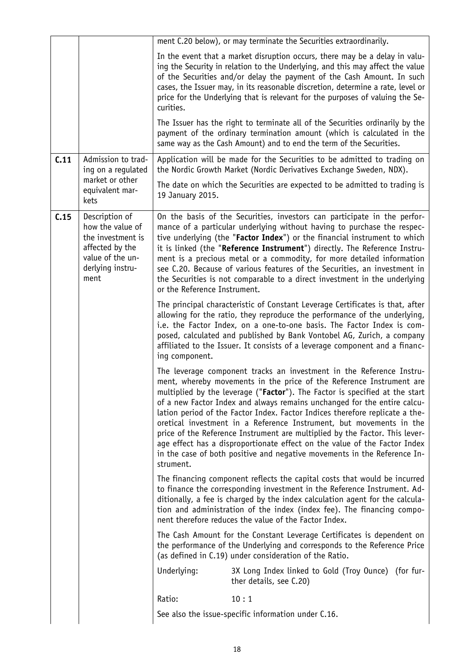|      |                                                                                                                            | ment C.20 below), or may terminate the Securities extraordinarily.                                                                                                                                                                                                                                                                                                                                                                                                                                                                                                                                                                                                                                                  |
|------|----------------------------------------------------------------------------------------------------------------------------|---------------------------------------------------------------------------------------------------------------------------------------------------------------------------------------------------------------------------------------------------------------------------------------------------------------------------------------------------------------------------------------------------------------------------------------------------------------------------------------------------------------------------------------------------------------------------------------------------------------------------------------------------------------------------------------------------------------------|
|      |                                                                                                                            | In the event that a market disruption occurs, there may be a delay in valu-<br>ing the Security in relation to the Underlying, and this may affect the value<br>of the Securities and/or delay the payment of the Cash Amount. In such<br>cases, the Issuer may, in its reasonable discretion, determine a rate, level or<br>price for the Underlying that is relevant for the purposes of valuing the Se-<br>curities.                                                                                                                                                                                                                                                                                             |
|      |                                                                                                                            | The Issuer has the right to terminate all of the Securities ordinarily by the<br>payment of the ordinary termination amount (which is calculated in the<br>same way as the Cash Amount) and to end the term of the Securities.                                                                                                                                                                                                                                                                                                                                                                                                                                                                                      |
| C.11 | Admission to trad-<br>ing on a regulated                                                                                   | Application will be made for the Securities to be admitted to trading on<br>the Nordic Growth Market (Nordic Derivatives Exchange Sweden, NDX).                                                                                                                                                                                                                                                                                                                                                                                                                                                                                                                                                                     |
|      | market or other<br>equivalent mar-<br>kets                                                                                 | The date on which the Securities are expected to be admitted to trading is<br>19 January 2015.                                                                                                                                                                                                                                                                                                                                                                                                                                                                                                                                                                                                                      |
| C.15 | Description of<br>how the value of<br>the investment is<br>affected by the<br>value of the un-<br>derlying instru-<br>ment | On the basis of the Securities, investors can participate in the perfor-<br>mance of a particular underlying without having to purchase the respec-<br>tive underlying (the "Factor Index") or the financial instrument to which<br>it is linked (the "Reference Instrument") directly. The Reference Instru-<br>ment is a precious metal or a commodity, for more detailed information<br>see C.20. Because of various features of the Securities, an investment in<br>the Securities is not comparable to a direct investment in the underlying<br>or the Reference Instrument.                                                                                                                                   |
|      |                                                                                                                            | The principal characteristic of Constant Leverage Certificates is that, after<br>allowing for the ratio, they reproduce the performance of the underlying,<br>i.e. the Factor Index, on a one-to-one basis. The Factor Index is com-<br>posed, calculated and published by Bank Vontobel AG, Zurich, a company<br>affiliated to the Issuer. It consists of a leverage component and a financ-<br>ing component.                                                                                                                                                                                                                                                                                                     |
|      |                                                                                                                            | The leverage component tracks an investment in the Reference Instru-<br>ment, whereby movements in the price of the Reference Instrument are<br>multiplied by the leverage ("Factor"). The Factor is specified at the start<br>of a new Factor Index and always remains unchanged for the entire calcu-<br>lation period of the Factor Index. Factor Indices therefore replicate a the-<br>oretical investment in a Reference Instrument, but movements in the<br>price of the Reference Instrument are multiplied by the Factor. This lever-<br>age effect has a disproportionate effect on the value of the Factor Index<br>in the case of both positive and negative movements in the Reference In-<br>strument. |
|      |                                                                                                                            | The financing component reflects the capital costs that would be incurred<br>to finance the corresponding investment in the Reference Instrument. Ad-<br>ditionally, a fee is charged by the index calculation agent for the calcula-<br>tion and administration of the index (index fee). The financing compo-<br>nent therefore reduces the value of the Factor Index.                                                                                                                                                                                                                                                                                                                                            |
|      |                                                                                                                            | The Cash Amount for the Constant Leverage Certificates is dependent on<br>the performance of the Underlying and corresponds to the Reference Price<br>(as defined in C.19) under consideration of the Ratio.                                                                                                                                                                                                                                                                                                                                                                                                                                                                                                        |
|      |                                                                                                                            | 3X Long Index linked to Gold (Troy Ounce) (for fur-<br>Underlying:<br>ther details, see C.20)                                                                                                                                                                                                                                                                                                                                                                                                                                                                                                                                                                                                                       |
|      |                                                                                                                            | Ratio:<br>10:1                                                                                                                                                                                                                                                                                                                                                                                                                                                                                                                                                                                                                                                                                                      |
|      |                                                                                                                            | See also the issue-specific information under C.16.                                                                                                                                                                                                                                                                                                                                                                                                                                                                                                                                                                                                                                                                 |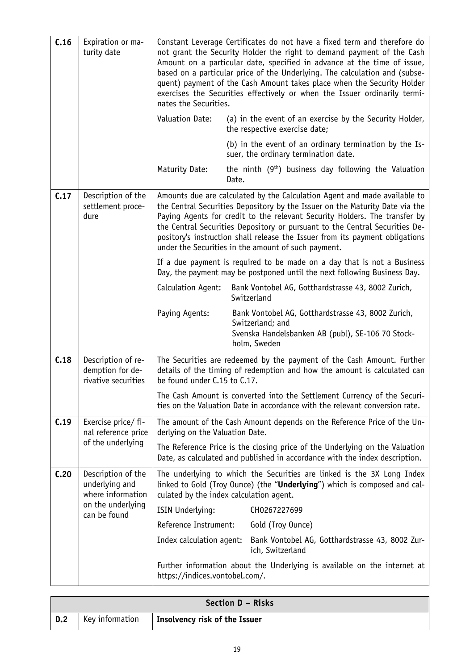| C.16 | Expiration or ma-<br>turity date                              | Constant Leverage Certificates do not have a fixed term and therefore do<br>not grant the Security Holder the right to demand payment of the Cash<br>Amount on a particular date, specified in advance at the time of issue,<br>based on a particular price of the Underlying. The calculation and (subse-<br>quent) payment of the Cash Amount takes place when the Security Holder<br>exercises the Securities effectively or when the Issuer ordinarily termi-<br>nates the Securities. |  |  |
|------|---------------------------------------------------------------|--------------------------------------------------------------------------------------------------------------------------------------------------------------------------------------------------------------------------------------------------------------------------------------------------------------------------------------------------------------------------------------------------------------------------------------------------------------------------------------------|--|--|
|      |                                                               | Valuation Date:<br>(a) in the event of an exercise by the Security Holder,<br>the respective exercise date;                                                                                                                                                                                                                                                                                                                                                                                |  |  |
|      |                                                               | (b) in the event of an ordinary termination by the Is-<br>suer, the ordinary termination date.                                                                                                                                                                                                                                                                                                                                                                                             |  |  |
|      |                                                               | Maturity Date:<br>the ninth $(9th)$ business day following the Valuation<br>Date.                                                                                                                                                                                                                                                                                                                                                                                                          |  |  |
| C.17 | Description of the<br>settlement proce-<br>dure               | Amounts due are calculated by the Calculation Agent and made available to<br>the Central Securities Depository by the Issuer on the Maturity Date via the<br>Paying Agents for credit to the relevant Security Holders. The transfer by<br>the Central Securities Depository or pursuant to the Central Securities De-<br>pository's instruction shall release the Issuer from its payment obligations<br>under the Securities in the amount of such payment.                              |  |  |
|      |                                                               | If a due payment is required to be made on a day that is not a Business<br>Day, the payment may be postponed until the next following Business Day.                                                                                                                                                                                                                                                                                                                                        |  |  |
|      |                                                               | Calculation Agent:<br>Bank Vontobel AG, Gotthardstrasse 43, 8002 Zurich,<br>Switzerland                                                                                                                                                                                                                                                                                                                                                                                                    |  |  |
|      |                                                               | Paying Agents:<br>Bank Vontobel AG, Gotthardstrasse 43, 8002 Zurich,<br>Switzerland; and<br>Svenska Handelsbanken AB (publ), SE-106 70 Stock-<br>holm, Sweden                                                                                                                                                                                                                                                                                                                              |  |  |
| C.18 | Description of re-<br>demption for de-<br>rivative securities | The Securities are redeemed by the payment of the Cash Amount. Further<br>details of the timing of redemption and how the amount is calculated can<br>be found under C.15 to C.17.                                                                                                                                                                                                                                                                                                         |  |  |
|      |                                                               | The Cash Amount is converted into the Settlement Currency of the Securi-<br>ties on the Valuation Date in accordance with the relevant conversion rate.                                                                                                                                                                                                                                                                                                                                    |  |  |
| C.19 | Exercise price/ fi-<br>nal reference price                    | The amount of the Cash Amount depends on the Reference Price of the Un-<br>derlying on the Valuation Date.                                                                                                                                                                                                                                                                                                                                                                                 |  |  |
|      | of the underlying                                             | The Reference Price is the closing price of the Underlying on the Valuation<br>Date, as calculated and published in accordance with the index description.                                                                                                                                                                                                                                                                                                                                 |  |  |
| C.20 | Description of the<br>underlying and<br>where information     | The underlying to which the Securities are linked is the 3X Long Index<br>linked to Gold (Troy Ounce) (the "Underlying") which is composed and cal-<br>culated by the index calculation agent.                                                                                                                                                                                                                                                                                             |  |  |
|      | on the underlying<br>can be found                             | ISIN Underlying:<br>CH0267227699                                                                                                                                                                                                                                                                                                                                                                                                                                                           |  |  |
|      |                                                               | Reference Instrument:<br>Gold (Troy Ounce)                                                                                                                                                                                                                                                                                                                                                                                                                                                 |  |  |
|      |                                                               | Index calculation agent:<br>Bank Vontobel AG, Gotthardstrasse 43, 8002 Zur-<br>ich, Switzerland                                                                                                                                                                                                                                                                                                                                                                                            |  |  |
|      |                                                               | Further information about the Underlying is available on the internet at<br>https://indices.vontobel.com/.                                                                                                                                                                                                                                                                                                                                                                                 |  |  |

| Section D - Risks |                 |                               |  |  |
|-------------------|-----------------|-------------------------------|--|--|
| $\vert$ D.2       | Key information | Insolvency risk of the Issuer |  |  |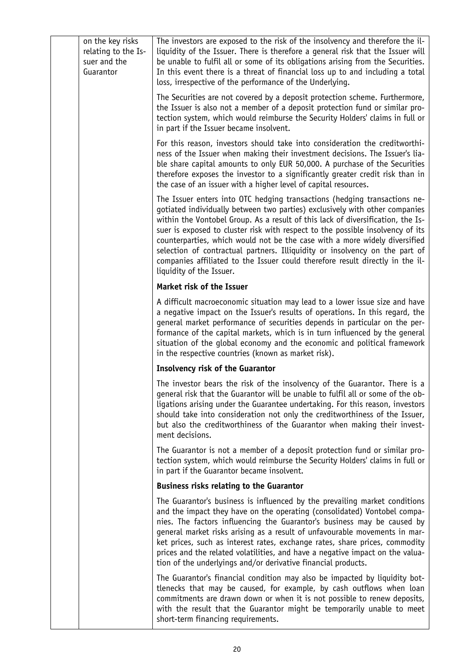| on the key risks<br>relating to the Is-<br>suer and the<br>Guarantor | The investors are exposed to the risk of the insolvency and therefore the il-<br>liquidity of the Issuer. There is therefore a general risk that the Issuer will<br>be unable to fulfil all or some of its obligations arising from the Securities.<br>In this event there is a threat of financial loss up to and including a total<br>loss, irrespective of the performance of the Underlying.                                                                                                                                                                                                        |
|----------------------------------------------------------------------|---------------------------------------------------------------------------------------------------------------------------------------------------------------------------------------------------------------------------------------------------------------------------------------------------------------------------------------------------------------------------------------------------------------------------------------------------------------------------------------------------------------------------------------------------------------------------------------------------------|
|                                                                      | The Securities are not covered by a deposit protection scheme. Furthermore,<br>the Issuer is also not a member of a deposit protection fund or similar pro-<br>tection system, which would reimburse the Security Holders' claims in full or<br>in part if the Issuer became insolvent.                                                                                                                                                                                                                                                                                                                 |
|                                                                      | For this reason, investors should take into consideration the creditworthi-<br>ness of the Issuer when making their investment decisions. The Issuer's lia-<br>ble share capital amounts to only EUR 50,000. A purchase of the Securities<br>therefore exposes the investor to a significantly greater credit risk than in<br>the case of an issuer with a higher level of capital resources.                                                                                                                                                                                                           |
|                                                                      | The Issuer enters into OTC hedging transactions (hedging transactions ne-<br>gotiated individually between two parties) exclusively with other companies<br>within the Vontobel Group. As a result of this lack of diversification, the Is-<br>suer is exposed to cluster risk with respect to the possible insolvency of its<br>counterparties, which would not be the case with a more widely diversified<br>selection of contractual partners. Illiquidity or insolvency on the part of<br>companies affiliated to the Issuer could therefore result directly in the il-<br>liquidity of the Issuer. |
|                                                                      | Market risk of the Issuer                                                                                                                                                                                                                                                                                                                                                                                                                                                                                                                                                                               |
|                                                                      | A difficult macroeconomic situation may lead to a lower issue size and have<br>a negative impact on the Issuer's results of operations. In this regard, the<br>general market performance of securities depends in particular on the per-<br>formance of the capital markets, which is in turn influenced by the general<br>situation of the global economy and the economic and political framework<br>in the respective countries (known as market risk).                                                                                                                                             |
|                                                                      | <b>Insolvency risk of the Guarantor</b>                                                                                                                                                                                                                                                                                                                                                                                                                                                                                                                                                                 |
|                                                                      | The investor bears the risk of the insolvency of the Guarantor. There is a<br>general risk that the Guarantor will be unable to fulfil all or some of the ob-<br>ligations arising under the Guarantee undertaking. For this reason, investors<br>should take into consideration not only the creditworthiness of the Issuer,<br>but also the creditworthiness of the Guarantor when making their invest-<br>ment decisions.                                                                                                                                                                            |
|                                                                      | The Guarantor is not a member of a deposit protection fund or similar pro-<br>tection system, which would reimburse the Security Holders' claims in full or<br>in part if the Guarantor became insolvent.                                                                                                                                                                                                                                                                                                                                                                                               |
|                                                                      | <b>Business risks relating to the Guarantor</b>                                                                                                                                                                                                                                                                                                                                                                                                                                                                                                                                                         |
|                                                                      | The Guarantor's business is influenced by the prevailing market conditions<br>and the impact they have on the operating (consolidated) Vontobel compa-<br>nies. The factors influencing the Guarantor's business may be caused by<br>general market risks arising as a result of unfavourable movements in mar-<br>ket prices, such as interest rates, exchange rates, share prices, commodity<br>prices and the related volatilities, and have a negative impact on the valua-<br>tion of the underlyings and/or derivative financial products.                                                        |
|                                                                      | The Guarantor's financial condition may also be impacted by liquidity bot-<br>tlenecks that may be caused, for example, by cash outflows when loan<br>commitments are drawn down or when it is not possible to renew deposits,<br>with the result that the Guarantor might be temporarily unable to meet<br>short-term financing requirements.                                                                                                                                                                                                                                                          |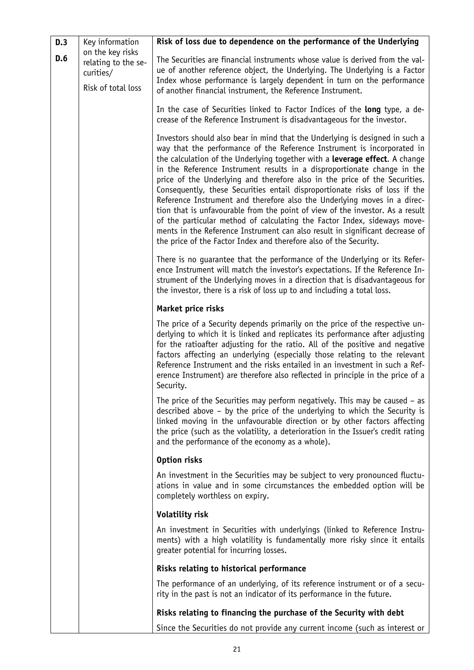| D.3                    | Key information<br>on the key risks<br>relating to the se-<br>curities/<br>Risk of total loss | Risk of loss due to dependence on the performance of the Underlying                                                                                                                                                                                                                                                                                                                                                                                                                                                                                                                                                                                                                                                                                                                                                                                                          |
|------------------------|-----------------------------------------------------------------------------------------------|------------------------------------------------------------------------------------------------------------------------------------------------------------------------------------------------------------------------------------------------------------------------------------------------------------------------------------------------------------------------------------------------------------------------------------------------------------------------------------------------------------------------------------------------------------------------------------------------------------------------------------------------------------------------------------------------------------------------------------------------------------------------------------------------------------------------------------------------------------------------------|
| D.6                    |                                                                                               | The Securities are financial instruments whose value is derived from the val-<br>ue of another reference object, the Underlying. The Underlying is a Factor<br>Index whose performance is largely dependent in turn on the performance<br>of another financial instrument, the Reference Instrument.                                                                                                                                                                                                                                                                                                                                                                                                                                                                                                                                                                         |
|                        |                                                                                               | In the case of Securities linked to Factor Indices of the long type, a de-<br>crease of the Reference Instrument is disadvantageous for the investor.                                                                                                                                                                                                                                                                                                                                                                                                                                                                                                                                                                                                                                                                                                                        |
|                        |                                                                                               | Investors should also bear in mind that the Underlying is designed in such a<br>way that the performance of the Reference Instrument is incorporated in<br>the calculation of the Underlying together with a leverage effect. A change<br>in the Reference Instrument results in a disproportionate change in the<br>price of the Underlying and therefore also in the price of the Securities.<br>Consequently, these Securities entail disproportionate risks of loss if the<br>Reference Instrument and therefore also the Underlying moves in a direc-<br>tion that is unfavourable from the point of view of the investor. As a result<br>of the particular method of calculating the Factor Index, sideways move-<br>ments in the Reference Instrument can also result in significant decrease of<br>the price of the Factor Index and therefore also of the Security. |
|                        |                                                                                               | There is no guarantee that the performance of the Underlying or its Refer-<br>ence Instrument will match the investor's expectations. If the Reference In-<br>strument of the Underlying moves in a direction that is disadvantageous for<br>the investor, there is a risk of loss up to and including a total loss.                                                                                                                                                                                                                                                                                                                                                                                                                                                                                                                                                         |
| Market price risks     |                                                                                               |                                                                                                                                                                                                                                                                                                                                                                                                                                                                                                                                                                                                                                                                                                                                                                                                                                                                              |
|                        |                                                                                               | The price of a Security depends primarily on the price of the respective un-<br>derlying to which it is linked and replicates its performance after adjusting<br>for the ratioafter adjusting for the ratio. All of the positive and negative<br>factors affecting an underlying (especially those relating to the relevant<br>Reference Instrument and the risks entailed in an investment in such a Ref-<br>erence Instrument) are therefore also reflected in principle in the price of a<br>Security.                                                                                                                                                                                                                                                                                                                                                                    |
|                        |                                                                                               | The price of the Securities may perform negatively. This may be caused $-$ as<br>described above - by the price of the underlying to which the Security is<br>linked moving in the unfavourable direction or by other factors affecting<br>the price (such as the volatility, a deterioration in the Issuer's credit rating<br>and the performance of the economy as a whole).                                                                                                                                                                                                                                                                                                                                                                                                                                                                                               |
|                        | Option risks                                                                                  |                                                                                                                                                                                                                                                                                                                                                                                                                                                                                                                                                                                                                                                                                                                                                                                                                                                                              |
|                        |                                                                                               | An investment in the Securities may be subject to very pronounced fluctu-<br>ations in value and in some circumstances the embedded option will be<br>completely worthless on expiry.                                                                                                                                                                                                                                                                                                                                                                                                                                                                                                                                                                                                                                                                                        |
| <b>Volatility risk</b> |                                                                                               |                                                                                                                                                                                                                                                                                                                                                                                                                                                                                                                                                                                                                                                                                                                                                                                                                                                                              |
|                        |                                                                                               | An investment in Securities with underlyings (linked to Reference Instru-<br>ments) with a high volatility is fundamentally more risky since it entails<br>greater potential for incurring losses.                                                                                                                                                                                                                                                                                                                                                                                                                                                                                                                                                                                                                                                                           |
|                        |                                                                                               | Risks relating to historical performance                                                                                                                                                                                                                                                                                                                                                                                                                                                                                                                                                                                                                                                                                                                                                                                                                                     |
|                        |                                                                                               | The performance of an underlying, of its reference instrument or of a secu-<br>rity in the past is not an indicator of its performance in the future.                                                                                                                                                                                                                                                                                                                                                                                                                                                                                                                                                                                                                                                                                                                        |
|                        |                                                                                               | Risks relating to financing the purchase of the Security with debt                                                                                                                                                                                                                                                                                                                                                                                                                                                                                                                                                                                                                                                                                                                                                                                                           |
|                        |                                                                                               | Since the Securities do not provide any current income (such as interest or                                                                                                                                                                                                                                                                                                                                                                                                                                                                                                                                                                                                                                                                                                                                                                                                  |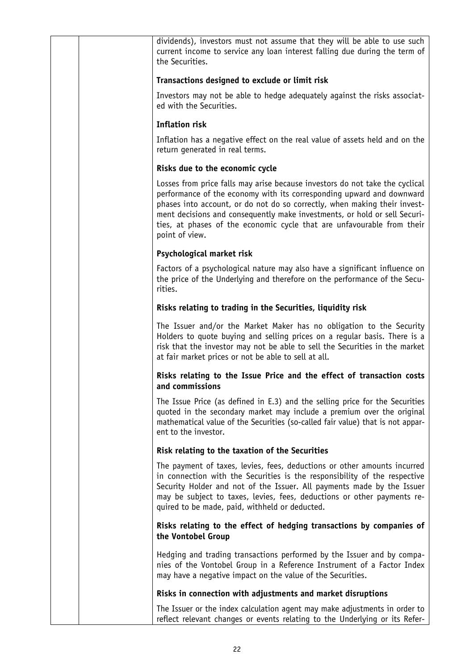| dividends), investors must not assume that they will be able to use such<br>current income to service any loan interest falling due during the term of<br>the Securities.                                                                                                                                                                                                                                   |
|-------------------------------------------------------------------------------------------------------------------------------------------------------------------------------------------------------------------------------------------------------------------------------------------------------------------------------------------------------------------------------------------------------------|
| Transactions designed to exclude or limit risk                                                                                                                                                                                                                                                                                                                                                              |
| Investors may not be able to hedge adequately against the risks associat-<br>ed with the Securities.                                                                                                                                                                                                                                                                                                        |
| <b>Inflation risk</b>                                                                                                                                                                                                                                                                                                                                                                                       |
| Inflation has a negative effect on the real value of assets held and on the<br>return generated in real terms.                                                                                                                                                                                                                                                                                              |
| Risks due to the economic cycle                                                                                                                                                                                                                                                                                                                                                                             |
| Losses from price falls may arise because investors do not take the cyclical<br>performance of the economy with its corresponding upward and downward<br>phases into account, or do not do so correctly, when making their invest-<br>ment decisions and consequently make investments, or hold or sell Securi-<br>ties, at phases of the economic cycle that are unfavourable from their<br>point of view. |
| Psychological market risk                                                                                                                                                                                                                                                                                                                                                                                   |
| Factors of a psychological nature may also have a significant influence on<br>the price of the Underlying and therefore on the performance of the Secu-<br>rities.                                                                                                                                                                                                                                          |
| Risks relating to trading in the Securities, liquidity risk                                                                                                                                                                                                                                                                                                                                                 |
| The Issuer and/or the Market Maker has no obligation to the Security<br>Holders to quote buying and selling prices on a regular basis. There is a<br>risk that the investor may not be able to sell the Securities in the market<br>at fair market prices or not be able to sell at all.                                                                                                                    |
| Risks relating to the Issue Price and the effect of transaction costs<br>and commissions                                                                                                                                                                                                                                                                                                                    |
| The Issue Price (as defined in E.3) and the selling price for the Securities<br>quoted in the secondary market may include a premium over the original<br>mathematical value of the Securities (so-called fair value) that is not appar-<br>ent to the investor.                                                                                                                                            |
| Risk relating to the taxation of the Securities                                                                                                                                                                                                                                                                                                                                                             |
| The payment of taxes, levies, fees, deductions or other amounts incurred<br>in connection with the Securities is the responsibility of the respective<br>Security Holder and not of the Issuer. All payments made by the Issuer<br>may be subject to taxes, levies, fees, deductions or other payments re-<br>quired to be made, paid, withheld or deducted.                                                |
| Risks relating to the effect of hedging transactions by companies of<br>the Vontobel Group                                                                                                                                                                                                                                                                                                                  |
| Hedging and trading transactions performed by the Issuer and by compa-<br>nies of the Vontobel Group in a Reference Instrument of a Factor Index<br>may have a negative impact on the value of the Securities.                                                                                                                                                                                              |
| Risks in connection with adjustments and market disruptions                                                                                                                                                                                                                                                                                                                                                 |
| The Issuer or the index calculation agent may make adjustments in order to<br>reflect relevant changes or events relating to the Underlying or its Refer-                                                                                                                                                                                                                                                   |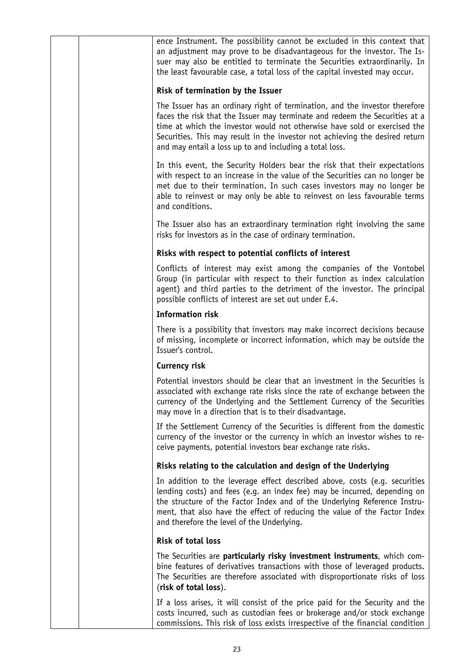| Risk of termination by the Issuer<br>The Issuer has an ordinary right of termination, and the investor therefore<br>faces the risk that the Issuer may terminate and redeem the Securities at a<br>time at which the investor would not otherwise have sold or exercised the<br>Securities. This may result in the investor not achieving the desired return<br>and may entail a loss up to and including a total loss.<br>In this event, the Security Holders bear the risk that their expectations<br>with respect to an increase in the value of the Securities can no longer be<br>met due to their termination. In such cases investors may no longer be<br>able to reinvest or may only be able to reinvest on less favourable terms<br>and conditions.<br>The Issuer also has an extraordinary termination right involving the same<br>risks for investors as in the case of ordinary termination.<br>Risks with respect to potential conflicts of interest<br>Conflicts of interest may exist among the companies of the Vontobel<br>Group (in particular with respect to their function as index calculation<br>agent) and third parties to the detriment of the investor. The principal<br>possible conflicts of interest are set out under E.4.<br><b>Information risk</b><br>There is a possibility that investors may make incorrect decisions because<br>of missing, incomplete or incorrect information, which may be outside the<br>Issuer's control.<br>Currency risk<br>Potential investors should be clear that an investment in the Securities is<br>associated with exchange rate risks since the rate of exchange between the<br>currency of the Underlying and the Settlement Currency of the Securities<br>may move in a direction that is to their disadvantage.<br>If the Settlement Currency of the Securities is different from the domestic<br>currency of the investor or the currency in which an investor wishes to re-<br>ceive payments, potential investors bear exchange rate risks.<br>Risks relating to the calculation and design of the Underlying<br>In addition to the leverage effect described above, costs (e.g. securities<br>lending costs) and fees (e.g. an index fee) may be incurred, depending on<br>the structure of the Factor Index and of the Underlying Reference Instru-<br>ment, that also have the effect of reducing the value of the Factor Index<br>and therefore the level of the Underlying.<br><b>Risk of total loss</b><br>The Securities are particularly risky investment instruments, which com-<br>bine features of derivatives transactions with those of leveraged products.<br>The Securities are therefore associated with disproportionate risks of loss<br>(risk of total loss).<br>If a loss arises, it will consist of the price paid for the Security and the<br>costs incurred, such as custodian fees or brokerage and/or stock exchange<br>commissions. This risk of loss exists irrespective of the financial condition | ence Instrument. The possibility cannot be excluded in this context that<br>an adjustment may prove to be disadvantageous for the investor. The Is-<br>suer may also be entitled to terminate the Securities extraordinarily. In<br>the least favourable case, a total loss of the capital invested may occur. |
|-------------------------------------------------------------------------------------------------------------------------------------------------------------------------------------------------------------------------------------------------------------------------------------------------------------------------------------------------------------------------------------------------------------------------------------------------------------------------------------------------------------------------------------------------------------------------------------------------------------------------------------------------------------------------------------------------------------------------------------------------------------------------------------------------------------------------------------------------------------------------------------------------------------------------------------------------------------------------------------------------------------------------------------------------------------------------------------------------------------------------------------------------------------------------------------------------------------------------------------------------------------------------------------------------------------------------------------------------------------------------------------------------------------------------------------------------------------------------------------------------------------------------------------------------------------------------------------------------------------------------------------------------------------------------------------------------------------------------------------------------------------------------------------------------------------------------------------------------------------------------------------------------------------------------------------------------------------------------------------------------------------------------------------------------------------------------------------------------------------------------------------------------------------------------------------------------------------------------------------------------------------------------------------------------------------------------------------------------------------------------------------------------------------------------------------------------------------------------------------------------------------------------------------------------------------------------------------------------------------------------------------------------------------------------------------------------------------------------------------------------------------------------------------------------------------------------------------------------------------------------------------------------------------------------------------------------------------------------------------------------------------|----------------------------------------------------------------------------------------------------------------------------------------------------------------------------------------------------------------------------------------------------------------------------------------------------------------|
|                                                                                                                                                                                                                                                                                                                                                                                                                                                                                                                                                                                                                                                                                                                                                                                                                                                                                                                                                                                                                                                                                                                                                                                                                                                                                                                                                                                                                                                                                                                                                                                                                                                                                                                                                                                                                                                                                                                                                                                                                                                                                                                                                                                                                                                                                                                                                                                                                                                                                                                                                                                                                                                                                                                                                                                                                                                                                                                                                                                                             |                                                                                                                                                                                                                                                                                                                |
|                                                                                                                                                                                                                                                                                                                                                                                                                                                                                                                                                                                                                                                                                                                                                                                                                                                                                                                                                                                                                                                                                                                                                                                                                                                                                                                                                                                                                                                                                                                                                                                                                                                                                                                                                                                                                                                                                                                                                                                                                                                                                                                                                                                                                                                                                                                                                                                                                                                                                                                                                                                                                                                                                                                                                                                                                                                                                                                                                                                                             |                                                                                                                                                                                                                                                                                                                |
|                                                                                                                                                                                                                                                                                                                                                                                                                                                                                                                                                                                                                                                                                                                                                                                                                                                                                                                                                                                                                                                                                                                                                                                                                                                                                                                                                                                                                                                                                                                                                                                                                                                                                                                                                                                                                                                                                                                                                                                                                                                                                                                                                                                                                                                                                                                                                                                                                                                                                                                                                                                                                                                                                                                                                                                                                                                                                                                                                                                                             |                                                                                                                                                                                                                                                                                                                |
|                                                                                                                                                                                                                                                                                                                                                                                                                                                                                                                                                                                                                                                                                                                                                                                                                                                                                                                                                                                                                                                                                                                                                                                                                                                                                                                                                                                                                                                                                                                                                                                                                                                                                                                                                                                                                                                                                                                                                                                                                                                                                                                                                                                                                                                                                                                                                                                                                                                                                                                                                                                                                                                                                                                                                                                                                                                                                                                                                                                                             |                                                                                                                                                                                                                                                                                                                |
|                                                                                                                                                                                                                                                                                                                                                                                                                                                                                                                                                                                                                                                                                                                                                                                                                                                                                                                                                                                                                                                                                                                                                                                                                                                                                                                                                                                                                                                                                                                                                                                                                                                                                                                                                                                                                                                                                                                                                                                                                                                                                                                                                                                                                                                                                                                                                                                                                                                                                                                                                                                                                                                                                                                                                                                                                                                                                                                                                                                                             |                                                                                                                                                                                                                                                                                                                |
|                                                                                                                                                                                                                                                                                                                                                                                                                                                                                                                                                                                                                                                                                                                                                                                                                                                                                                                                                                                                                                                                                                                                                                                                                                                                                                                                                                                                                                                                                                                                                                                                                                                                                                                                                                                                                                                                                                                                                                                                                                                                                                                                                                                                                                                                                                                                                                                                                                                                                                                                                                                                                                                                                                                                                                                                                                                                                                                                                                                                             |                                                                                                                                                                                                                                                                                                                |
|                                                                                                                                                                                                                                                                                                                                                                                                                                                                                                                                                                                                                                                                                                                                                                                                                                                                                                                                                                                                                                                                                                                                                                                                                                                                                                                                                                                                                                                                                                                                                                                                                                                                                                                                                                                                                                                                                                                                                                                                                                                                                                                                                                                                                                                                                                                                                                                                                                                                                                                                                                                                                                                                                                                                                                                                                                                                                                                                                                                                             |                                                                                                                                                                                                                                                                                                                |
|                                                                                                                                                                                                                                                                                                                                                                                                                                                                                                                                                                                                                                                                                                                                                                                                                                                                                                                                                                                                                                                                                                                                                                                                                                                                                                                                                                                                                                                                                                                                                                                                                                                                                                                                                                                                                                                                                                                                                                                                                                                                                                                                                                                                                                                                                                                                                                                                                                                                                                                                                                                                                                                                                                                                                                                                                                                                                                                                                                                                             |                                                                                                                                                                                                                                                                                                                |
|                                                                                                                                                                                                                                                                                                                                                                                                                                                                                                                                                                                                                                                                                                                                                                                                                                                                                                                                                                                                                                                                                                                                                                                                                                                                                                                                                                                                                                                                                                                                                                                                                                                                                                                                                                                                                                                                                                                                                                                                                                                                                                                                                                                                                                                                                                                                                                                                                                                                                                                                                                                                                                                                                                                                                                                                                                                                                                                                                                                                             |                                                                                                                                                                                                                                                                                                                |
|                                                                                                                                                                                                                                                                                                                                                                                                                                                                                                                                                                                                                                                                                                                                                                                                                                                                                                                                                                                                                                                                                                                                                                                                                                                                                                                                                                                                                                                                                                                                                                                                                                                                                                                                                                                                                                                                                                                                                                                                                                                                                                                                                                                                                                                                                                                                                                                                                                                                                                                                                                                                                                                                                                                                                                                                                                                                                                                                                                                                             |                                                                                                                                                                                                                                                                                                                |
|                                                                                                                                                                                                                                                                                                                                                                                                                                                                                                                                                                                                                                                                                                                                                                                                                                                                                                                                                                                                                                                                                                                                                                                                                                                                                                                                                                                                                                                                                                                                                                                                                                                                                                                                                                                                                                                                                                                                                                                                                                                                                                                                                                                                                                                                                                                                                                                                                                                                                                                                                                                                                                                                                                                                                                                                                                                                                                                                                                                                             |                                                                                                                                                                                                                                                                                                                |
|                                                                                                                                                                                                                                                                                                                                                                                                                                                                                                                                                                                                                                                                                                                                                                                                                                                                                                                                                                                                                                                                                                                                                                                                                                                                                                                                                                                                                                                                                                                                                                                                                                                                                                                                                                                                                                                                                                                                                                                                                                                                                                                                                                                                                                                                                                                                                                                                                                                                                                                                                                                                                                                                                                                                                                                                                                                                                                                                                                                                             |                                                                                                                                                                                                                                                                                                                |
|                                                                                                                                                                                                                                                                                                                                                                                                                                                                                                                                                                                                                                                                                                                                                                                                                                                                                                                                                                                                                                                                                                                                                                                                                                                                                                                                                                                                                                                                                                                                                                                                                                                                                                                                                                                                                                                                                                                                                                                                                                                                                                                                                                                                                                                                                                                                                                                                                                                                                                                                                                                                                                                                                                                                                                                                                                                                                                                                                                                                             |                                                                                                                                                                                                                                                                                                                |
|                                                                                                                                                                                                                                                                                                                                                                                                                                                                                                                                                                                                                                                                                                                                                                                                                                                                                                                                                                                                                                                                                                                                                                                                                                                                                                                                                                                                                                                                                                                                                                                                                                                                                                                                                                                                                                                                                                                                                                                                                                                                                                                                                                                                                                                                                                                                                                                                                                                                                                                                                                                                                                                                                                                                                                                                                                                                                                                                                                                                             |                                                                                                                                                                                                                                                                                                                |
|                                                                                                                                                                                                                                                                                                                                                                                                                                                                                                                                                                                                                                                                                                                                                                                                                                                                                                                                                                                                                                                                                                                                                                                                                                                                                                                                                                                                                                                                                                                                                                                                                                                                                                                                                                                                                                                                                                                                                                                                                                                                                                                                                                                                                                                                                                                                                                                                                                                                                                                                                                                                                                                                                                                                                                                                                                                                                                                                                                                                             |                                                                                                                                                                                                                                                                                                                |
|                                                                                                                                                                                                                                                                                                                                                                                                                                                                                                                                                                                                                                                                                                                                                                                                                                                                                                                                                                                                                                                                                                                                                                                                                                                                                                                                                                                                                                                                                                                                                                                                                                                                                                                                                                                                                                                                                                                                                                                                                                                                                                                                                                                                                                                                                                                                                                                                                                                                                                                                                                                                                                                                                                                                                                                                                                                                                                                                                                                                             |                                                                                                                                                                                                                                                                                                                |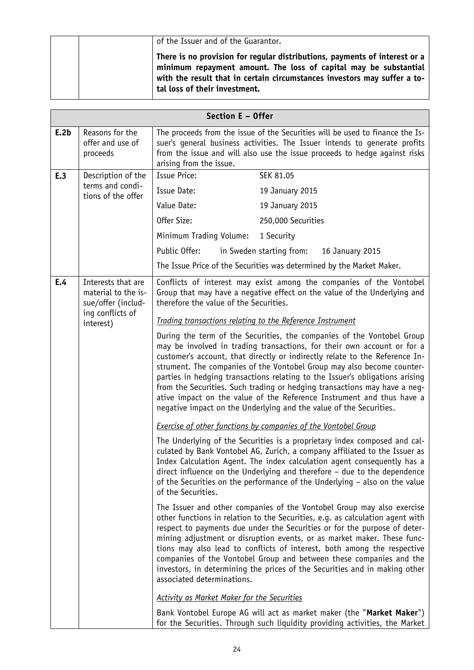| of the Issuer and of the Guarantor.                                                                                                                                                                                                                         |
|-------------------------------------------------------------------------------------------------------------------------------------------------------------------------------------------------------------------------------------------------------------|
| There is no provision for regular distributions, payments of interest or a<br>minimum repayment amount. The loss of capital may be substantial<br>with the result that in certain circumstances investors may suffer a to-<br>tal loss of their investment. |

|                                                  | Section E - Offer                                               |                                                                                                                                                      |                                                                                                                                                                                                                                                                                                                                                                                                                                                                                                                                                                                                                        |
|--------------------------------------------------|-----------------------------------------------------------------|------------------------------------------------------------------------------------------------------------------------------------------------------|------------------------------------------------------------------------------------------------------------------------------------------------------------------------------------------------------------------------------------------------------------------------------------------------------------------------------------------------------------------------------------------------------------------------------------------------------------------------------------------------------------------------------------------------------------------------------------------------------------------------|
| E.2b                                             | Reasons for the<br>offer and use of<br>proceeds                 | arising from the issue.                                                                                                                              | The proceeds from the issue of the Securities will be used to finance the Is-<br>suer's general business activities. The Issuer intends to generate profits<br>from the issue and will also use the issue proceeds to hedge against risks                                                                                                                                                                                                                                                                                                                                                                              |
| E.3                                              | Description of the                                              | <b>Issue Price:</b>                                                                                                                                  | SEK 81.05                                                                                                                                                                                                                                                                                                                                                                                                                                                                                                                                                                                                              |
|                                                  | terms and condi-<br>tions of the offer                          | Issue Date:                                                                                                                                          | 19 January 2015                                                                                                                                                                                                                                                                                                                                                                                                                                                                                                                                                                                                        |
|                                                  |                                                                 | Value Date:                                                                                                                                          | 19 January 2015                                                                                                                                                                                                                                                                                                                                                                                                                                                                                                                                                                                                        |
|                                                  |                                                                 | Offer Size:                                                                                                                                          | 250,000 Securities                                                                                                                                                                                                                                                                                                                                                                                                                                                                                                                                                                                                     |
|                                                  |                                                                 | Minimum Trading Volume:                                                                                                                              | 1 Security                                                                                                                                                                                                                                                                                                                                                                                                                                                                                                                                                                                                             |
|                                                  |                                                                 | Public Offer:                                                                                                                                        | in Sweden starting from:<br>16 January 2015                                                                                                                                                                                                                                                                                                                                                                                                                                                                                                                                                                            |
|                                                  |                                                                 |                                                                                                                                                      | The Issue Price of the Securities was determined by the Market Maker.                                                                                                                                                                                                                                                                                                                                                                                                                                                                                                                                                  |
| E.4                                              | Interests that are<br>material to the is-<br>sue/offer (includ- | therefore the value of the Securities.                                                                                                               | Conflicts of interest may exist among the companies of the Vontobel<br>Group that may have a negative effect on the value of the Underlying and                                                                                                                                                                                                                                                                                                                                                                                                                                                                        |
|                                                  | ing conflicts of<br>interest)                                   |                                                                                                                                                      | Trading transactions relating to the Reference Instrument                                                                                                                                                                                                                                                                                                                                                                                                                                                                                                                                                              |
|                                                  |                                                                 |                                                                                                                                                      | During the term of the Securities, the companies of the Vontobel Group<br>may be involved in trading transactions, for their own account or for a<br>customer's account, that directly or indirectly relate to the Reference In-<br>strument. The companies of the Vontobel Group may also become counter-<br>parties in hedging transactions relating to the Issuer's obligations arising<br>from the Securities. Such trading or hedging transactions may have a neg-<br>ative impact on the value of the Reference Instrument and thus have a<br>negative impact on the Underlying and the value of the Securities. |
|                                                  |                                                                 |                                                                                                                                                      | <b>Exercise of other functions by companies of the Vontobel Group</b>                                                                                                                                                                                                                                                                                                                                                                                                                                                                                                                                                  |
| of the Securities.<br>associated determinations. |                                                                 |                                                                                                                                                      | The Underlying of the Securities is a proprietary index composed and cal-<br>culated by Bank Vontobel AG, Zurich, a company affiliated to the Issuer as<br>Index Calculation Agent. The index calculation agent consequently has a<br>direct influence on the Underlying and therefore - due to the dependence<br>of the Securities on the performance of the Underlying - also on the value                                                                                                                                                                                                                           |
|                                                  |                                                                 |                                                                                                                                                      | The Issuer and other companies of the Vontobel Group may also exercise<br>other functions in relation to the Securities, e.g. as calculation agent with<br>respect to payments due under the Securities or for the purpose of deter-<br>mining adjustment or disruption events, or as market maker. These func-<br>tions may also lead to conflicts of interest, both among the respective<br>companies of the Vontobel Group and between these companies and the<br>investors, in determining the prices of the Securities and in making other                                                                        |
|                                                  |                                                                 | <b>Activity as Market Maker for the Securities</b>                                                                                                   |                                                                                                                                                                                                                                                                                                                                                                                                                                                                                                                                                                                                                        |
|                                                  |                                                                 | Bank Vontobel Europe AG will act as market maker (the "Market Maker")<br>for the Securities. Through such liquidity providing activities, the Market |                                                                                                                                                                                                                                                                                                                                                                                                                                                                                                                                                                                                                        |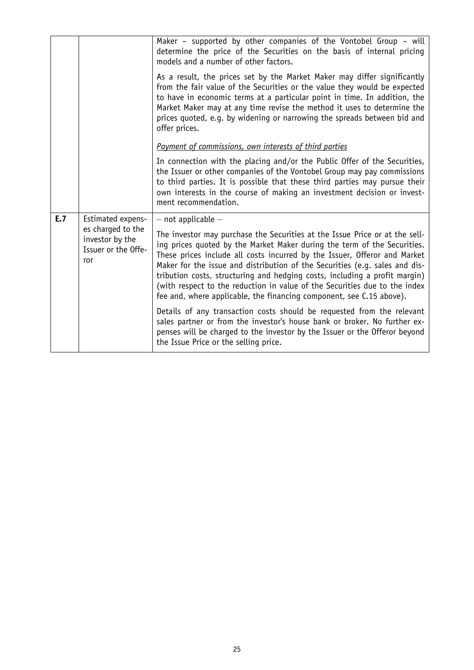|     |                                                                                         | Maker – supported by other companies of the Vontobel Group – will<br>determine the price of the Securities on the basis of internal pricing<br>models and a number of other factors.                                                                                                                                                                                                                                                                                                                                                                                                                                                                                                                                                                                                                                                                            |
|-----|-----------------------------------------------------------------------------------------|-----------------------------------------------------------------------------------------------------------------------------------------------------------------------------------------------------------------------------------------------------------------------------------------------------------------------------------------------------------------------------------------------------------------------------------------------------------------------------------------------------------------------------------------------------------------------------------------------------------------------------------------------------------------------------------------------------------------------------------------------------------------------------------------------------------------------------------------------------------------|
|     |                                                                                         | As a result, the prices set by the Market Maker may differ significantly<br>from the fair value of the Securities or the value they would be expected<br>to have in economic terms at a particular point in time. In addition, the<br>Market Maker may at any time revise the method it uses to determine the<br>prices quoted, e.g. by widening or narrowing the spreads between bid and<br>offer prices.                                                                                                                                                                                                                                                                                                                                                                                                                                                      |
|     |                                                                                         | Payment of commissions, own interests of third parties                                                                                                                                                                                                                                                                                                                                                                                                                                                                                                                                                                                                                                                                                                                                                                                                          |
|     |                                                                                         | In connection with the placing and/or the Public Offer of the Securities,<br>the Issuer or other companies of the Vontobel Group may pay commissions<br>to third parties. It is possible that these third parties may pursue their<br>own interests in the course of making an investment decision or invest-<br>ment recommendation.                                                                                                                                                                                                                                                                                                                                                                                                                                                                                                                           |
| E.7 | Estimated expens-<br>es charged to the<br>investor by the<br>Issuer or the Offe-<br>ror | $-$ not applicable $-$<br>The investor may purchase the Securities at the Issue Price or at the sell-<br>ing prices quoted by the Market Maker during the term of the Securities.<br>These prices include all costs incurred by the Issuer, Offeror and Market<br>Maker for the issue and distribution of the Securities (e.g. sales and dis-<br>tribution costs, structuring and hedging costs, including a profit margin)<br>(with respect to the reduction in value of the Securities due to the index<br>fee and, where applicable, the financing component, see C.15 above).<br>Details of any transaction costs should be requested from the relevant<br>sales partner or from the investor's house bank or broker. No further ex-<br>penses will be charged to the investor by the Issuer or the Offeror beyond<br>the Issue Price or the selling price. |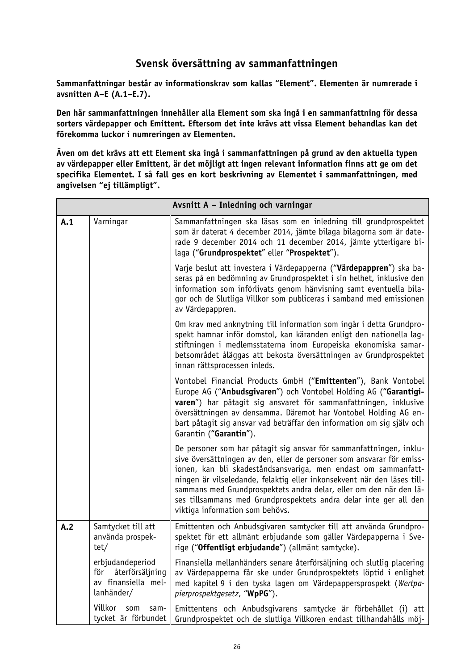## **Svensk översättning av sammanfattningen**

**Sammanfattningar består av informationskrav som kallas "Element". Elementen är numrerade i avsnitten A–E (A.1–E.7).**

**Den här sammanfattningen innehåller alla Element som ska ingå i en sammanfattning för dessa sorters värdepapper och Emittent. Eftersom det inte krävs att vissa Element behandlas kan det förekomma luckor i numreringen av Elementen.**

**Även om det krävs att ett Element ska ingå i sammanfattningen på grund av den aktuella typen av värdepapper eller Emittent, är det möjligt att ingen relevant information finns att ge om det specifika Elementet. I så fall ges en kort beskrivning av Elementet i sammanfattningen, med angivelsen "ej tillämpligt".**

|     |                                                                                 | Avsnitt A - Inledning och varningar                                                                                                                                                                                                                                                                                                                                                                                                                                     |
|-----|---------------------------------------------------------------------------------|-------------------------------------------------------------------------------------------------------------------------------------------------------------------------------------------------------------------------------------------------------------------------------------------------------------------------------------------------------------------------------------------------------------------------------------------------------------------------|
| A.1 | Varningar                                                                       | Sammanfattningen ska läsas som en inledning till grundprospektet<br>som är daterat 4 december 2014, jämte bilaga bilagorna som är date-<br>rade 9 december 2014 och 11 december 2014, jämte ytterligare bi-<br>laga ("Grundprospektet" eller "Prospektet").                                                                                                                                                                                                             |
|     |                                                                                 | Varje beslut att investera i Värdepapperna ("Värdepappren") ska ba-<br>seras på en bedömning av Grundprospektet i sin helhet, inklusive den<br>information som införlivats genom hänvisning samt eventuella bila-<br>gor och de Slutliga Villkor som publiceras i samband med emissionen<br>av Värdepappren.                                                                                                                                                            |
|     |                                                                                 | Om krav med anknytning till information som ingår i detta Grundpro-<br>spekt hamnar inför domstol, kan käranden enligt den nationella lag-<br>stiftningen i medlemsstaterna inom Europeiska ekonomiska samar-<br>betsområdet åläggas att bekosta översättningen av Grundprospektet<br>innan rättsprocessen inleds.                                                                                                                                                      |
|     |                                                                                 | Vontobel Financial Products GmbH ("Emittenten"), Bank Vontobel<br>Europe AG ("Anbudsgivaren") och Vontobel Holding AG ("Garantigi-<br>varen") har påtagit sig ansvaret för sammanfattningen, inklusive<br>översättningen av densamma. Däremot har Vontobel Holding AG en-<br>bart påtagit sig ansvar vad beträffar den information om sig själv och<br>Garantin ("Garantin").                                                                                           |
|     |                                                                                 | De personer som har påtagit sig ansvar för sammanfattningen, inklu-<br>sive översättningen av den, eller de personer som ansvarar för emiss-<br>ionen, kan bli skadeståndsansvariga, men endast om sammanfatt-<br>ningen är vilseledande, felaktig eller inkonsekvent när den läses till-<br>sammans med Grundprospektets andra delar, eller om den när den lä-<br>ses tillsammans med Grundprospektets andra delar inte ger all den<br>viktiga information som behövs. |
| A.2 | Samtycket till att<br>använda prospek-<br>tet/                                  | Emittenten och Anbudsgivaren samtycker till att använda Grundpro-<br>spektet för ett allmänt erbjudande som gäller Värdepapperna i Sve-<br>rige ("Offentligt erbjudande") (allmänt samtycke).                                                                                                                                                                                                                                                                           |
|     | erbjudandeperiod<br>återförsäljning<br>för<br>av finansiella mel-<br>lanhänder/ | Finansiella mellanhänders senare återförsäljning och slutlig placering<br>av Värdepapperna får ske under Grundprospektets löptid i enlighet<br>med kapitel 9 i den tyska lagen om Värdepappersprospekt (Wertpa-<br>pierprospektgesetz, "WpPG").                                                                                                                                                                                                                         |
|     | Villkor<br>som<br>sam-<br>tycket är förbundet                                   | Emittentens och Anbudsgivarens samtycke är förbehållet (i)<br>att<br>Grundprospektet och de slutliga Villkoren endast tillhandahålls möj-                                                                                                                                                                                                                                                                                                                               |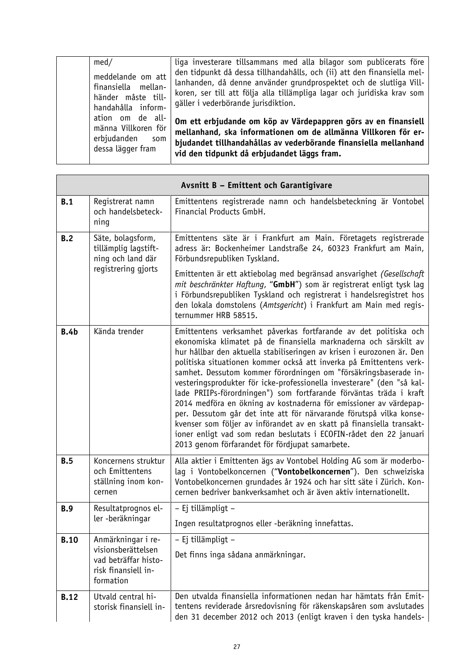| med/                                                                                 | liga investerare tillsammans med alla bilagor som publicerats före                                                                                                                                                                                              |
|--------------------------------------------------------------------------------------|-----------------------------------------------------------------------------------------------------------------------------------------------------------------------------------------------------------------------------------------------------------------|
| meddelande om att<br>finansiella mellan-<br>händer måste till-<br>handahålla inform- | den tidpunkt då dessa tillhandahålls, och (ii) att den finansiella mel-<br>lanhanden, då denne använder grundprospektet och de slutliga Vill-<br>koren, ser till att följa alla tillämpliga lagar och juridiska krav som<br>gäller i vederbörande jurisdiktion. |
| ation om de all-<br>männa Villkoren för<br>erbjudanden<br>som<br>dessa lägger fram   | Om ett erbjudande om köp av Värdepappren görs av en finansiell<br>mellanhand, ska informationen om de allmänna Villkoren för er-<br>bjudandet tillhandahållas av vederbörande finansiella mellanhand<br>vid den tidpunkt då erbjudandet läggs fram.             |

**F** 

|             |                                                                                                      | Avsnitt B - Emittent och Garantigivare                                                                                                                                                                                                                                                                                                                                                                                                                                                                                                                                                                                                                                                                                                                                                                                                                   |
|-------------|------------------------------------------------------------------------------------------------------|----------------------------------------------------------------------------------------------------------------------------------------------------------------------------------------------------------------------------------------------------------------------------------------------------------------------------------------------------------------------------------------------------------------------------------------------------------------------------------------------------------------------------------------------------------------------------------------------------------------------------------------------------------------------------------------------------------------------------------------------------------------------------------------------------------------------------------------------------------|
| B.1         | Registrerat namn<br>och handelsbeteck-<br>ning                                                       | Emittentens registrerade namn och handelsbeteckning är Vontobel<br>Financial Products GmbH.                                                                                                                                                                                                                                                                                                                                                                                                                                                                                                                                                                                                                                                                                                                                                              |
| B.2         | Säte, bolagsform,<br>tillämplig lagstift-<br>ning och land där<br>registrering gjorts                | Emittentens säte är i Frankfurt am Main. Företagets registrerade<br>adress är: Bockenheimer Landstraße 24, 60323 Frankfurt am Main,<br>Förbundsrepubliken Tyskland.<br>Emittenten är ett aktiebolag med begränsad ansvarighet (Gesellschaft<br>mit beschränkter Haftung, "GmbH") som är registrerat enligt tysk lag<br>i Förbundsrepubliken Tyskland och registrerat i handelsregistret hos<br>den lokala domstolens (Amtsgericht) i Frankfurt am Main med regis-<br>ternummer HRB 58515.                                                                                                                                                                                                                                                                                                                                                                |
| <b>B.4b</b> | Kända trender                                                                                        | Emittentens verksamhet påverkas fortfarande av det politiska och<br>ekonomiska klimatet på de finansiella marknaderna och särskilt av<br>hur hållbar den aktuella stabiliseringen av krisen i eurozonen är. Den<br>politiska situationen kommer också att inverka på Emittentens verk-<br>samhet. Dessutom kommer förordningen om "försäkringsbaserade in-<br>vesteringsprodukter för icke-professionella investerare" (den "så kal-<br>lade PRIIPs-förordningen") som fortfarande förväntas träda i kraft<br>2014 medföra en ökning av kostnaderna för emissioner av värdepap-<br>per. Dessutom går det inte att för närvarande förutspå vilka konse-<br>kvenser som följer av införandet av en skatt på finansiella transakt-<br>ioner enligt vad som redan beslutats i ECOFIN-rådet den 22 januari<br>2013 genom förfarandet för fördjupat samarbete. |
| B.5         | Koncernens struktur<br>och Emittentens<br>ställning inom kon-<br>cernen                              | Alla aktier i Emittenten ägs av Vontobel Holding AG som är moderbo-<br>lag i Vontobelkoncernen ("Vontobelkoncernen"). Den schweiziska<br>Vontobelkoncernen grundades år 1924 och har sitt säte i Zürich. Kon-<br>cernen bedriver bankverksamhet och är även aktiv internationellt.                                                                                                                                                                                                                                                                                                                                                                                                                                                                                                                                                                       |
| <b>B.9</b>  | Resultatprognos el-<br>ler -beräkningar                                                              | - Ej tillämpligt -                                                                                                                                                                                                                                                                                                                                                                                                                                                                                                                                                                                                                                                                                                                                                                                                                                       |
|             |                                                                                                      | Ingen resultatprognos eller -beräkning innefattas.                                                                                                                                                                                                                                                                                                                                                                                                                                                                                                                                                                                                                                                                                                                                                                                                       |
| <b>B.10</b> | Anmärkningar i re-<br>visionsberättelsen<br>vad beträffar histo-<br>risk finansiell in-<br>formation | - Ej tillämpligt -<br>Det finns inga sådana anmärkningar.                                                                                                                                                                                                                                                                                                                                                                                                                                                                                                                                                                                                                                                                                                                                                                                                |
| <b>B.12</b> | Utvald central hi-<br>storisk finansiell in-                                                         | Den utvalda finansiella informationen nedan har hämtats från Emit-<br>tentens reviderade årsredovisning för räkenskapsåren som avslutades<br>den 31 december 2012 och 2013 (enligt kraven i den tyska handels-                                                                                                                                                                                                                                                                                                                                                                                                                                                                                                                                                                                                                                           |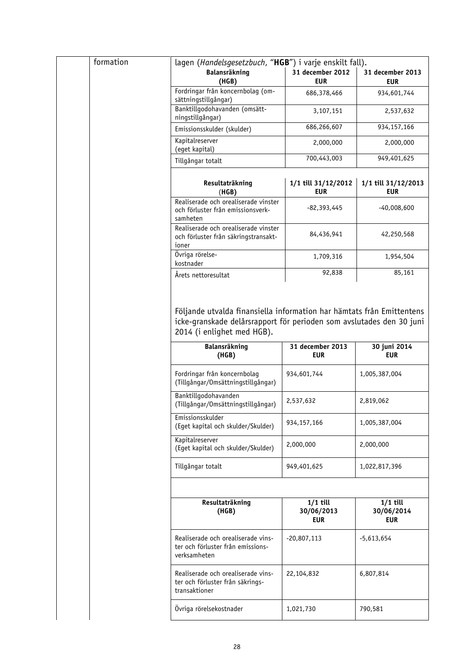| formation | lagen (Handelsgesetzbuch, "HGB") i varje enskilt fall).                                            |                                        |                                 |
|-----------|----------------------------------------------------------------------------------------------------|----------------------------------------|---------------------------------|
|           | Balansräkning<br>(HGB)                                                                             | 31 december 2012<br><b>EUR</b>         | 31 december 2013<br><b>EUR</b>  |
|           | Fordringar från koncernbolag (om-<br>sättningstillgångar)                                          | 686,378,466                            | 934,601,744                     |
|           | Banktillgodohavanden (omsätt-<br>ningstillgångar)                                                  | 3,107,151                              | 2,537,632                       |
|           | Emissionsskulder (skulder)                                                                         | 686,266,607                            | 934, 157, 166                   |
|           | Kapitalreserver<br>(eget kapital)                                                                  | 2,000,000                              | 2,000,000                       |
|           | Tillgångar totalt                                                                                  | 700,443,003                            | 949,401,625                     |
|           | Resultaträkning<br>(HGB)                                                                           | 1/1 till 31/12/2012<br><b>EUR</b>      | 1/1 till 31/12/2013<br>EUR      |
|           | Realiserade och orealiserade vinster<br>och förluster från emissionsverk-<br>samheten              | -82,393,445                            | $-40,008,600$                   |
|           | Realiserade och orealiserade vinster<br>och förluster från säkringstransakt-<br>ioner              | 84,436,941                             | 42,250,568                      |
|           | Övriga rörelse-<br>kostnader                                                                       | 1,709,316                              | 1,954,504                       |
|           | Årets nettoresultat                                                                                | 92,838                                 | 85,161                          |
|           | icke-granskade delårsrapport för perioden som avslutades den 30 juni<br>2014 (i enlighet med HGB). |                                        |                                 |
|           | Balansräkning<br>(HGB)                                                                             | 31 december 2013<br><b>EUR</b>         | 30 juni 2014<br><b>EUR</b>      |
|           | Fordringar från koncernbolag<br>(Tillgångar/Omsättningstillgångar)                                 | 934,601,744                            | 1,005,387,004                   |
|           | Banktillgodohavanden<br>(Tillgångar/Omsättningstillgångar)                                         | 2,537,632                              | 2,819,062                       |
|           | Emissionsskulder<br>(Eget kapital och skulder/Skulder)                                             | 934, 157, 166                          | 1,005,387,004                   |
|           | Kapitalreserver<br>(Eget kapital och skulder/Skulder)                                              | 2,000,000                              | 2,000,000                       |
|           | Tillgångar totalt                                                                                  | 949,401,625                            | 1,022,817,396                   |
|           |                                                                                                    |                                        |                                 |
|           |                                                                                                    |                                        |                                 |
|           | Resultaträkning<br>(HGB)                                                                           | $1/1$ till<br>30/06/2013<br><b>EUR</b> | $1/1$ till<br>30/06/2014<br>EUR |
|           | Realiserade och orealiserade vins-<br>ter och förluster från emissions-<br>verksamheten            | $-20,807,113$                          | $-5,613,654$                    |
|           | Realiserade och orealiserade vins-<br>ter och förluster från säkrings-<br>transaktioner            | 22,104,832                             | 6,807,814                       |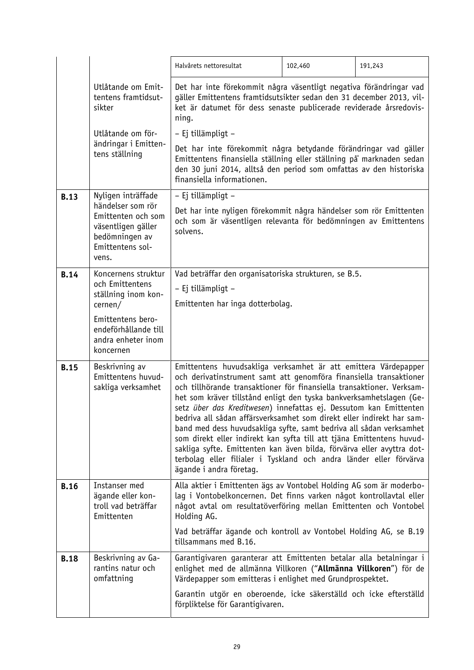|             |                                                                                         | Halvårets nettoresultat                                                                                                                                                                                                                                                                                                                                                                                                                                                                                                                                                                                                                                                                                                                                       | 102,460 | 191,243 |
|-------------|-----------------------------------------------------------------------------------------|---------------------------------------------------------------------------------------------------------------------------------------------------------------------------------------------------------------------------------------------------------------------------------------------------------------------------------------------------------------------------------------------------------------------------------------------------------------------------------------------------------------------------------------------------------------------------------------------------------------------------------------------------------------------------------------------------------------------------------------------------------------|---------|---------|
|             | Utlåtande om Emit-<br>tentens framtidsut-<br>sikter                                     | Det har inte förekommit några väsentligt negativa förändringar vad<br>gäller Emittentens framtidsutsikter sedan den 31 december 2013, vil-<br>ket är datumet för dess senaste publicerade reviderade årsredovis-<br>ning.                                                                                                                                                                                                                                                                                                                                                                                                                                                                                                                                     |         |         |
|             | Utlåtande om för-                                                                       | - Ej tillämpligt -                                                                                                                                                                                                                                                                                                                                                                                                                                                                                                                                                                                                                                                                                                                                            |         |         |
|             | ändringar i Emitten-<br>tens ställning                                                  | Det har inte förekommit några betydande förändringar vad gäller<br>Emittentens finansiella ställning eller ställning på marknaden sedan<br>den 30 juni 2014, alltså den period som omfattas av den historiska<br>finansiella informationen.                                                                                                                                                                                                                                                                                                                                                                                                                                                                                                                   |         |         |
| <b>B.13</b> | Nyligen inträffade<br>händelser som rör                                                 | - Ej tillämpligt -                                                                                                                                                                                                                                                                                                                                                                                                                                                                                                                                                                                                                                                                                                                                            |         |         |
|             | Emittenten och som<br>väsentligen gäller<br>bedömningen av<br>Emittentens sol-<br>vens. | Det har inte nyligen förekommit några händelser som rör Emittenten<br>och som är väsentligen relevanta för bedömningen av Emittentens<br>solvens.                                                                                                                                                                                                                                                                                                                                                                                                                                                                                                                                                                                                             |         |         |
| <b>B.14</b> | Koncernens struktur                                                                     | Vad beträffar den organisatoriska strukturen, se B.5.                                                                                                                                                                                                                                                                                                                                                                                                                                                                                                                                                                                                                                                                                                         |         |         |
|             | och Emittentens<br>ställning inom kon-                                                  | - Ej tillämpligt -                                                                                                                                                                                                                                                                                                                                                                                                                                                                                                                                                                                                                                                                                                                                            |         |         |
|             | cernen/                                                                                 | Emittenten har inga dotterbolag.                                                                                                                                                                                                                                                                                                                                                                                                                                                                                                                                                                                                                                                                                                                              |         |         |
|             | Emittentens bero-<br>endeförhållande till<br>andra enheter inom<br>koncernen            |                                                                                                                                                                                                                                                                                                                                                                                                                                                                                                                                                                                                                                                                                                                                                               |         |         |
| <b>B.15</b> | Beskrivning av<br>Emittentens huvud-<br>sakliga verksamhet                              | Emittentens huvudsakliga verksamhet är att emittera Värdepapper<br>och derivatinstrument samt att genomföra finansiella transaktioner<br>och tillhörande transaktioner för finansiella transaktioner. Verksam-<br>het som kräver tillstånd enligt den tyska bankverksamhetslagen (Ge-<br>setz über das Kreditwesen) innefattas ej. Dessutom kan Emittenten<br>bedriva all sådan affärsverksamhet som direkt eller indirekt har sam-<br>band med dess huvudsakliga syfte, samt bedriva all sådan verksamhet<br>som direkt eller indirekt kan syfta till att tjäna Emittentens huvud-<br>sakliga syfte. Emittenten kan även bilda, förvärva eller avyttra dot-<br>terbolag eller filialer i Tyskland och andra länder eller förvärva<br>ägande i andra företag. |         |         |
| <b>B.16</b> | Instanser med<br>ägande eller kon-<br>troll vad beträffar<br>Emittenten                 | Alla aktier i Emittenten ägs av Vontobel Holding AG som är moderbo-<br>lag i Vontobelkoncernen. Det finns varken något kontrollavtal eller<br>något avtal om resultatöverföring mellan Emittenten och Vontobel<br>Holding AG.<br>Vad beträffar ägande och kontroll av Vontobel Holding AG, se B.19<br>tillsammans med B.16.                                                                                                                                                                                                                                                                                                                                                                                                                                   |         |         |
| <b>B.18</b> | Beskrivning av Ga-<br>rantins natur och<br>omfattning                                   | Garantigivaren garanterar att Emittenten betalar alla betalningar i<br>enlighet med de allmänna Villkoren ("Allmänna Villkoren") för de<br>Värdepapper som emitteras i enlighet med Grundprospektet.                                                                                                                                                                                                                                                                                                                                                                                                                                                                                                                                                          |         |         |
|             |                                                                                         | Garantin utgör en oberoende, icke säkerställd och icke efterställd<br>förpliktelse för Garantigivaren.                                                                                                                                                                                                                                                                                                                                                                                                                                                                                                                                                                                                                                                        |         |         |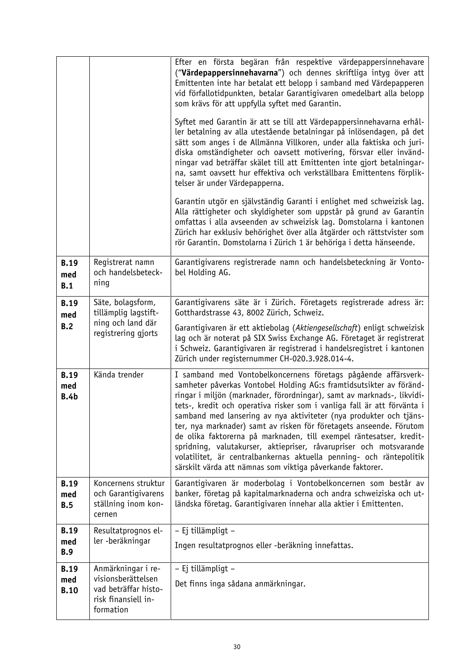|                                   |                                                                                                      | Efter en första begäran från respektive värdepappersinnehavare<br>("Värdepappersinnehavarna") och dennes skriftliga intyg över att<br>Emittenten inte har betalat ett belopp i samband med Värdepapperen<br>vid förfallotidpunkten, betalar Garantigivaren omedelbart alla belopp<br>som krävs för att uppfylla syftet med Garantin.<br>Syftet med Garantin är att se till att Värdepappersinnehavarna erhål-<br>ler betalning av alla utestående betalningar på inlösendagen, på det<br>sätt som anges i de Allmänna Villkoren, under alla faktiska och juri-<br>diska omständigheter och oavsett motivering, försvar eller invänd-<br>ningar vad beträffar skälet till att Emittenten inte gjort betalningar-<br>na, samt oavsett hur effektiva och verkställbara Emittentens förplik-<br>telser är under Värdepapperna.<br>Garantin utgör en självständig Garanti i enlighet med schweizisk lag.<br>Alla rättigheter och skyldigheter som uppstår på grund av Garantin<br>omfattas i alla avseenden av schweizisk lag. Domstolarna i kantonen<br>Zürich har exklusiv behörighet över alla åtgärder och rättstvister som<br>rör Garantin. Domstolarna i Zürich 1 är behöriga i detta hänseende. |
|-----------------------------------|------------------------------------------------------------------------------------------------------|---------------------------------------------------------------------------------------------------------------------------------------------------------------------------------------------------------------------------------------------------------------------------------------------------------------------------------------------------------------------------------------------------------------------------------------------------------------------------------------------------------------------------------------------------------------------------------------------------------------------------------------------------------------------------------------------------------------------------------------------------------------------------------------------------------------------------------------------------------------------------------------------------------------------------------------------------------------------------------------------------------------------------------------------------------------------------------------------------------------------------------------------------------------------------------------------------|
| <b>B.19</b><br>med<br>B.1         | Registrerat namn<br>och handelsbeteck-<br>ning                                                       | Garantigivarens registrerade namn och handelsbeteckning är Vonto-<br>bel Holding AG.                                                                                                                                                                                                                                                                                                                                                                                                                                                                                                                                                                                                                                                                                                                                                                                                                                                                                                                                                                                                                                                                                                              |
| <b>B.19</b><br>med<br>B.2         | Säte, bolagsform,<br>tillämplig lagstift-<br>ning och land där<br>registrering gjorts                | Garantigivarens säte är i Zürich. Företagets registrerade adress är:<br>Gotthardstrasse 43, 8002 Zürich, Schweiz.<br>Garantigivaren är ett aktiebolag (Aktiengesellschaft) enligt schweizisk<br>lag och är noterat på SIX Swiss Exchange AG. Företaget är registrerat<br>i Schweiz. Garantigivaren är registrerad i handelsregistret i kantonen<br>Zürich under registernummer CH-020.3.928.014-4.                                                                                                                                                                                                                                                                                                                                                                                                                                                                                                                                                                                                                                                                                                                                                                                                |
| <b>B.19</b><br>med<br><b>B.4b</b> | Kända trender                                                                                        | I samband med Vontobelkoncernens företags pågående affärsverk-<br>samheter påverkas Vontobel Holding AG:s framtidsutsikter av föränd-<br>ringar i miljön (marknader, förordningar), samt av marknads-, likvidi-<br>tets-, kredit och operativa risker som i vanliga fall är att förvänta i<br>samband med lansering av nya aktiviteter (nya produkter och tjäns-<br>ter, nya marknader) samt av risken för företagets anseende. Förutom<br>de olika faktorerna på marknaden, till exempel räntesatser, kredit-<br>spridning, valutakurser, aktiepriser, råvarupriser och motsvarande<br>volatilitet, är centralbankernas aktuella penning- och räntepolitik<br>särskilt värda att nämnas som viktiga påverkande faktorer.                                                                                                                                                                                                                                                                                                                                                                                                                                                                         |
| <b>B.19</b><br>med<br>B.5         | Koncernens struktur<br>och Garantigivarens<br>ställning inom kon-<br>cernen                          | Garantigivaren är moderbolag i Vontobelkoncernen som består av<br>banker, företag på kapitalmarknaderna och andra schweiziska och ut-<br>ländska företag. Garantigivaren innehar alla aktier i Emittenten.                                                                                                                                                                                                                                                                                                                                                                                                                                                                                                                                                                                                                                                                                                                                                                                                                                                                                                                                                                                        |
| <b>B.19</b><br>med<br><b>B.9</b>  | Resultatprognos el-<br>ler -beräkningar                                                              | - Ej tillämpligt -<br>Ingen resultatprognos eller -beräkning innefattas.                                                                                                                                                                                                                                                                                                                                                                                                                                                                                                                                                                                                                                                                                                                                                                                                                                                                                                                                                                                                                                                                                                                          |
| <b>B.19</b><br>med<br><b>B.10</b> | Anmärkningar i re-<br>visionsberättelsen<br>vad beträffar histo-<br>risk finansiell in-<br>formation | - Ej tillämpligt -<br>Det finns inga sådana anmärkningar.                                                                                                                                                                                                                                                                                                                                                                                                                                                                                                                                                                                                                                                                                                                                                                                                                                                                                                                                                                                                                                                                                                                                         |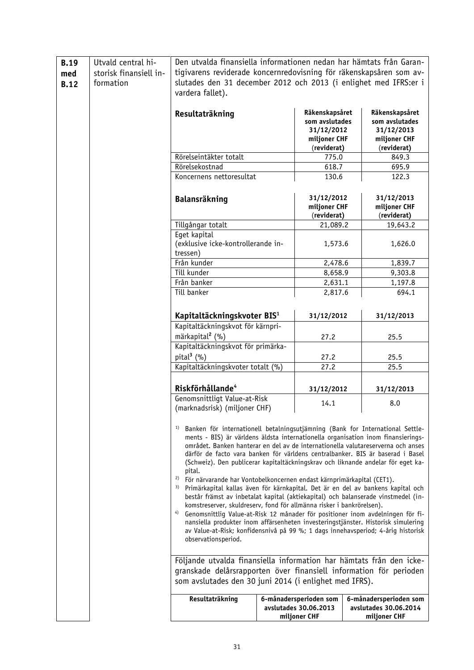| <b>B.19</b><br>med<br><b>B.12</b> | Utvald central hi-<br>storisk finansiell in-<br>formation | Den utvalda finansiella informationen nedan har hämtats från Garan-<br>tigivarens reviderade koncernredovisning för räkenskapsåren som av-<br>slutades den 31 december 2012 och 2013 (i enlighet med IFRS:er i<br>vardera fallet).                                                                                                                                                                                                                                                                                                                                                                                                                                                                                                                                                                                                                                                                                                                                                                                                                                                                                                                                                                                                                                                       |  |                                                                               |  |                                                                               |
|-----------------------------------|-----------------------------------------------------------|------------------------------------------------------------------------------------------------------------------------------------------------------------------------------------------------------------------------------------------------------------------------------------------------------------------------------------------------------------------------------------------------------------------------------------------------------------------------------------------------------------------------------------------------------------------------------------------------------------------------------------------------------------------------------------------------------------------------------------------------------------------------------------------------------------------------------------------------------------------------------------------------------------------------------------------------------------------------------------------------------------------------------------------------------------------------------------------------------------------------------------------------------------------------------------------------------------------------------------------------------------------------------------------|--|-------------------------------------------------------------------------------|--|-------------------------------------------------------------------------------|
|                                   |                                                           | Resultaträkning                                                                                                                                                                                                                                                                                                                                                                                                                                                                                                                                                                                                                                                                                                                                                                                                                                                                                                                                                                                                                                                                                                                                                                                                                                                                          |  | Räkenskapsåret<br>som avslutades<br>31/12/2012<br>miljoner CHF<br>(reviderat) |  | Räkenskapsåret<br>som avslutades<br>31/12/2013<br>miljoner CHF<br>(reviderat) |
|                                   |                                                           | Rörelseintäkter totalt                                                                                                                                                                                                                                                                                                                                                                                                                                                                                                                                                                                                                                                                                                                                                                                                                                                                                                                                                                                                                                                                                                                                                                                                                                                                   |  | 775.0                                                                         |  | 849.3                                                                         |
|                                   |                                                           | Rörelsekostnad                                                                                                                                                                                                                                                                                                                                                                                                                                                                                                                                                                                                                                                                                                                                                                                                                                                                                                                                                                                                                                                                                                                                                                                                                                                                           |  | 618.7                                                                         |  | 695.9                                                                         |
|                                   |                                                           | Koncernens nettoresultat                                                                                                                                                                                                                                                                                                                                                                                                                                                                                                                                                                                                                                                                                                                                                                                                                                                                                                                                                                                                                                                                                                                                                                                                                                                                 |  | 130.6                                                                         |  | 122.3                                                                         |
|                                   |                                                           | Balansräkning                                                                                                                                                                                                                                                                                                                                                                                                                                                                                                                                                                                                                                                                                                                                                                                                                                                                                                                                                                                                                                                                                                                                                                                                                                                                            |  | 31/12/2012<br>miljoner CHF<br>(reviderat)                                     |  | 31/12/2013<br>miljoner CHF<br>(reviderat)                                     |
|                                   |                                                           | Tillgångar totalt                                                                                                                                                                                                                                                                                                                                                                                                                                                                                                                                                                                                                                                                                                                                                                                                                                                                                                                                                                                                                                                                                                                                                                                                                                                                        |  | 21,089.2                                                                      |  | 19,643.2                                                                      |
|                                   |                                                           | Eget kapital                                                                                                                                                                                                                                                                                                                                                                                                                                                                                                                                                                                                                                                                                                                                                                                                                                                                                                                                                                                                                                                                                                                                                                                                                                                                             |  |                                                                               |  |                                                                               |
|                                   |                                                           | (exklusive icke-kontrollerande in-                                                                                                                                                                                                                                                                                                                                                                                                                                                                                                                                                                                                                                                                                                                                                                                                                                                                                                                                                                                                                                                                                                                                                                                                                                                       |  | 1,573.6                                                                       |  | 1,626.0                                                                       |
|                                   |                                                           | tressen)                                                                                                                                                                                                                                                                                                                                                                                                                                                                                                                                                                                                                                                                                                                                                                                                                                                                                                                                                                                                                                                                                                                                                                                                                                                                                 |  |                                                                               |  |                                                                               |
|                                   |                                                           | Från kunder                                                                                                                                                                                                                                                                                                                                                                                                                                                                                                                                                                                                                                                                                                                                                                                                                                                                                                                                                                                                                                                                                                                                                                                                                                                                              |  | 2,478.6                                                                       |  | 1,839.7                                                                       |
|                                   |                                                           | Till kunder                                                                                                                                                                                                                                                                                                                                                                                                                                                                                                                                                                                                                                                                                                                                                                                                                                                                                                                                                                                                                                                                                                                                                                                                                                                                              |  | 8,658.9                                                                       |  | 9,303.8                                                                       |
|                                   |                                                           | Från banker                                                                                                                                                                                                                                                                                                                                                                                                                                                                                                                                                                                                                                                                                                                                                                                                                                                                                                                                                                                                                                                                                                                                                                                                                                                                              |  | 2,631.1                                                                       |  | 1,197.8                                                                       |
|                                   |                                                           | Till banker                                                                                                                                                                                                                                                                                                                                                                                                                                                                                                                                                                                                                                                                                                                                                                                                                                                                                                                                                                                                                                                                                                                                                                                                                                                                              |  | 2,817.6                                                                       |  | 694.1                                                                         |
|                                   |                                                           |                                                                                                                                                                                                                                                                                                                                                                                                                                                                                                                                                                                                                                                                                                                                                                                                                                                                                                                                                                                                                                                                                                                                                                                                                                                                                          |  |                                                                               |  |                                                                               |
|                                   |                                                           | Kapitaltäckningskvoter BIS <sup>1</sup>                                                                                                                                                                                                                                                                                                                                                                                                                                                                                                                                                                                                                                                                                                                                                                                                                                                                                                                                                                                                                                                                                                                                                                                                                                                  |  | 31/12/2012                                                                    |  | 31/12/2013                                                                    |
|                                   |                                                           | Kapitaltäckningskvot för kärnpri-                                                                                                                                                                                                                                                                                                                                                                                                                                                                                                                                                                                                                                                                                                                                                                                                                                                                                                                                                                                                                                                                                                                                                                                                                                                        |  |                                                                               |  |                                                                               |
|                                   |                                                           | märkapital <sup>2</sup> (%)                                                                                                                                                                                                                                                                                                                                                                                                                                                                                                                                                                                                                                                                                                                                                                                                                                                                                                                                                                                                                                                                                                                                                                                                                                                              |  | 27.2                                                                          |  | 25.5                                                                          |
|                                   |                                                           | Kapitaltäckningskvot för primärka-                                                                                                                                                                                                                                                                                                                                                                                                                                                                                                                                                                                                                                                                                                                                                                                                                                                                                                                                                                                                                                                                                                                                                                                                                                                       |  |                                                                               |  |                                                                               |
|                                   |                                                           | pital $3$ (%)                                                                                                                                                                                                                                                                                                                                                                                                                                                                                                                                                                                                                                                                                                                                                                                                                                                                                                                                                                                                                                                                                                                                                                                                                                                                            |  | 27.2                                                                          |  | 25.5                                                                          |
|                                   |                                                           | Kapitaltäckningskvoter totalt (%)                                                                                                                                                                                                                                                                                                                                                                                                                                                                                                                                                                                                                                                                                                                                                                                                                                                                                                                                                                                                                                                                                                                                                                                                                                                        |  | 27.2                                                                          |  | 25.5                                                                          |
|                                   |                                                           | Riskförhållande <sup>4</sup>                                                                                                                                                                                                                                                                                                                                                                                                                                                                                                                                                                                                                                                                                                                                                                                                                                                                                                                                                                                                                                                                                                                                                                                                                                                             |  | 31/12/2012                                                                    |  | 31/12/2013                                                                    |
|                                   |                                                           | Genomsnittligt Value-at-Risk<br>(marknadsrisk) (miljoner CHF)                                                                                                                                                                                                                                                                                                                                                                                                                                                                                                                                                                                                                                                                                                                                                                                                                                                                                                                                                                                                                                                                                                                                                                                                                            |  | 14.1                                                                          |  | 8.0                                                                           |
|                                   |                                                           | Banken för internationell betalningsutjämning (Bank for International Settle-<br>1)<br>ments - BIS) är världens äldsta internationella organisation inom finansierings-<br>området. Banken hanterar en del av de internationella valutareserverna och anses<br>därför de facto vara banken för världens centralbanker. BIS är baserad i Basel<br>(Schweiz). Den publicerar kapitaltäckningskrav och liknande andelar för eget ka-<br>pital.<br><sup>2)</sup> För närvarande har Vontobelkoncernen endast kärnprimärkapital (CET1).<br>3)<br>Primärkapital kallas även för kärnkapital. Det är en del av bankens kapital och<br>består främst av inbetalat kapital (aktiekapital) och balanserade vinstmedel (in-<br>komstreserver, skuldreserv, fond för allmänna risker i bankrörelsen).<br>4)<br>Genomsnittlig Value-at-Risk 12 månader för positioner inom avdelningen för fi-<br>nansiella produkter inom affärsenheten investeringstjänster. Historisk simulering<br>av Value-at-Risk; konfidensnivå på 99 %; 1 dags innehavsperiod; 4-årig historisk<br>observationsperiod.<br>Följande utvalda finansiella information har hämtats från den icke-<br>granskade delårsrapporten över finansiell information för perioden<br>som avslutades den 30 juni 2014 (i enlighet med IFRS). |  |                                                                               |  |                                                                               |
|                                   |                                                           | Resultaträkning                                                                                                                                                                                                                                                                                                                                                                                                                                                                                                                                                                                                                                                                                                                                                                                                                                                                                                                                                                                                                                                                                                                                                                                                                                                                          |  | 6-månadersperioden som<br>avslutades 30.06.2013<br>miljoner CHF               |  | 6-månadersperioden som<br>avslutades 30.06.2014<br>miljoner CHF               |
|                                   |                                                           |                                                                                                                                                                                                                                                                                                                                                                                                                                                                                                                                                                                                                                                                                                                                                                                                                                                                                                                                                                                                                                                                                                                                                                                                                                                                                          |  |                                                                               |  |                                                                               |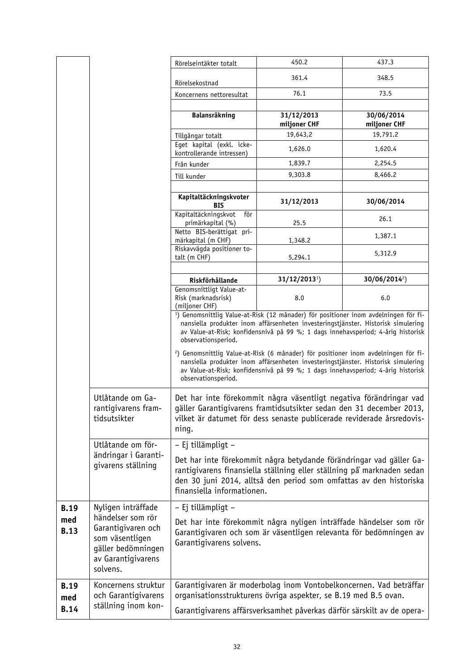|                                   |                                                                                                                                          | Rörelseintäkter totalt                                               | 450.2                                                                                                                                                                                                                                                                                                                                                                      | 437.3                      |
|-----------------------------------|------------------------------------------------------------------------------------------------------------------------------------------|----------------------------------------------------------------------|----------------------------------------------------------------------------------------------------------------------------------------------------------------------------------------------------------------------------------------------------------------------------------------------------------------------------------------------------------------------------|----------------------------|
|                                   |                                                                                                                                          |                                                                      | 361.4                                                                                                                                                                                                                                                                                                                                                                      | 348.5                      |
|                                   |                                                                                                                                          | Rörelsekostnad                                                       |                                                                                                                                                                                                                                                                                                                                                                            |                            |
|                                   |                                                                                                                                          | Koncernens nettoresultat                                             | 76.1                                                                                                                                                                                                                                                                                                                                                                       | 73.5                       |
|                                   |                                                                                                                                          | Balansräkning                                                        | 31/12/2013<br>miljoner CHF                                                                                                                                                                                                                                                                                                                                                 | 30/06/2014<br>miljoner CHF |
|                                   |                                                                                                                                          | Tillgångar totalt                                                    | 19,643,2                                                                                                                                                                                                                                                                                                                                                                   | 19,791.2                   |
|                                   |                                                                                                                                          | Eget kapital (exkl. icke-<br>kontrollerande intressen)               | 1,626.0                                                                                                                                                                                                                                                                                                                                                                    | 1,620.4                    |
|                                   |                                                                                                                                          | Från kunder                                                          | 1,839.7                                                                                                                                                                                                                                                                                                                                                                    | 2,254.5                    |
|                                   |                                                                                                                                          | Till kunder                                                          | 9,303.8                                                                                                                                                                                                                                                                                                                                                                    | 8,466.2                    |
|                                   |                                                                                                                                          | Kapitaltäckningskvoter                                               | 31/12/2013                                                                                                                                                                                                                                                                                                                                                                 | 30/06/2014                 |
|                                   |                                                                                                                                          | <b>BIS</b><br>Kapitaltäckningskvot<br>för                            |                                                                                                                                                                                                                                                                                                                                                                            | 26.1                       |
|                                   |                                                                                                                                          | primärkapital (%)<br>Netto BIS-berättigat pri-<br>märkapital (m CHF) | 25.5<br>1,348.2                                                                                                                                                                                                                                                                                                                                                            | 1,387.1                    |
|                                   |                                                                                                                                          | Riskavvägda positioner to-<br>talt (m CHF)                           | 5,294.1                                                                                                                                                                                                                                                                                                                                                                    | 5,312.9                    |
|                                   |                                                                                                                                          |                                                                      |                                                                                                                                                                                                                                                                                                                                                                            |                            |
|                                   |                                                                                                                                          | Riskförhållande<br>Genomsnittligt Value-at-                          | $31/12/20131$ )                                                                                                                                                                                                                                                                                                                                                            | $30/06/2014^2$             |
|                                   |                                                                                                                                          | Risk (marknadsrisk)<br>(miljoner CHF)                                | 8.0                                                                                                                                                                                                                                                                                                                                                                        | 6.0                        |
|                                   |                                                                                                                                          | observationsperiod.                                                  | <sup>1</sup> ) Genomsnittlig Value-at-Risk (12 månader) för positioner inom avdelningen för fi-<br>nansiella produkter inom affärsenheten investeringstjänster. Historisk simulering<br>av Value-at-Risk; konfidensnivå på 99 %; 1 dags innehavsperiod; 4-årig historisk<br><sup>2</sup> ) Genomsnittlig Value-at-Risk (6 månader) för positioner inom avdelningen för fi- |                            |
|                                   |                                                                                                                                          | observationsperiod.                                                  | nansiella produkter inom affärsenheten investeringstjänster. Historisk simulering<br>av Value-at-Risk; konfidensnivå på 99 %; 1 dags innehavsperiod; 4-årig historisk                                                                                                                                                                                                      |                            |
|                                   | Utlåtande om Ga-<br>rantiqivarens fram-<br>tidsutsikter                                                                                  | ning.                                                                | Det har inte förekommit några väsentligt negativa förändringar vad<br>gäller Garantigivarens framtidsutsikter sedan den 31 december 2013,<br>vilket är datumet för dess senaste publicerade reviderade årsredovis-                                                                                                                                                         |                            |
|                                   | Utlåtande om för-                                                                                                                        | - Ej tillämpligt -                                                   |                                                                                                                                                                                                                                                                                                                                                                            |                            |
|                                   | ändringar i Garanti-<br>givarens ställning                                                                                               | finansiella informationen.                                           | Det har inte förekommit några betydande förändringar vad gäller Ga-<br>rantigivarens finansiella ställning eller ställning på marknaden sedan<br>den 30 juni 2014, alltså den period som omfattas av den historiska                                                                                                                                                        |                            |
| <b>B.19</b><br>med<br><b>B.13</b> | Nyligen inträffade<br>händelser som rör<br>Garantigivaren och<br>som väsentligen<br>gäller bedömningen<br>av Garantigivarens<br>solvens. | - Ej tillämpligt -<br>Garantigivarens solvens.                       | Det har inte förekommit några nyligen inträffade händelser som rör<br>Garantigivaren och som är väsentligen relevanta för bedömningen av                                                                                                                                                                                                                                   |                            |
| <b>B.19</b><br>med                | Koncernens struktur<br>och Garantigivarens                                                                                               |                                                                      | Garantigivaren är moderbolag inom Vontobelkoncernen. Vad beträffar<br>organisationsstrukturens övriga aspekter, se B.19 med B.5 ovan.                                                                                                                                                                                                                                      |                            |
| <b>B.14</b>                       | ställning inom kon-                                                                                                                      |                                                                      | Garantigivarens affärsverksamhet påverkas därför särskilt av de opera-                                                                                                                                                                                                                                                                                                     |                            |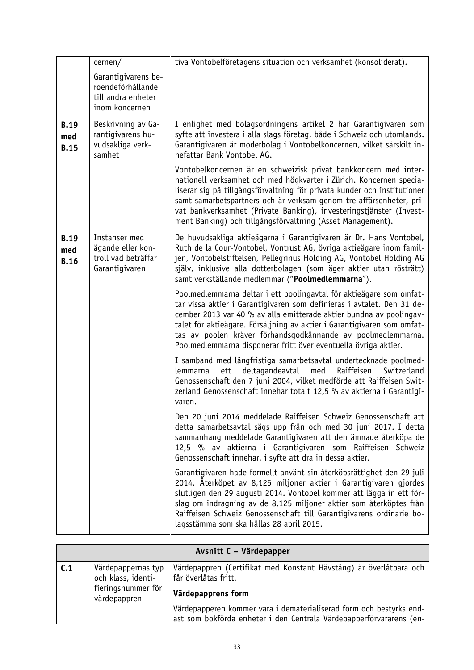|                                   | cernen/                                                                          | tiva Vontobelföretagens situation och verksamhet (konsoliderat).                                                                                                                                                                                                                                                                                                                                                                   |
|-----------------------------------|----------------------------------------------------------------------------------|------------------------------------------------------------------------------------------------------------------------------------------------------------------------------------------------------------------------------------------------------------------------------------------------------------------------------------------------------------------------------------------------------------------------------------|
|                                   | Garantigivarens be-<br>roendeförhållande<br>till andra enheter<br>inom koncernen |                                                                                                                                                                                                                                                                                                                                                                                                                                    |
| <b>B.19</b><br>med<br><b>B.15</b> | Beskrivning av Ga-<br>rantigivarens hu-<br>vudsakliga verk-<br>samhet            | I enlighet med bolagsordningens artikel 2 har Garantigivaren som<br>syfte att investera i alla slags företag, både i Schweiz och utomlands.<br>Garantigivaren är moderbolag i Vontobelkoncernen, vilket särskilt in-<br>nefattar Bank Vontobel AG.                                                                                                                                                                                 |
|                                   |                                                                                  | Vontobelkoncernen är en schweizisk privat bankkoncern med inter-<br>nationell verksamhet och med högkvarter i Zürich. Koncernen specia-<br>liserar sig på tillgångsförvaltning för privata kunder och institutioner<br>samt samarbetspartners och är verksam genom tre affärsenheter, pri-<br>vat bankverksamhet (Private Banking), investeringstjänster (Invest-<br>ment Banking) och tillgångsförvaltning (Asset Management).    |
| <b>B.19</b><br>med<br><b>B.16</b> | Instanser med<br>ägande eller kon-<br>troll vad beträffar<br>Garantigivaren      | De huvudsakliga aktieägarna i Garantigivaren är Dr. Hans Vontobel,<br>Ruth de la Cour-Vontobel, Vontrust AG, övriga aktieägare inom famil-<br>jen, Vontobelstiftelsen, Pellegrinus Holding AG, Vontobel Holding AG<br>själv, inklusive alla dotterbolagen (som äger aktier utan rösträtt)<br>samt verkställande medlemmar ("Poolmedlemmarna").                                                                                     |
|                                   |                                                                                  | Poolmedlemmarna deltar i ett poolingavtal för aktieägare som omfat-<br>tar vissa aktier i Garantigivaren som definieras i avtalet. Den 31 de-<br>cember 2013 var 40 % av alla emitterade aktier bundna av poolingav-<br>talet för aktieägare. Försäljning av aktier i Garantigivaren som omfat-<br>tas av poolen kräver förhandsgodkännande av poolmedlemmarna.<br>Poolmedlemmarna disponerar fritt över eventuella övriga aktier. |
|                                   |                                                                                  | I samband med långfristiga samarbetsavtal undertecknade poolmed-<br>med<br>Raiffeisen<br>ett<br>deltagandeavtal<br>Switzerland<br>lemmarna<br>Genossenschaft den 7 juni 2004, vilket medförde att Raiffeisen Swit-<br>zerland Genossenschaft innehar totalt 12,5 % av aktierna i Garantigi-<br>varen.                                                                                                                              |
|                                   |                                                                                  | Den 20 juni 2014 meddelade Raiffeisen Schweiz Genossenschaft att<br>detta samarbetsavtal sägs upp från och med 30 juni 2017. I detta<br>sammanhang meddelade Garantigivaren att den ämnade återköpa de<br>12,5 % av aktierna i Garantigivaren som Raiffeisen Schweiz<br>Genossenschaft innehar, i syfte att dra in dessa aktier.                                                                                                   |
|                                   |                                                                                  | Garantigivaren hade formellt använt sin återköpsrättighet den 29 juli<br>2014. Återköpet av 8,125 miljoner aktier i Garantigivaren gjordes<br>slutligen den 29 augusti 2014. Vontobel kommer att lägga in ett för-<br>slag om indragning av de 8,125 miljoner aktier som återköptes från<br>Raiffeisen Schweiz Genossenschaft till Garantigivarens ordinarie bo-<br>lagsstämma som ska hållas 28 april 2015.                       |

|     | Avsnitt C - Värdepapper                                                        |                                                                                                                                            |  |  |
|-----|--------------------------------------------------------------------------------|--------------------------------------------------------------------------------------------------------------------------------------------|--|--|
| C.1 | Värdepappernas typ<br>och klass, identi-<br>fieringsnummer för<br>värdepappren | Värdepappren (Certifikat med Konstant Hävstång) är överlåtbara och<br>får överlåtas fritt.<br>Värdepapprens form                           |  |  |
|     |                                                                                | Värdepapperen kommer vara i dematerialiserad form och bestyrks end-<br>ast som bokförda enheter i den Centrala Värdepapperförvararens (en- |  |  |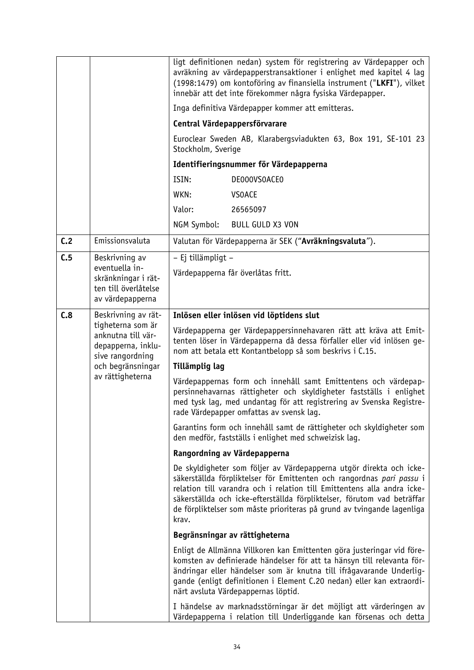|     |                                                                                                                                                   | ligt definitionen nedan) system för registrering av Värdepapper och<br>avräkning av värdepapperstransaktioner i enlighet med kapitel 4 lag<br>(1998:1479) om kontoföring av finansiella instrument ("LKFI"), vilket<br>innebär att det inte förekommer några fysiska Värdepapper.                                                                                                     |  |  |
|-----|---------------------------------------------------------------------------------------------------------------------------------------------------|---------------------------------------------------------------------------------------------------------------------------------------------------------------------------------------------------------------------------------------------------------------------------------------------------------------------------------------------------------------------------------------|--|--|
|     |                                                                                                                                                   | Inga definitiva Värdepapper kommer att emitteras.                                                                                                                                                                                                                                                                                                                                     |  |  |
|     |                                                                                                                                                   | Central Värdepappersförvarare                                                                                                                                                                                                                                                                                                                                                         |  |  |
|     |                                                                                                                                                   | Euroclear Sweden AB, Klarabergsviadukten 63, Box 191, SE-101 23<br>Stockholm, Sverige                                                                                                                                                                                                                                                                                                 |  |  |
|     |                                                                                                                                                   | Identifieringsnummer för Värdepapperna                                                                                                                                                                                                                                                                                                                                                |  |  |
|     |                                                                                                                                                   | ISIN:<br>DE000VS0ACE0                                                                                                                                                                                                                                                                                                                                                                 |  |  |
|     |                                                                                                                                                   | WKN:<br><b>VSOACE</b>                                                                                                                                                                                                                                                                                                                                                                 |  |  |
|     |                                                                                                                                                   | Valor:<br>26565097                                                                                                                                                                                                                                                                                                                                                                    |  |  |
|     |                                                                                                                                                   | NGM Symbol:<br><b>BULL GULD X3 VON</b>                                                                                                                                                                                                                                                                                                                                                |  |  |
| C.2 | Emissionsvaluta                                                                                                                                   | Valutan för Värdepapperna är SEK ("Avräkningsvaluta").                                                                                                                                                                                                                                                                                                                                |  |  |
| C.5 | Beskrivning av                                                                                                                                    | - Ej tillämpligt -                                                                                                                                                                                                                                                                                                                                                                    |  |  |
|     | eventuella in-<br>skränkningar i rät-                                                                                                             | Värdepapperna får överlåtas fritt.                                                                                                                                                                                                                                                                                                                                                    |  |  |
|     | ten till överlåtelse                                                                                                                              |                                                                                                                                                                                                                                                                                                                                                                                       |  |  |
|     | av värdepapperna                                                                                                                                  |                                                                                                                                                                                                                                                                                                                                                                                       |  |  |
| C.8 | Beskrivning av rät-<br>tigheterna som är<br>anknutna till vär-<br>depapperna, inklu-<br>sive rangordning<br>och begränsningar<br>av rättigheterna | Inlösen eller inlösen vid löptidens slut                                                                                                                                                                                                                                                                                                                                              |  |  |
|     |                                                                                                                                                   | Värdepapperna ger Värdepappersinnehavaren rätt att kräva att Emit-<br>tenten löser in Värdepapperna då dessa förfaller eller vid inlösen ge-<br>nom att betala ett Kontantbelopp så som beskrivs i C.15.                                                                                                                                                                              |  |  |
|     |                                                                                                                                                   | Tillämplig lag                                                                                                                                                                                                                                                                                                                                                                        |  |  |
|     |                                                                                                                                                   | Värdepappernas form och innehåll samt Emittentens och värdepap-<br>persinnehavarnas rättigheter och skyldigheter fastställs i enlighet<br>med tysk lag, med undantag för att registrering av Svenska Registre-<br>rade Värdepapper omfattas av svensk lag.                                                                                                                            |  |  |
|     |                                                                                                                                                   | Garantins form och innehåll samt de rättigheter och skyldigheter som<br>den medför, fastställs i enlighet med schweizisk lag.                                                                                                                                                                                                                                                         |  |  |
|     |                                                                                                                                                   | Rangordning av Värdepapperna                                                                                                                                                                                                                                                                                                                                                          |  |  |
|     |                                                                                                                                                   | De skyldigheter som följer av Värdepapperna utgör direkta och icke-<br>säkerställda förpliktelser för Emittenten och rangordnas pari passu i<br>relation till varandra och i relation till Emittentens alla andra icke-<br>säkerställda och icke-efterställda förpliktelser, förutom vad beträffar<br>de förpliktelser som måste prioriteras på grund av tvingande lagenliga<br>krav. |  |  |
|     |                                                                                                                                                   | Begränsningar av rättigheterna                                                                                                                                                                                                                                                                                                                                                        |  |  |
|     |                                                                                                                                                   | Enligt de Allmänna Villkoren kan Emittenten göra justeringar vid före-<br>komsten av definierade händelser för att ta hänsyn till relevanta för-<br>ändringar eller händelser som är knutna till ifrågavarande Underlig-<br>gande (enligt definitionen i Element C.20 nedan) eller kan extraordi-<br>närt avsluta Värdepappernas löptid.                                              |  |  |
|     |                                                                                                                                                   | I händelse av marknadsstörningar är det möjligt att värderingen av<br>Värdepapperna i relation till Underliggande kan försenas och detta                                                                                                                                                                                                                                              |  |  |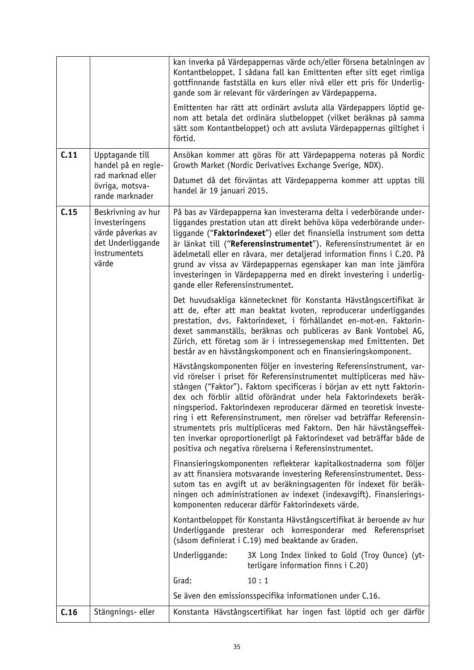|      |                                                                                                          | kan inverka på Värdepappernas värde och/eller försena betalningen av<br>Kontantbeloppet. I sådana fall kan Emittenten efter sitt eget rimliga<br>gottfinnande fastställa en kurs eller nivå eller ett pris för Underlig-<br>gande som är relevant för värderingen av Värdepapperna.                                                                                                                                                                                                                                                                                                                                                                        |
|------|----------------------------------------------------------------------------------------------------------|------------------------------------------------------------------------------------------------------------------------------------------------------------------------------------------------------------------------------------------------------------------------------------------------------------------------------------------------------------------------------------------------------------------------------------------------------------------------------------------------------------------------------------------------------------------------------------------------------------------------------------------------------------|
|      |                                                                                                          | Emittenten har rätt att ordinärt avsluta alla Värdepappers löptid ge-<br>nom att betala det ordinära slutbeloppet (vilket beräknas på samma<br>sätt som Kontantbeloppet) och att avsluta Värdepappernas giltighet i<br>förtid.                                                                                                                                                                                                                                                                                                                                                                                                                             |
| C.11 | Upptagande till<br>handel på en regle-                                                                   | Ansökan kommer att göras för att Värdepapperna noteras på Nordic<br>Growth Market (Nordic Derivatives Exchange Sverige, NDX).                                                                                                                                                                                                                                                                                                                                                                                                                                                                                                                              |
|      | rad marknad eller<br>övriga, motsva-<br>rande marknader                                                  | Datumet då det förväntas att Värdepapperna kommer att upptas till<br>handel är 19 januari 2015.                                                                                                                                                                                                                                                                                                                                                                                                                                                                                                                                                            |
| C.15 | Beskrivning av hur<br>investeringens<br>värde påverkas av<br>det Underliggande<br>instrumentets<br>värde | På bas av Värdepapperna kan investerarna delta i vederbörande under-<br>liggandes prestation utan att direkt behöva köpa vederbörande under-<br>liggande ("Faktorindexet") eller det finansiella instrument som detta<br>är länkat till ("Referensinstrumentet"). Referensinstrumentet är en<br>ädelmetall eller en råvara, mer detaljerad information finns i C.20. På<br>grund av vissa av Värdepappernas egenskaper kan man inte jämföra<br>investeringen in Värdepapperna med en direkt investering i underlig-<br>gande eller Referensinstrumentet.                                                                                                   |
|      |                                                                                                          | Det huvudsakliga kännetecknet för Konstanta Hävstångscertifikat är<br>att de, efter att man beaktat kvoten, reproducerar underliggandes<br>prestation, dvs. Faktorindexet, i förhållandet en-mot-en. Faktorin-<br>dexet sammanställs, beräknas och publiceras av Bank Vontobel AG,<br>Zürich, ett företag som är i intressegemenskap med Emittenten. Det<br>består av en hävstångskomponent och en finansieringskomponent.                                                                                                                                                                                                                                 |
|      |                                                                                                          | Hävstångskomponenten följer en investering Referensinstrument, var-<br>vid rörelser i priset för Referensinstrumentet multipliceras med häv-<br>stången ("Faktor"). Faktorn specificeras i början av ett nytt Faktorin-<br>dex och förblir alltid oförändrat under hela Faktorindexets beräk-<br>ningsperiod. Faktorindexen reproducerar därmed en teoretisk investe-<br>ring i ett Referensinstrument, men rörelser vad beträffar Referensin-<br>strumentets pris multipliceras med Faktorn. Den här hävstångseffek-<br>ten inverkar oproportionerligt på Faktorindexet vad beträffar både de<br>positiva och negativa rörelserna i Referensinstrumentet. |
|      |                                                                                                          | Finansieringskomponenten reflekterar kapitalkostnaderna som följer<br>av att finansiera motsvarande investering Referensinstrumentet. Dess-<br>sutom tas en avgift ut av beräkningsagenten för indexet för beräk-<br>ningen och administrationen av indexet (indexavgift). Finansierings-<br>komponenten reducerar därför Faktorindexets värde.                                                                                                                                                                                                                                                                                                            |
|      |                                                                                                          | Kontantbeloppet för Konstanta Hävstångscertifikat är beroende av hur<br>Underliggande presterar och korresponderar med Referenspriset<br>(såsom definierat i C.19) med beaktande av Graden.                                                                                                                                                                                                                                                                                                                                                                                                                                                                |
|      |                                                                                                          | Underliggande:<br>3X Long Index linked to Gold (Troy Ounce) (yt-<br>terligare information finns i C.20)                                                                                                                                                                                                                                                                                                                                                                                                                                                                                                                                                    |
|      |                                                                                                          | Grad:<br>10:1                                                                                                                                                                                                                                                                                                                                                                                                                                                                                                                                                                                                                                              |
|      |                                                                                                          | Se även den emissionsspecifika informationen under C.16.                                                                                                                                                                                                                                                                                                                                                                                                                                                                                                                                                                                                   |
| C.16 | Stängnings- eller                                                                                        | Konstanta Hävstångscertifikat har ingen fast löptid och ger därför                                                                                                                                                                                                                                                                                                                                                                                                                                                                                                                                                                                         |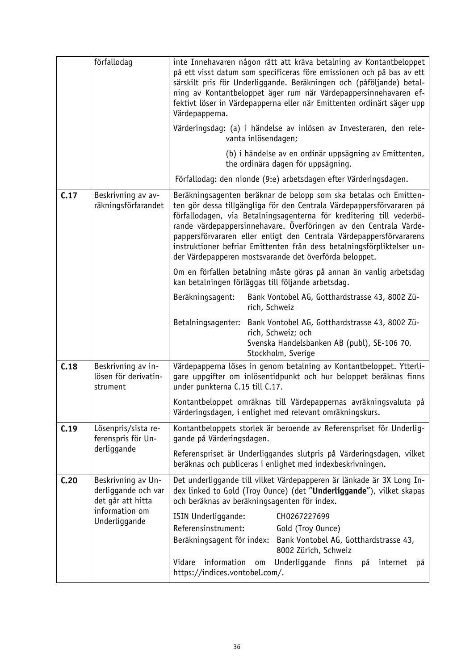|      | förfallodag                                                                                       | inte Innehavaren någon rätt att kräva betalning av Kontantbeloppet<br>på ett visst datum som specificeras före emissionen och på bas av ett<br>särskilt pris för Underliggande. Beräkningen och (påföljande) betal-<br>ning av Kontantbeloppet äger rum när Värdepappersinnehavaren ef-<br>fektivt löser in Värdepapperna eller när Emittenten ordinärt säger upp<br>Värdepapperna.<br>Värderingsdag: (a) i händelse av inlösen av Investeraren, den rele-                                         |  |
|------|---------------------------------------------------------------------------------------------------|----------------------------------------------------------------------------------------------------------------------------------------------------------------------------------------------------------------------------------------------------------------------------------------------------------------------------------------------------------------------------------------------------------------------------------------------------------------------------------------------------|--|
|      |                                                                                                   | vanta inlösendagen;                                                                                                                                                                                                                                                                                                                                                                                                                                                                                |  |
|      |                                                                                                   | (b) i händelse av en ordinär uppsägning av Emittenten,<br>the ordinära dagen för uppsägning.                                                                                                                                                                                                                                                                                                                                                                                                       |  |
|      |                                                                                                   | Förfallodag: den nionde (9:e) arbetsdagen efter Värderingsdagen.                                                                                                                                                                                                                                                                                                                                                                                                                                   |  |
| C.17 | Beskrivning av av-<br>räkningsförfarandet                                                         | Beräkningsagenten beräknar de belopp som ska betalas och Emitten-<br>ten gör dessa tillgängliga för den Centrala Värdepappersförvararen på<br>förfallodagen, via Betalningsagenterna för kreditering till vederbö-<br>rande värdepappersinnehavare. Överföringen av den Centrala Värde-<br>pappersförvararen eller enligt den Centrala Värdepappersförvararens<br>instruktioner befriar Emittenten från dess betalningsförpliktelser un-<br>der Värdepapperen mostsvarande det överförda beloppet. |  |
|      |                                                                                                   | Om en förfallen betalning måste göras på annan än vanlig arbetsdag<br>kan betalningen förläggas till följande arbetsdag.                                                                                                                                                                                                                                                                                                                                                                           |  |
|      |                                                                                                   | Beräkningsagent:<br>Bank Vontobel AG, Gotthardstrasse 43, 8002 Zü-<br>rich, Schweiz                                                                                                                                                                                                                                                                                                                                                                                                                |  |
|      |                                                                                                   | Betalningsagenter: Bank Vontobel AG, Gotthardstrasse 43, 8002 Zü-<br>rich, Schweiz; och<br>Svenska Handelsbanken AB (publ), SE-106 70,<br>Stockholm, Sverige                                                                                                                                                                                                                                                                                                                                       |  |
| C.18 | Beskrivning av in-<br>lösen för derivatin-<br>strument                                            | Värdepapperna löses in genom betalning av Kontantbeloppet. Ytterli-<br>gare uppgifter om inlösentidpunkt och hur beloppet beräknas finns<br>under punkterna C.15 till C.17.                                                                                                                                                                                                                                                                                                                        |  |
|      |                                                                                                   | Kontantbeloppet omräknas till Värdepappernas avräkningsvaluta på<br>Värderingsdagen, i enlighet med relevant omräkningskurs.                                                                                                                                                                                                                                                                                                                                                                       |  |
| C.19 | Lösenpris/sista re-<br>ferenspris för Un-                                                         | Kontantbeloppets storlek är beroende av Referenspriset för Underlig-<br>gande på Värderingsdagen.                                                                                                                                                                                                                                                                                                                                                                                                  |  |
|      | derliggande                                                                                       | Referenspriset är Underliggandes slutpris på Värderingsdagen, vilket<br>beräknas och publiceras i enlighet med indexbeskrivningen.                                                                                                                                                                                                                                                                                                                                                                 |  |
| C.20 | Beskrivning av Un-<br>derliggande och var<br>det går att hitta<br>information om<br>Underliggande | Det underliggande till vilket Värdepapperen är länkade är 3X Long In-<br>dex linked to Gold (Troy Ounce) (det "Underliggande"), vilket skapas<br>och beräknas av beräkningsagenten för index.<br>ISIN Underliggande:<br>CH0267227699<br>Referensinstrument:<br>Gold (Troy Ounce)<br>Beräkningsagent för index:<br>Bank Vontobel AG, Gotthardstrasse 43,<br>8002 Zürich, Schweiz<br>information<br>Vidare<br>Underliggande finns<br>om<br>på<br>internet<br>рå                                      |  |
|      |                                                                                                   | https://indices.vontobel.com/.                                                                                                                                                                                                                                                                                                                                                                                                                                                                     |  |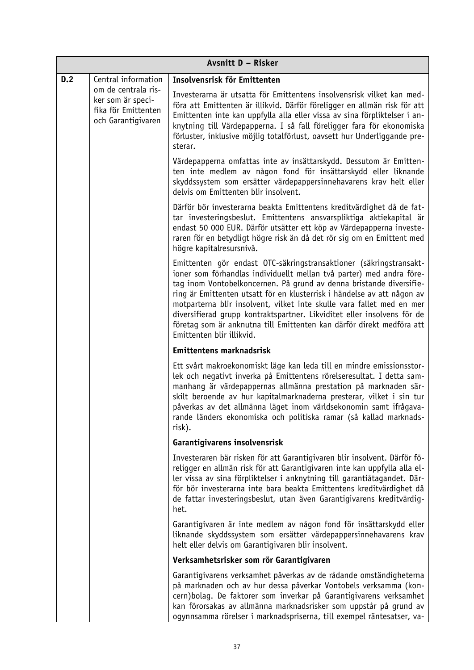|     | Avsnitt D - Risker                                                                    |                                                                                                                                                                                                                                                                                                                                                                                                                                                                                                                                                        |  |
|-----|---------------------------------------------------------------------------------------|--------------------------------------------------------------------------------------------------------------------------------------------------------------------------------------------------------------------------------------------------------------------------------------------------------------------------------------------------------------------------------------------------------------------------------------------------------------------------------------------------------------------------------------------------------|--|
| D.2 | Central information                                                                   | Insolvensrisk för Emittenten                                                                                                                                                                                                                                                                                                                                                                                                                                                                                                                           |  |
|     | om de centrala ris-<br>ker som är speci-<br>fika för Emittenten<br>och Garantigivaren | Investerarna är utsatta för Emittentens insolvensrisk vilket kan med-<br>föra att Emittenten är illikvid. Därför föreligger en allmän risk för att<br>Emittenten inte kan uppfylla alla eller vissa av sina förpliktelser i an-<br>knytning till Värdepapperna. I så fall föreligger fara för ekonomiska<br>förluster, inklusive möjlig totalförlust, oavsett hur Underliggande pre-<br>sterar.                                                                                                                                                        |  |
|     |                                                                                       | Värdepapperna omfattas inte av insättarskydd. Dessutom är Emitten-<br>ten inte medlem av någon fond för insättarskydd eller liknande<br>skyddssystem som ersätter värdepappersinnehavarens krav helt eller<br>delvis om Emittenten blir insolvent.                                                                                                                                                                                                                                                                                                     |  |
|     |                                                                                       | Därför bör investerarna beakta Emittentens kreditvärdighet då de fat-<br>tar investeringsbeslut. Emittentens ansvarspliktiga aktiekapital är<br>endast 50 000 EUR. Därför utsätter ett köp av Värdepapperna investe-<br>raren för en betydligt högre risk än då det rör sig om en Emittent med<br>högre kapitalresursnivå.                                                                                                                                                                                                                             |  |
|     |                                                                                       | Emittenten gör endast OTC-säkringstransaktioner (säkringstransakt-<br>ioner som förhandlas individuellt mellan två parter) med andra före-<br>tag inom Vontobelkoncernen. På grund av denna bristande diversifie-<br>ring är Emittenten utsatt för en klusterrisk i händelse av att någon av<br>motparterna blir insolvent, vilket inte skulle vara fallet med en mer<br>diversifierad grupp kontraktspartner. Likviditet eller insolvens för de<br>företag som är anknutna till Emittenten kan därför direkt medföra att<br>Emittenten blir illikvid. |  |
|     |                                                                                       | Emittentens marknadsrisk                                                                                                                                                                                                                                                                                                                                                                                                                                                                                                                               |  |
|     |                                                                                       | Ett svårt makroekonomiskt läge kan leda till en mindre emissionsstor-<br>lek och negativt inverka på Emittentens rörelseresultat. I detta sam-<br>manhang är värdepappernas allmänna prestation på marknaden sär-<br>skilt beroende av hur kapitalmarknaderna presterar, vilket i sin tur<br>påverkas av det allmänna läget inom världsekonomin samt ifrågava-<br>rande länders ekonomiska och politiska ramar (så kallad marknads-<br>risk).                                                                                                          |  |
|     |                                                                                       | Garantigivarens insolvensrisk                                                                                                                                                                                                                                                                                                                                                                                                                                                                                                                          |  |
|     |                                                                                       | Investeraren bär risken för att Garantigivaren blir insolvent. Därför fö-<br>religger en allmän risk för att Garantigivaren inte kan uppfylla alla el-<br>ler vissa av sina förpliktelser i anknytning till garantiåtagandet. Där-<br>för bör investerarna inte bara beakta Emittentens kreditvärdighet då<br>de fattar investeringsbeslut, utan även Garantigivarens kreditvärdig-<br>het.                                                                                                                                                            |  |
|     |                                                                                       | Garantigivaren är inte medlem av någon fond för insättarskydd eller<br>liknande skyddssystem som ersätter värdepappersinnehavarens krav<br>helt eller delvis om Garantigivaren blir insolvent.                                                                                                                                                                                                                                                                                                                                                         |  |
|     |                                                                                       | Verksamhetsrisker som rör Garantigivaren                                                                                                                                                                                                                                                                                                                                                                                                                                                                                                               |  |
|     |                                                                                       | Garantigivarens verksamhet påverkas av de rådande omständigheterna<br>på marknaden och av hur dessa påverkar Vontobels verksamma (kon-<br>cern) bolag. De faktorer som inverkar på Garantigivarens verksamhet<br>kan förorsakas av allmänna marknadsrisker som uppstår på grund av<br>ogynnsamma rörelser i marknadspriserna, till exempel räntesatser, va-                                                                                                                                                                                            |  |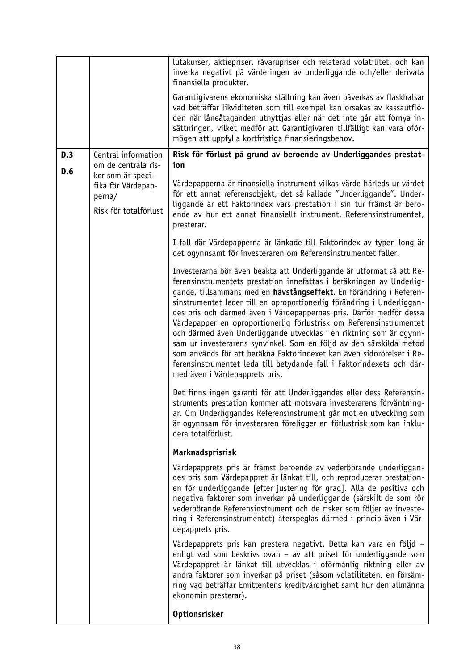|            |                                                                                                                          | lutakurser, aktiepriser, råvarupriser och relaterad volatilitet, och kan<br>inverka negativt på värderingen av underliggande och/eller derivata<br>finansiella produkter.                                                                                                                                                                                                                                                                                                                                                                                                                                                                                                                                                                                                      |
|------------|--------------------------------------------------------------------------------------------------------------------------|--------------------------------------------------------------------------------------------------------------------------------------------------------------------------------------------------------------------------------------------------------------------------------------------------------------------------------------------------------------------------------------------------------------------------------------------------------------------------------------------------------------------------------------------------------------------------------------------------------------------------------------------------------------------------------------------------------------------------------------------------------------------------------|
|            |                                                                                                                          | Garantigivarens ekonomiska ställning kan även påverkas av flaskhalsar<br>vad beträffar likviditeten som till exempel kan orsakas av kassautflö-<br>den när låneåtaganden utnyttjas eller när det inte går att förnya in-<br>sättningen, vilket medför att Garantigivaren tillfälligt kan vara oför-<br>mögen att uppfylla kortfristiga finansieringsbehov.                                                                                                                                                                                                                                                                                                                                                                                                                     |
| D.3<br>D.6 | Central information<br>om de centrala ris-<br>ker som är speci-<br>fika för Värdepap-<br>perna/<br>Risk för totalförlust | Risk för förlust på grund av beroende av Underliggandes prestat-<br>ion                                                                                                                                                                                                                                                                                                                                                                                                                                                                                                                                                                                                                                                                                                        |
|            |                                                                                                                          | Värdepapperna är finansiella instrument vilkas värde härleds ur värdet<br>för ett annat referensobjekt, det så kallade "Underliggande". Under-<br>liggande är ett Faktorindex vars prestation i sin tur främst är bero-<br>ende av hur ett annat finansiellt instrument, Referensinstrumentet,<br>presterar.                                                                                                                                                                                                                                                                                                                                                                                                                                                                   |
|            |                                                                                                                          | I fall där Värdepapperna är länkade till Faktorindex av typen long är<br>det ogynnsamt för investeraren om Referensinstrumentet faller.                                                                                                                                                                                                                                                                                                                                                                                                                                                                                                                                                                                                                                        |
|            |                                                                                                                          | Investerarna bör även beakta att Underliggande är utformat så att Re-<br>ferensinstrumentets prestation innefattas i beräkningen av Underlig-<br>gande, tillsammans med en hävstångseffekt. En förändring i Referen-<br>sinstrumentet leder till en oproportionerlig förändring i Underliggan-<br>des pris och därmed även i Värdepappernas pris. Därför medför dessa<br>Värdepapper en oproportionerlig förlustrisk om Referensinstrumentet<br>och därmed även Underliggande utvecklas i en riktning som är ogynn-<br>sam ur investerarens synvinkel. Som en följd av den särskilda metod<br>som används för att beräkna Faktorindexet kan även sidorörelser i Re-<br>ferensinstrumentet leda till betydande fall i Faktorindexets och där-<br>med även i Värdepapprets pris. |
|            |                                                                                                                          | Det finns ingen garanti för att Underliggandes eller dess Referensin-<br>struments prestation kommer att motsvara investerarens förväntning-<br>ar. Om Underliggandes Referensinstrument går mot en utveckling som<br>är ogynnsam för investeraren föreligger en förlustrisk som kan inklu-<br>dera totalförlust.                                                                                                                                                                                                                                                                                                                                                                                                                                                              |
|            |                                                                                                                          | Marknadsprisrisk                                                                                                                                                                                                                                                                                                                                                                                                                                                                                                                                                                                                                                                                                                                                                               |
|            |                                                                                                                          | Värdepapprets pris är främst beroende av vederbörande underliggan-<br>des pris som Värdepappret är länkat till, och reproducerar prestation-<br>en för underliggande [efter justering för grad]. Alla de positiva och<br>negativa faktorer som inverkar på underliggande (särskilt de som rör<br>vederbörande Referensinstrument och de risker som följer av investe-<br>ring i Referensinstrumentet) återspeglas därmed i princip även i Vär-<br>depapprets pris.                                                                                                                                                                                                                                                                                                             |
|            |                                                                                                                          | Värdepapprets pris kan prestera negativt. Detta kan vara en följd -<br>enligt vad som beskrivs ovan – av att priset för underliggande som<br>Värdepappret är länkat till utvecklas i oförmånlig riktning eller av<br>andra faktorer som inverkar på priset (såsom volatiliteten, en försäm-<br>ring vad beträffar Emittentens kreditvärdighet samt hur den allmänna<br>ekonomin presterar).                                                                                                                                                                                                                                                                                                                                                                                    |
|            |                                                                                                                          | Optionsrisker                                                                                                                                                                                                                                                                                                                                                                                                                                                                                                                                                                                                                                                                                                                                                                  |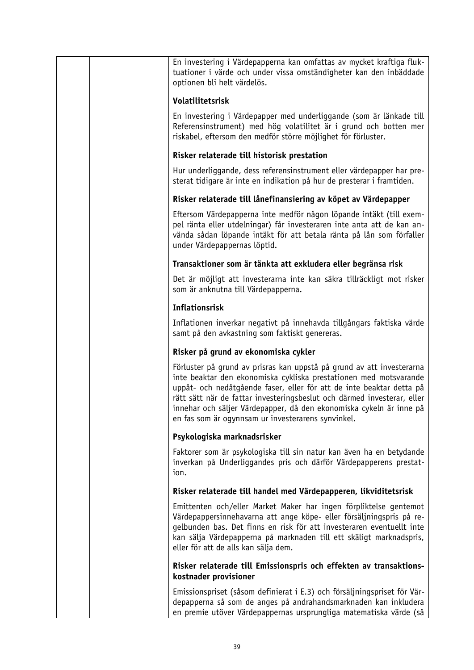| En investering i Värdepapperna kan omfattas av mycket kraftiga fluk-<br>tuationer i värde och under vissa omständigheter kan den inbäddade<br>optionen bli helt värdelös.                                                                                                                                                                                                                                                  |
|----------------------------------------------------------------------------------------------------------------------------------------------------------------------------------------------------------------------------------------------------------------------------------------------------------------------------------------------------------------------------------------------------------------------------|
| Volatilitetsrisk                                                                                                                                                                                                                                                                                                                                                                                                           |
| En investering i Värdepapper med underliggande (som är länkade till<br>Referensinstrument) med hög volatilitet är i grund och botten mer<br>riskabel, eftersom den medför större möjlighet för förluster.                                                                                                                                                                                                                  |
| Risker relaterade till historisk prestation                                                                                                                                                                                                                                                                                                                                                                                |
| Hur underliggande, dess referensinstrument eller värdepapper har pre-<br>sterat tidigare är inte en indikation på hur de presterar i framtiden.                                                                                                                                                                                                                                                                            |
| Risker relaterade till lånefinansiering av köpet av Värdepapper                                                                                                                                                                                                                                                                                                                                                            |
| Eftersom Värdepapperna inte medför någon löpande intäkt (till exem-<br>pel ränta eller utdelningar) får investeraren inte anta att de kan an-<br>vända sådan löpande intäkt för att betala ränta på lån som förfaller<br>under Värdepappernas löptid.                                                                                                                                                                      |
| Transaktioner som är tänkta att exkludera eller begränsa risk                                                                                                                                                                                                                                                                                                                                                              |
| Det är möjligt att investerarna inte kan säkra tillräckligt mot risker<br>som är anknutna till Värdepapperna.                                                                                                                                                                                                                                                                                                              |
| <b>Inflationsrisk</b>                                                                                                                                                                                                                                                                                                                                                                                                      |
| Inflationen inverkar negativt på innehavda tillgångars faktiska värde<br>samt på den avkastning som faktiskt genereras.                                                                                                                                                                                                                                                                                                    |
| Risker på grund av ekonomiska cykler                                                                                                                                                                                                                                                                                                                                                                                       |
| Förluster på grund av prisras kan uppstå på grund av att investerarna<br>inte beaktar den ekonomiska cykliska prestationen med motsvarande<br>uppåt- och nedåtgående faser, eller för att de inte beaktar detta på<br>rätt sätt när de fattar investeringsbeslut och därmed investerar, eller<br>innehar och säljer Värdepapper, då den ekonomiska cykeln är inne på<br>en fas som är ogynnsam ur investerarens synvinkel. |
| Psykologiska marknadsrisker                                                                                                                                                                                                                                                                                                                                                                                                |
| Faktorer som är psykologiska till sin natur kan även ha en betydande<br>inverkan på Underliggandes pris och därför Värdepapperens prestat-<br>ion.                                                                                                                                                                                                                                                                         |
| Risker relaterade till handel med Värdepapperen, likviditetsrisk                                                                                                                                                                                                                                                                                                                                                           |
| Emittenten och/eller Market Maker har ingen förpliktelse gentemot<br>Värdepappersinnehavarna att ange köpe- eller försäljningspris på re-<br>gelbunden bas. Det finns en risk för att investeraren eventuellt inte<br>kan sälja Värdepapperna på marknaden till ett skäligt marknadspris,<br>eller för att de alls kan sälja dem.                                                                                          |
| Risker relaterade till Emissionspris och effekten av transaktions-<br>kostnader provisioner                                                                                                                                                                                                                                                                                                                                |
| Emissionspriset (såsom definierat i E.3) och försäljningspriset för Vär-<br>depapperna så som de anges på andrahandsmarknaden kan inkludera<br>en premie utöver Värdepappernas ursprungliga matematiska värde (så                                                                                                                                                                                                          |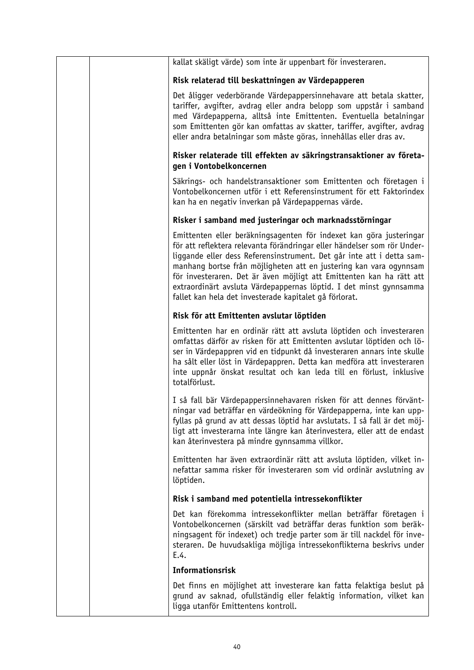| kallat skäligt värde) som inte är uppenbart för investeraren.                                                                                                                                                                                                                                                                                                                                                                                                                                          |
|--------------------------------------------------------------------------------------------------------------------------------------------------------------------------------------------------------------------------------------------------------------------------------------------------------------------------------------------------------------------------------------------------------------------------------------------------------------------------------------------------------|
| Risk relaterad till beskattningen av Värdepapperen                                                                                                                                                                                                                                                                                                                                                                                                                                                     |
| Det åligger vederbörande Värdepappersinnehavare att betala skatter,<br>tariffer, avgifter, avdrag eller andra belopp som uppstår i samband<br>med Värdepapperna, alltså inte Emittenten. Eventuella betalningar<br>som Emittenten gör kan omfattas av skatter, tariffer, avgifter, avdrag<br>eller andra betalningar som måste göras, innehållas eller dras av.                                                                                                                                        |
| Risker relaterade till effekten av säkringstransaktioner av företa-<br>gen i Vontobelkoncernen                                                                                                                                                                                                                                                                                                                                                                                                         |
| Säkrings- och handelstransaktioner som Emittenten och företagen i<br>Vontobelkoncernen utför i ett Referensinstrument för ett Faktorindex<br>kan ha en negativ inverkan på Värdepappernas värde.                                                                                                                                                                                                                                                                                                       |
| Risker i samband med justeringar och marknadsstörningar                                                                                                                                                                                                                                                                                                                                                                                                                                                |
| Emittenten eller beräkningsagenten för indexet kan göra justeringar<br>för att reflektera relevanta förändringar eller händelser som rör Under-<br>liggande eller dess Referensinstrument. Det går inte att i detta sam-<br>manhang bortse från möjligheten att en justering kan vara ogynnsam<br>för investeraren. Det är även möjligt att Emittenten kan ha rätt att<br>extraordinärt avsluta Värdepappernas löptid. I det minst gynnsamma<br>fallet kan hela det investerade kapitalet gå förlorat. |
| Risk för att Emittenten avslutar löptiden                                                                                                                                                                                                                                                                                                                                                                                                                                                              |
| Emittenten har en ordinär rätt att avsluta löptiden och investeraren<br>omfattas därför av risken för att Emittenten avslutar löptiden och lö-<br>ser in Värdepappren vid en tidpunkt då investeraren annars inte skulle<br>ha sålt eller löst in Värdepappren. Detta kan medföra att investeraren<br>inte uppnår önskat resultat och kan leda till en förlust, inklusive<br>totalförlust.                                                                                                             |
| I så fall bär Värdepappersinnehavaren risken för att dennes förvänt-<br>ningar vad beträffar en värdeökning för Värdepapperna, inte kan upp-<br>fyllas på grund av att dessas löptid har avslutats. I så fall är det möj-<br>ligt att investerarna inte längre kan återinvestera, eller att de endast<br>kan återinvestera på mindre gynnsamma villkor.                                                                                                                                                |
| Emittenten har även extraordinär rätt att avsluta löptiden, vilket in-<br>nefattar samma risker för investeraren som vid ordinär avslutning av<br>löptiden.                                                                                                                                                                                                                                                                                                                                            |
| Risk i samband med potentiella intressekonflikter                                                                                                                                                                                                                                                                                                                                                                                                                                                      |
| Det kan förekomma intressekonflikter mellan beträffar företagen i<br>Vontobelkoncernen (särskilt vad beträffar deras funktion som beräk-<br>ningsagent för indexet) och tredje parter som är till nackdel för inve-<br>steraren. De huvudsakliga möjliga intressekonflikterna beskrivs under<br>E.4.                                                                                                                                                                                                   |
| <b>Informationsrisk</b>                                                                                                                                                                                                                                                                                                                                                                                                                                                                                |
| Det finns en möjlighet att investerare kan fatta felaktiga beslut på<br>grund av saknad, ofullständig eller felaktig information, vilket kan<br>ligga utanför Emittentens kontroll.                                                                                                                                                                                                                                                                                                                    |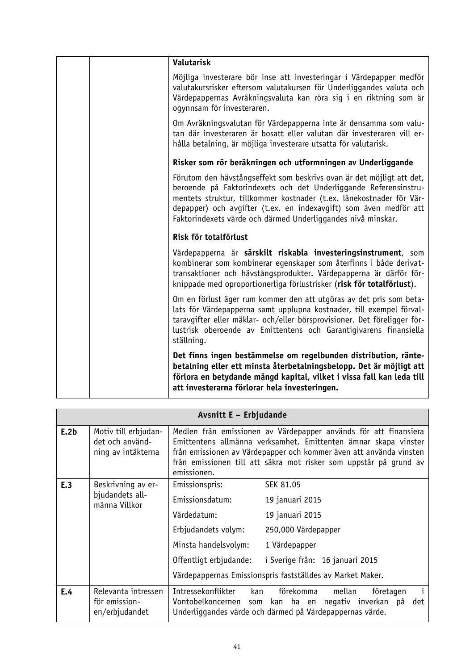|  | Valutarisk                                                                                                                                                                                                                                                                                                                                             |
|--|--------------------------------------------------------------------------------------------------------------------------------------------------------------------------------------------------------------------------------------------------------------------------------------------------------------------------------------------------------|
|  | Möjliga investerare bör inse att investeringar i Värdepapper medför<br>valutakursrisker eftersom valutakursen för Underliggandes valuta och<br>Värdepappernas Avräkningsvaluta kan röra sig i en riktning som är<br>ogynnsam för investeraren.                                                                                                         |
|  | Om Avräkningsvalutan för Värdepapperna inte är densamma som valu-<br>tan där investeraren är bosatt eller valutan där investeraren vill er-<br>hålla betalning, är möjliga investerare utsatta för valutarisk.                                                                                                                                         |
|  | Risker som rör beräkningen och utformningen av Underliggande                                                                                                                                                                                                                                                                                           |
|  | Förutom den hävstångseffekt som beskrivs ovan är det möjligt att det,<br>beroende på Faktorindexets och det Underliggande Referensinstru-<br>mentets struktur, tillkommer kostnader (t.ex. lånekostnader för Vär-<br>depapper) och avgifter (t.ex. en indexavgift) som även medför att<br>Faktorindexets värde och därmed Underliggandes nivå minskar. |
|  | Risk för totalförlust                                                                                                                                                                                                                                                                                                                                  |
|  | Värdepapperna är särskilt riskabla investeringsinstrument, som<br>kombinerar som kombinerar egenskaper som återfinns i både derivat-<br>transaktioner och hävstångsprodukter. Värdepapperna är därför för-<br>knippade med oproportionerliga förlustrisker (risk för totalförlust).                                                                    |
|  | Om en förlust äger rum kommer den att utgöras av det pris som beta-<br>lats för Värdepapperna samt upplupna kostnader, till exempel förval-<br>taravgifter eller mäklar- och/eller börsprovisioner. Det föreligger för-<br>lustrisk oberoende av Emittentens och Garantigivarens finansiella<br>ställning.                                             |
|  | Det finns ingen bestämmelse om regelbunden distribution, ränte-<br>betalning eller ett minsta återbetalningsbelopp. Det är möjligt att<br>förlora en betydande mängd kapital, vilket i vissa fall kan leda till<br>att investerarna förlorar hela investeringen.                                                                                       |

| Avsnitt E - Erbjudande |                                                               |                                                                                                                           |                                                                                                                                                                                                                                                                                |
|------------------------|---------------------------------------------------------------|---------------------------------------------------------------------------------------------------------------------------|--------------------------------------------------------------------------------------------------------------------------------------------------------------------------------------------------------------------------------------------------------------------------------|
| E.2b                   | Motiv till erbjudan-<br>det och använd-<br>ning av intäkterna | emissionen.                                                                                                               | Medlen från emissionen av Värdepapper används för att finansiera<br>Emittentens allmänna verksamhet. Emittenten ämnar skapa vinster<br>från emissionen av Värdepapper och kommer även att använda vinsten<br>från emissionen till att säkra mot risker som uppstår på grund av |
| E.3                    | Beskrivning av er-<br>bjudandets all-<br>männa Villkor        | Emissionspris:<br>Emissionsdatum:<br>Värdedatum:<br>Erbjudandets volym:<br>Minsta handelsvolym:<br>Offentligt erbjudande: | SEK 81.05<br>19 januari 2015<br>19 januari 2015<br>250,000 Värdepapper<br>1 Värdepapper<br>i Sverige från: 16 januari 2015<br>Värdepappernas Emissionspris fastställdes av Market Maker.                                                                                       |
| E.4                    | Relevanta intressen<br>för emission-<br>en/erbjudandet        | Intressekonflikter                                                                                                        | förekomma<br>mellan<br>kan<br>företagen<br>Vontobelkoncernen som kan ha en negativ inverkan på<br>det<br>Underliggandes värde och därmed på Värdepappernas värde.                                                                                                              |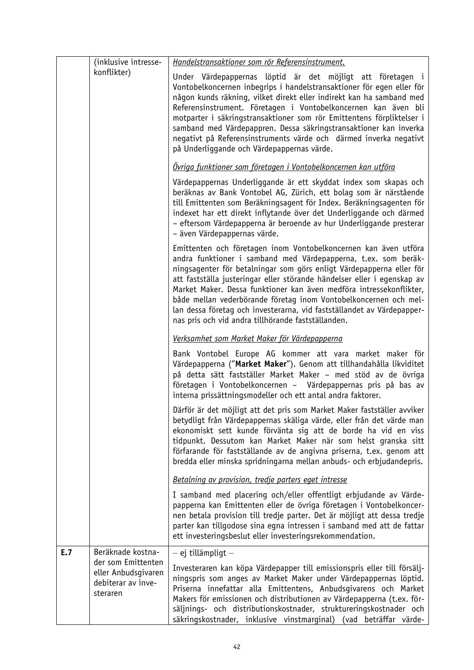|     | (inklusive intresse-                                                        | Handelstransaktioner som rör Referensinstrument.                                                                                                                                                                                                                                                                                                                                                                                                                                                                                                                |
|-----|-----------------------------------------------------------------------------|-----------------------------------------------------------------------------------------------------------------------------------------------------------------------------------------------------------------------------------------------------------------------------------------------------------------------------------------------------------------------------------------------------------------------------------------------------------------------------------------------------------------------------------------------------------------|
|     | konflikter)                                                                 | Under Värdepappernas löptid är det möjligt att företagen i<br>Vontobelkoncernen inbegrips i handelstransaktioner för egen eller för<br>någon kunds räkning, vilket direkt eller indirekt kan ha samband med<br>Referensinstrument. Företagen i Vontobelkoncernen kan även bli<br>motparter i säkringstransaktioner som rör Emittentens förpliktelser i<br>samband med Värdepappren. Dessa säkringstransaktioner kan inverka<br>negativt på Referensinstruments värde och därmed inverka negativt<br>på Underliggande och Värdepappernas värde.                  |
|     |                                                                             | Ovriga funktioner som företagen i Vontobelkoncernen kan utföra                                                                                                                                                                                                                                                                                                                                                                                                                                                                                                  |
|     |                                                                             | Värdepappernas Underliggande är ett skyddat index som skapas och<br>beräknas av Bank Vontobel AG, Zürich, ett bolag som är närstående<br>till Emittenten som Beräkningsagent för Index. Beräkningsagenten för<br>indexet har ett direkt inflytande över det Underliggande och därmed<br>- eftersom Värdepapperna är beroende av hur Underliggande presterar<br>- även Värdepappernas värde.                                                                                                                                                                     |
|     |                                                                             | Emittenten och företagen inom Vontobelkoncernen kan även utföra<br>andra funktioner i samband med Värdepapperna, t.ex. som beräk-<br>ningsagenter för betalningar som görs enligt Värdepapperna eller för<br>att fastställa justeringar eller störande händelser eller i egenskap av<br>Market Maker. Dessa funktioner kan även medföra intressekonflikter,<br>både mellan vederbörande företag inom Vontobelkoncernen och mel-<br>lan dessa företag och investerarna, vid fastställandet av Värdepapper-<br>nas pris och vid andra tillhörande fastställanden. |
|     |                                                                             | Verksamhet som Market Maker för Värdepapperna                                                                                                                                                                                                                                                                                                                                                                                                                                                                                                                   |
|     |                                                                             | Bank Vontobel Europe AG kommer att vara market maker för<br>Värdepapperna ("Market Maker"). Genom att tillhandahålla likviditet<br>på detta sätt fastställer Market Maker – med stöd av de övriga<br>företagen i Vontobelkoncernen - Värdepappernas pris på bas av<br>interna prissättningsmodeller och ett antal andra faktorer.                                                                                                                                                                                                                               |
|     |                                                                             | Därför är det möjligt att det pris som Market Maker fastställer avviker<br>betydligt från Värdepappernas skäliga värde, eller från det värde man<br>ekonomiskt sett kunde förvänta sig att de borde ha vid en viss<br>tidpunkt. Dessutom kan Market Maker när som helst granska sitt<br>förfarande för fastställande av de angivna priserna, t.ex. genom att<br>bredda eller minska spridningarna mellan anbuds- och erbjudandepris.                                                                                                                            |
|     |                                                                             | Betalning av provision, tredje parters eget intresse                                                                                                                                                                                                                                                                                                                                                                                                                                                                                                            |
|     |                                                                             | I samband med placering och/eller offentligt erbjudande av Värde-<br>papperna kan Emittenten eller de övriga företagen i Vontobelkoncer-<br>nen betala provision till tredje parter. Det är möjligt att dessa tredje<br>parter kan tillgodose sina egna intressen i samband med att de fattar<br>ett investeringsbeslut eller investeringsrekommendation.                                                                                                                                                                                                       |
| E.7 | Beräknade kostna-                                                           | $-$ ej tillämpligt $-$                                                                                                                                                                                                                                                                                                                                                                                                                                                                                                                                          |
|     | der som Emittenten<br>eller Anbudsgivaren<br>debiterar av inve-<br>steraren | Investeraren kan köpa Värdepapper till emissionspris eller till försälj-<br>ningspris som anges av Market Maker under Värdepappernas löptid.<br>Priserna innefattar alla Emittentens, Anbudsgivarens och Market<br>Makers för emissionen och distributionen av Värdepapperna (t.ex. för-<br>säljnings- och distributionskostnader, struktureringskostnader och<br>säkringskostnader, inklusive vinstmarginal) (vad beträffar värde-                                                                                                                             |